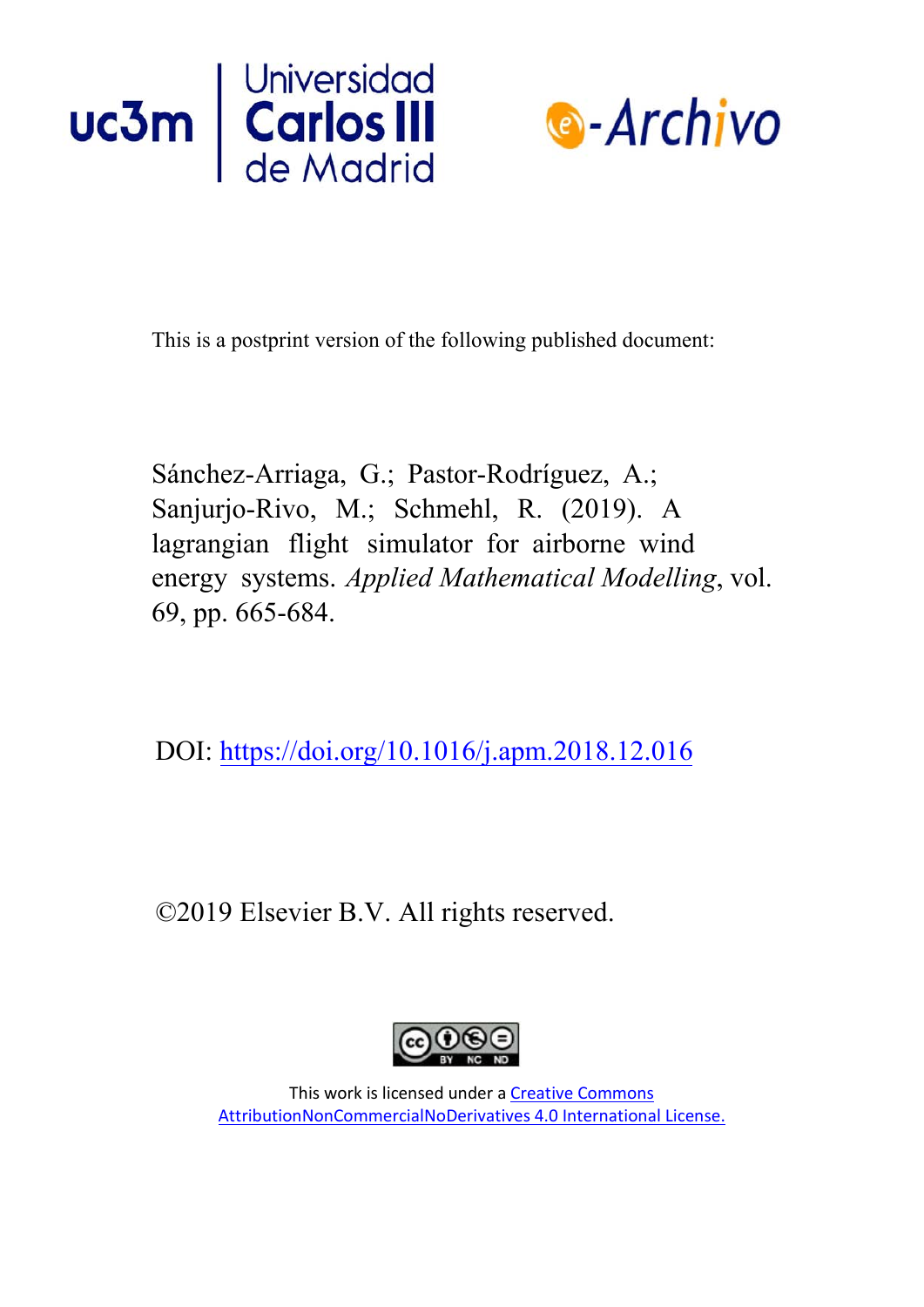



This is a postprint version of the following published document:

Sánchez-Arriaga, G.; Pastor-Rodríguez, A.; Sanjurjo-Rivo, M.; Schmehl, R. (2019). A lagrangian flight simulator for airborne wind energy systems. *Applied Mathematical Modelling*, vol. 69, pp. 665-684.

DOI: <https://doi.org/10.1016/j.apm.2018.12.016>

©2019 Elsevier B.V. All rights reserved.



This work is licensed under a [Creative Commons](https://creativecommons.org/licenses/by-nc-nd/4.0/) [AttributionNonCommercialNoDerivatives 4.0 International License.](https://creativecommons.org/licenses/by-nc-nd/4.0/)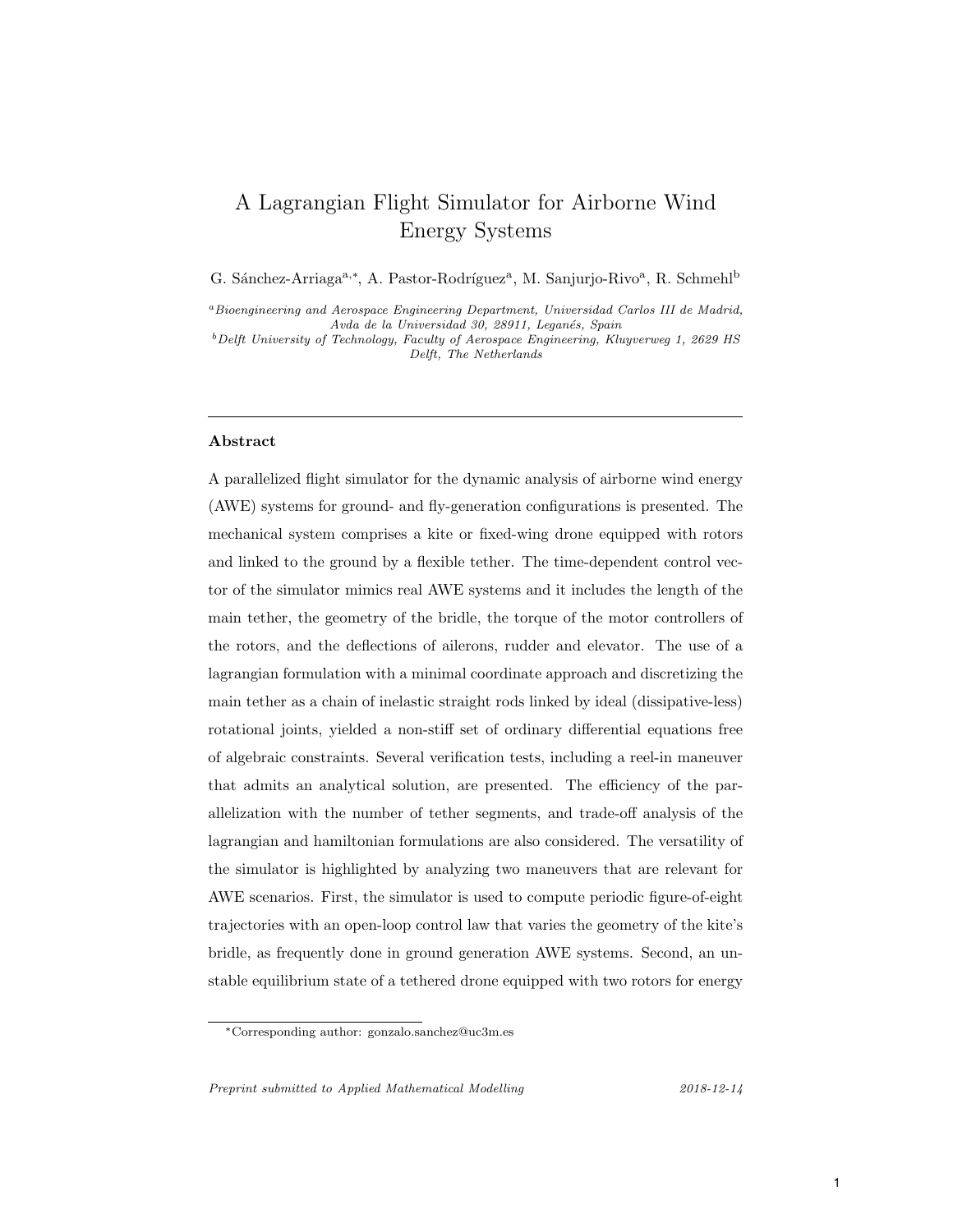# A Lagrangian Flight Simulator for Airborne Wind Energy Systems

G. Sánchez-Arriaga<sup>a,∗</sup>, A. Pastor-Rodríguez<sup>a</sup>, M. Sanjurjo-Rivo<sup>a</sup>, R. Schmehl<sup>b</sup>

<sup>a</sup>Bioengineering and Aerospace Engineering Department, Universidad Carlos III de Madrid, Avda de la Universidad 30, 28911, Leganés, Spain

 $^{b}$  Delft University of Technology, Faculty of Aerospace Engineering, Kluyverweg 1, 2629 HS Delft, The Netherlands

# Abstract

A parallelized flight simulator for the dynamic analysis of airborne wind energy (AWE) systems for ground- and fly-generation configurations is presented. The mechanical system comprises a kite or fixed-wing drone equipped with rotors and linked to the ground by a flexible tether. The time-dependent control vector of the simulator mimics real AWE systems and it includes the length of the main tether, the geometry of the bridle, the torque of the motor controllers of the rotors, and the deflections of ailerons, rudder and elevator. The use of a lagrangian formulation with a minimal coordinate approach and discretizing the main tether as a chain of inelastic straight rods linked by ideal (dissipative-less) rotational joints, yielded a non-stiff set of ordinary differential equations free of algebraic constraints. Several verification tests, including a reel-in maneuver that admits an analytical solution, are presented. The efficiency of the parallelization with the number of tether segments, and trade-off analysis of the lagrangian and hamiltonian formulations are also considered. The versatility of the simulator is highlighted by analyzing two maneuvers that are relevant for AWE scenarios. First, the simulator is used to compute periodic figure-of-eight trajectories with an open-loop control law that varies the geometry of the kite's bridle, as frequently done in ground generation AWE systems. Second, an unstable equilibrium state of a tethered drone equipped with two rotors for energy

Preprint submitted to Applied Mathematical Modelling 2018-12-14

<sup>∗</sup>Corresponding author: gonzalo.sanchez@uc3m.es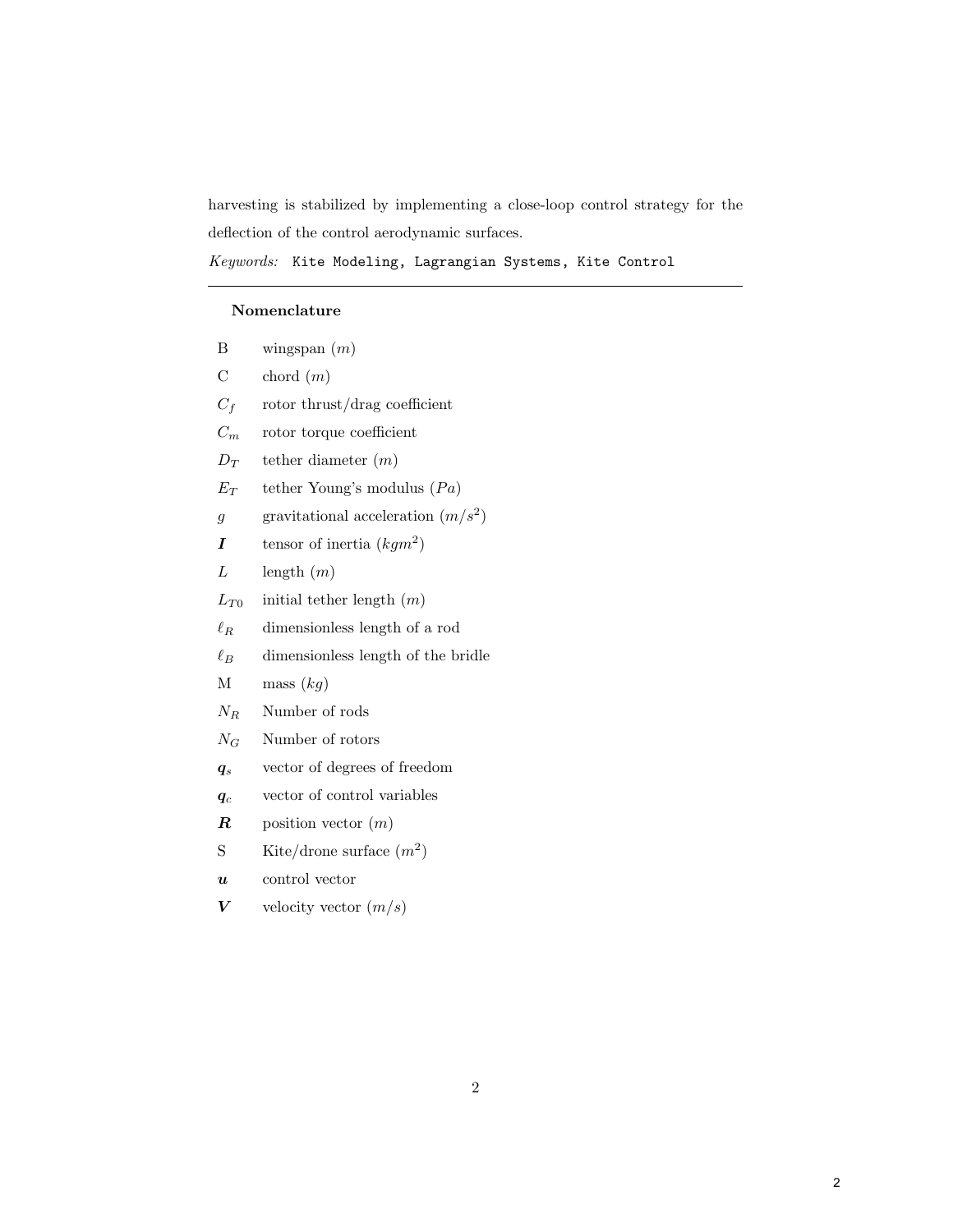harvesting is stabilized by implementing a close-loop control strategy for the deflection of the control aerodynamic surfaces.

Keywords: Kite Modeling, Lagrangian Systems, Kite Control

# Nomenclature

| В                | wingspan $(m)$                       |
|------------------|--------------------------------------|
| $\mathcal{C}$    | chord $(m)$                          |
| $C_f$            | rotor thrust/drag coefficient        |
| $C_m$            | rotor torque coefficient             |
| $D_T$            | tether diameter $(m)$                |
| $E_T$            | tether Young's modulus $(Pa)$        |
| $\overline{g}$   | gravitational acceleration $(m/s^2)$ |
| I                | tensor of inertia $(kgm^2)$          |
| L                | length $(m)$                         |
| $L_{T0}$         | initial tether length $(m)$          |
| $\ell_B$         | dimensionless length of a rod        |
| $\ell_B$         | dimensionless length of the bridle   |
| М                | mass $(kg)$                          |
| $N_R$            | Number of rods                       |
| $N_G$            | Number of rotors                     |
| $q_{s}$          | vector of degrees of freedom         |
| $q_c$            | vector of control variables          |
| $\boldsymbol{R}$ | position vector $(m)$                |
| S                | Kite/drone surface $(m^2)$           |
| $\boldsymbol{u}$ | control vector                       |
| $\boldsymbol{V}$ | velocity vector $(m/s)$              |
|                  |                                      |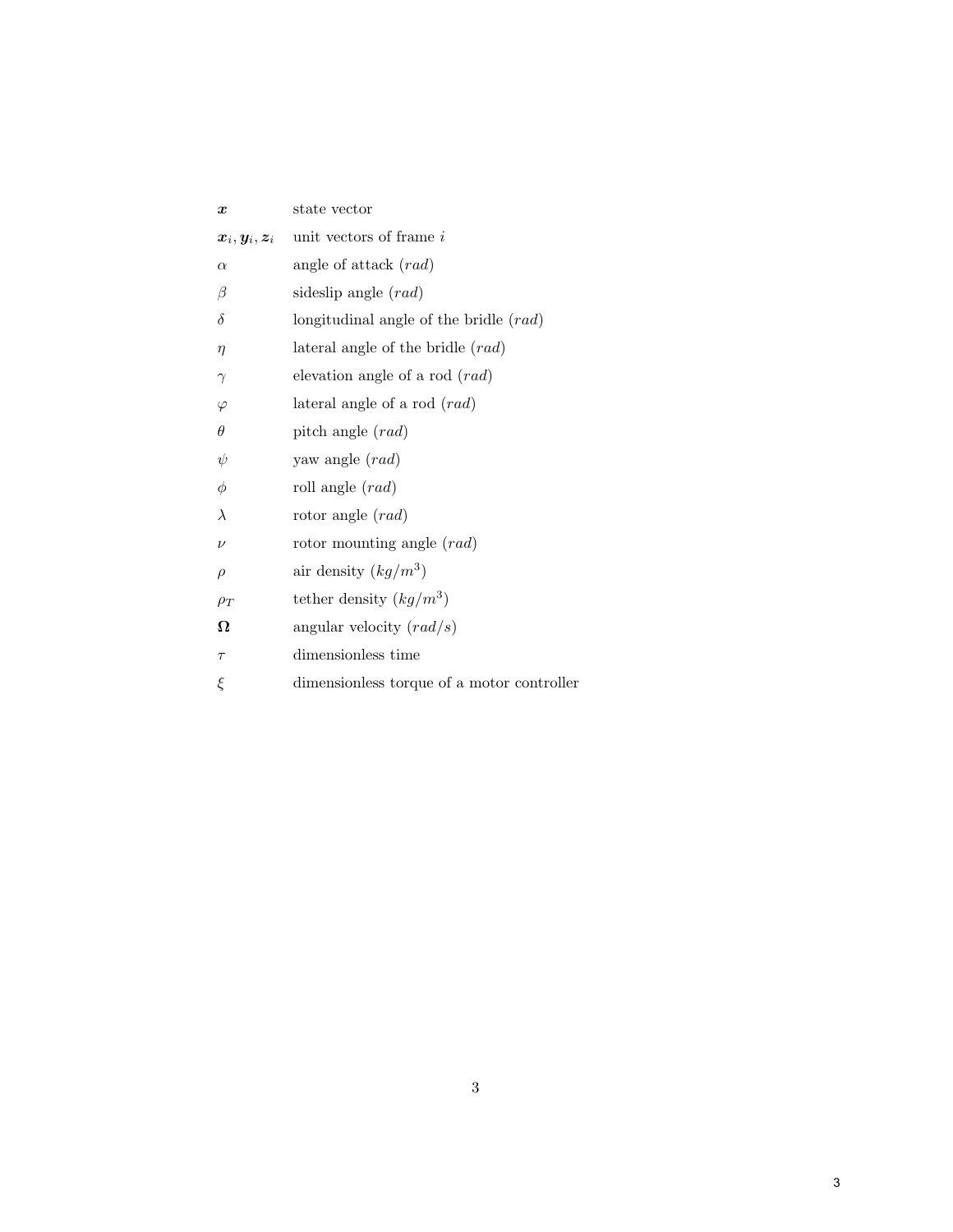| $\boldsymbol{x}$                                       | state vector                                  |  |  |
|--------------------------------------------------------|-----------------------------------------------|--|--|
| $\boldsymbol{x}_i, \boldsymbol{y}_i, \boldsymbol{z}_i$ | unit vectors of frame i                       |  |  |
| $\alpha$                                               | angle of attack $(rad)$                       |  |  |
| β                                                      | sideslip angle (rad)                          |  |  |
| $\delta$                                               | longitudinal angle of the bridle $(rad)$      |  |  |
| $\eta$                                                 | lateral angle of the bridle $(rad)$           |  |  |
| $\gamma$                                               | elevation angle of a rod $(rad)$              |  |  |
| $\varphi$                                              | lateral angle of a rod $(rad)$                |  |  |
| $\theta$                                               | pitch angle $(rad)$                           |  |  |
| ψ                                                      | yaw angle $(rad)$                             |  |  |
| $\phi$                                                 | roll angle $(rad)$                            |  |  |
| $\lambda$                                              | rotor angle $(rad)$                           |  |  |
| $\nu$                                                  | rotor mounting angle $(rad)$                  |  |  |
| $\rho$                                                 | air density $(kg/m^3)$                        |  |  |
| $\rho_T$                                               | tether density $(kg/m^3)$                     |  |  |
| Ω                                                      | angular velocity $\left(\frac{rad}{s}\right)$ |  |  |
| $\tau$                                                 | dimensionless time                            |  |  |
| ξ                                                      | dimensionless torque of a motor controller    |  |  |
|                                                        |                                               |  |  |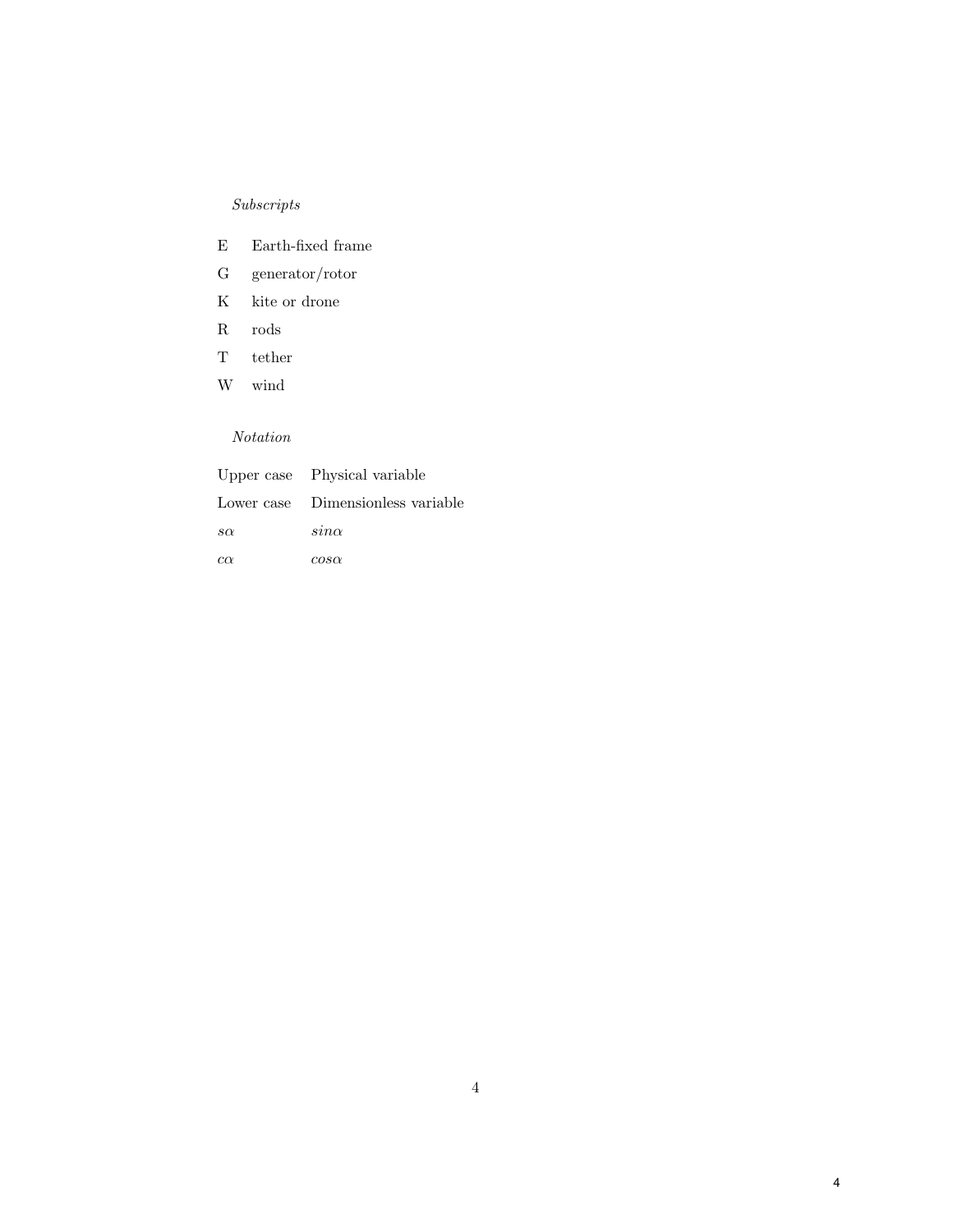# $\label{subscripts}Subscripts$

- E Earth-fixed frame
- G generator/rotor
- K kite or drone
- R rods
- T tether
- W wind

# Notation

|           | Upper case Physical variable      |
|-----------|-----------------------------------|
|           | Lower case Dimensionless variable |
| $s\alpha$ | $sin\alpha$                       |
| $c\alpha$ | $cos\alpha$                       |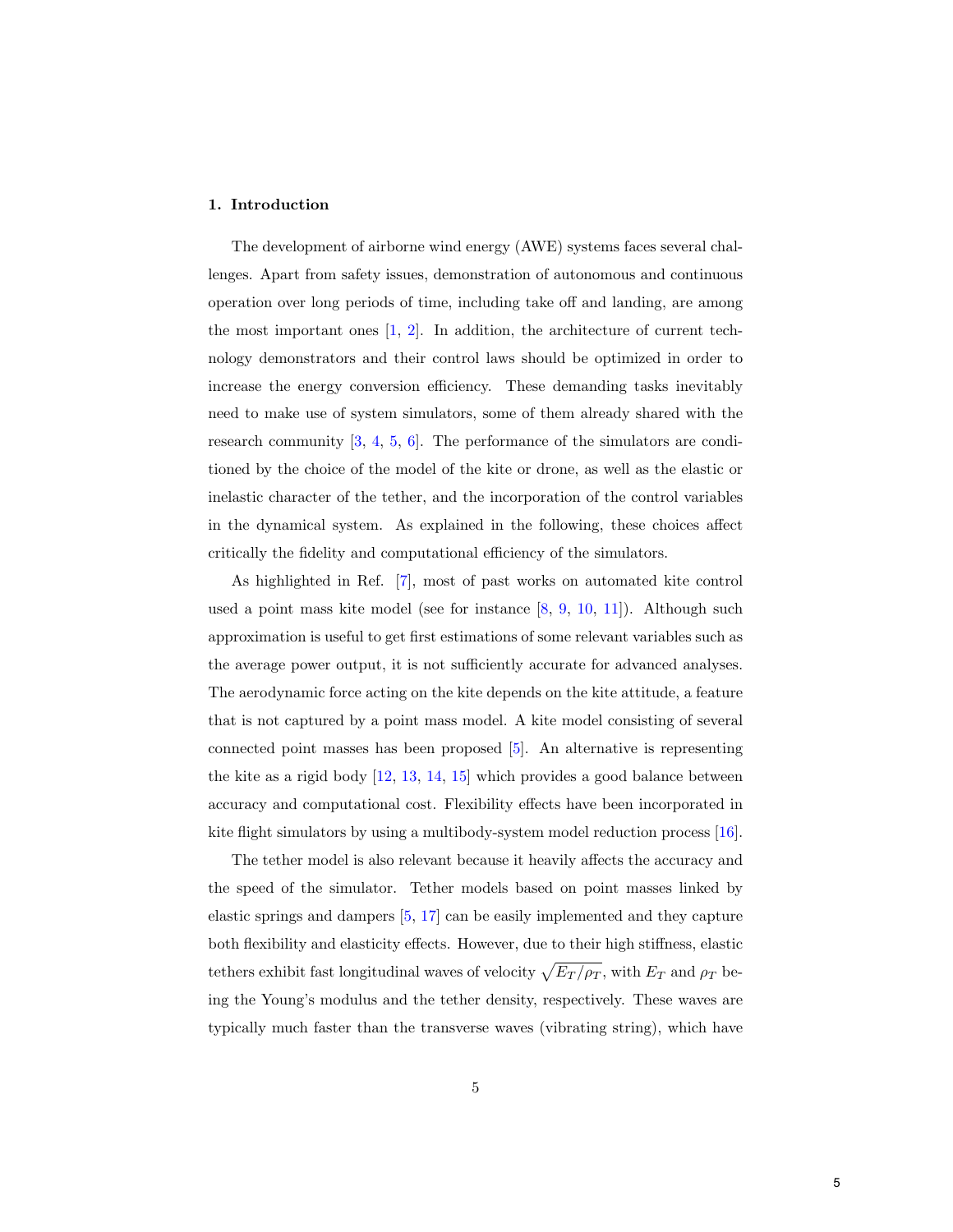## 1. Introduction

The development of airborne wind energy (AWE) systems faces several challenges. Apart from safety issues, demonstration of autonomous and continuous operation over long periods of time, including take off and landing, are among the most important ones [\[1,](#page-38-0) [2\]](#page-38-1). In addition, the architecture of current technology demonstrators and their control laws should be optimized in order to increase the energy conversion efficiency. These demanding tasks inevitably need to make use of system simulators, some of them already shared with the research community  $[3, 4, 5, 6]$  $[3, 4, 5, 6]$  $[3, 4, 5, 6]$  $[3, 4, 5, 6]$  $[3, 4, 5, 6]$  $[3, 4, 5, 6]$  $[3, 4, 5, 6]$ . The performance of the simulators are conditioned by the choice of the model of the kite or drone, as well as the elastic or inelastic character of the tether, and the incorporation of the control variables in the dynamical system. As explained in the following, these choices affect critically the fidelity and computational efficiency of the simulators.

As highlighted in Ref. [\[7\]](#page-39-3), most of past works on automated kite control used a point mass kite model (see for instance [\[8,](#page-39-4) [9,](#page-39-5) [10,](#page-39-6) [11\]](#page-39-7)). Although such approximation is useful to get first estimations of some relevant variables such as the average power output, it is not sufficiently accurate for advanced analyses. The aerodynamic force acting on the kite depends on the kite attitude, a feature that is not captured by a point mass model. A kite model consisting of several connected point masses has been proposed [\[5\]](#page-39-1). An alternative is representing the kite as a rigid body [\[12,](#page-40-0) [13,](#page-40-1) [14,](#page-40-2) [15\]](#page-40-3) which provides a good balance between accuracy and computational cost. Flexibility effects have been incorporated in kite flight simulators by using a multibody-system model reduction process [\[16\]](#page-40-4).

The tether model is also relevant because it heavily affects the accuracy and the speed of the simulator. Tether models based on point masses linked by elastic springs and dampers [\[5,](#page-39-1) [17\]](#page-40-5) can be easily implemented and they capture both flexibility and elasticity effects. However, due to their high stiffness, elastic tethers exhibit fast longitudinal waves of velocity  $\sqrt{E_T/\rho_T}$ , with  $E_T$  and  $\rho_T$  being the Young's modulus and the tether density, respectively. These waves are typically much faster than the transverse waves (vibrating string), which have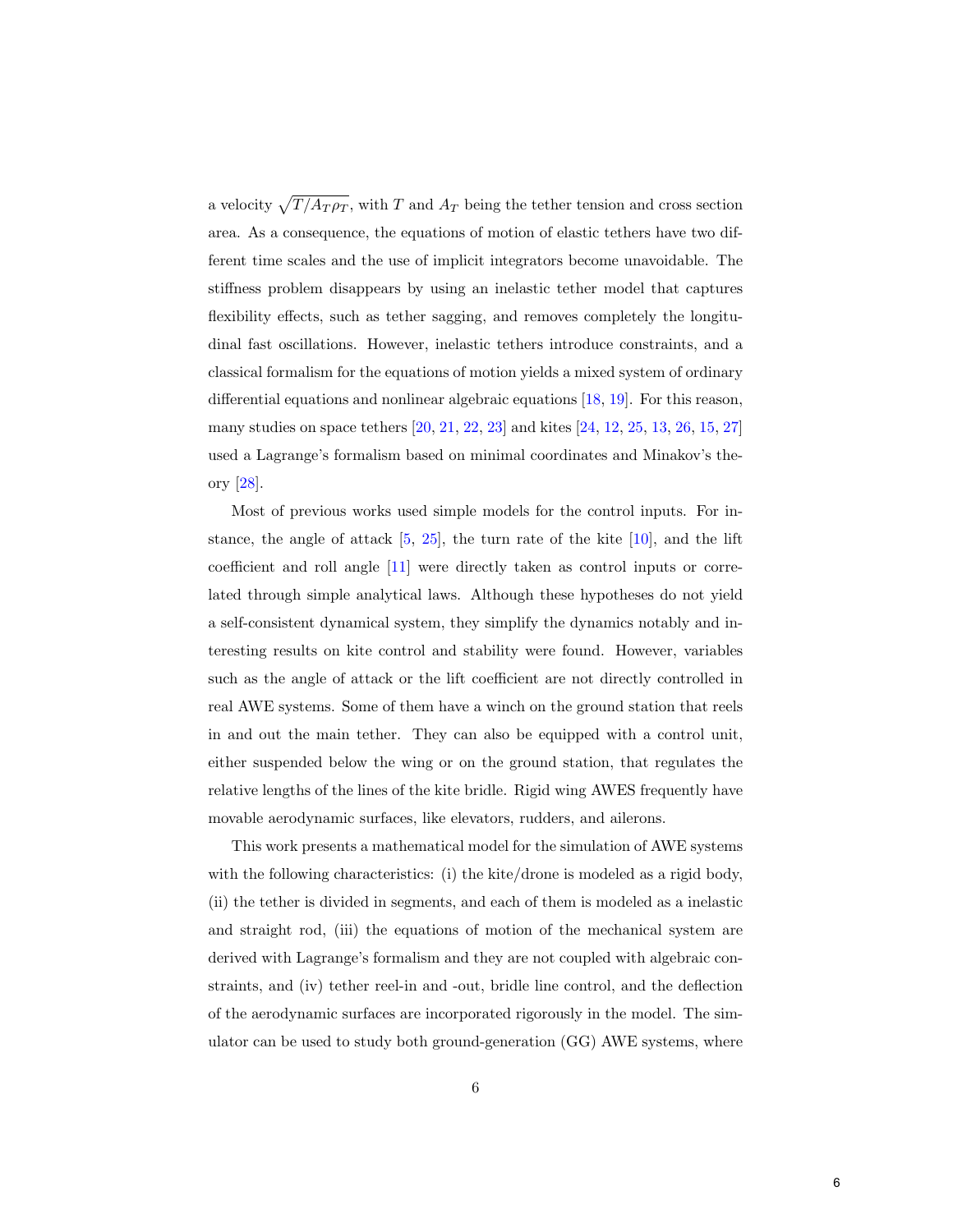a velocity  $\sqrt{T / A_T \rho_T}$ , with T and  $A_T$  being the tether tension and cross section area. As a consequence, the equations of motion of elastic tethers have two different time scales and the use of implicit integrators become unavoidable. The stiffness problem disappears by using an inelastic tether model that captures flexibility effects, such as tether sagging, and removes completely the longitudinal fast oscillations. However, inelastic tethers introduce constraints, and a classical formalism for the equations of motion yields a mixed system of ordinary differential equations and nonlinear algebraic equations [\[18,](#page-40-6) [19\]](#page-40-7). For this reason, many studies on space tethers [\[20,](#page-40-8) [21,](#page-41-0) [22,](#page-41-1) [23\]](#page-41-2) and kites [\[24,](#page-41-3) [12,](#page-40-0) [25,](#page-41-4) [13,](#page-40-1) [26,](#page-41-5) [15,](#page-40-3) [27\]](#page-41-6) used a Lagrange's formalism based on minimal coordinates and Minakov's theory [\[28\]](#page-41-7).

Most of previous works used simple models for the control inputs. For instance, the angle of attack  $[5, 25]$  $[5, 25]$  $[5, 25]$ , the turn rate of the kite  $[10]$ , and the lift coefficient and roll angle [\[11\]](#page-39-7) were directly taken as control inputs or correlated through simple analytical laws. Although these hypotheses do not yield a self-consistent dynamical system, they simplify the dynamics notably and interesting results on kite control and stability were found. However, variables such as the angle of attack or the lift coefficient are not directly controlled in real AWE systems. Some of them have a winch on the ground station that reels in and out the main tether. They can also be equipped with a control unit, either suspended below the wing or on the ground station, that regulates the relative lengths of the lines of the kite bridle. Rigid wing AWES frequently have movable aerodynamic surfaces, like elevators, rudders, and ailerons.

This work presents a mathematical model for the simulation of AWE systems with the following characteristics: (i) the kite/drone is modeled as a rigid body, (ii) the tether is divided in segments, and each of them is modeled as a inelastic and straight rod, (iii) the equations of motion of the mechanical system are derived with Lagrange's formalism and they are not coupled with algebraic constraints, and (iv) tether reel-in and -out, bridle line control, and the deflection of the aerodynamic surfaces are incorporated rigorously in the model. The simulator can be used to study both ground-generation (GG) AWE systems, where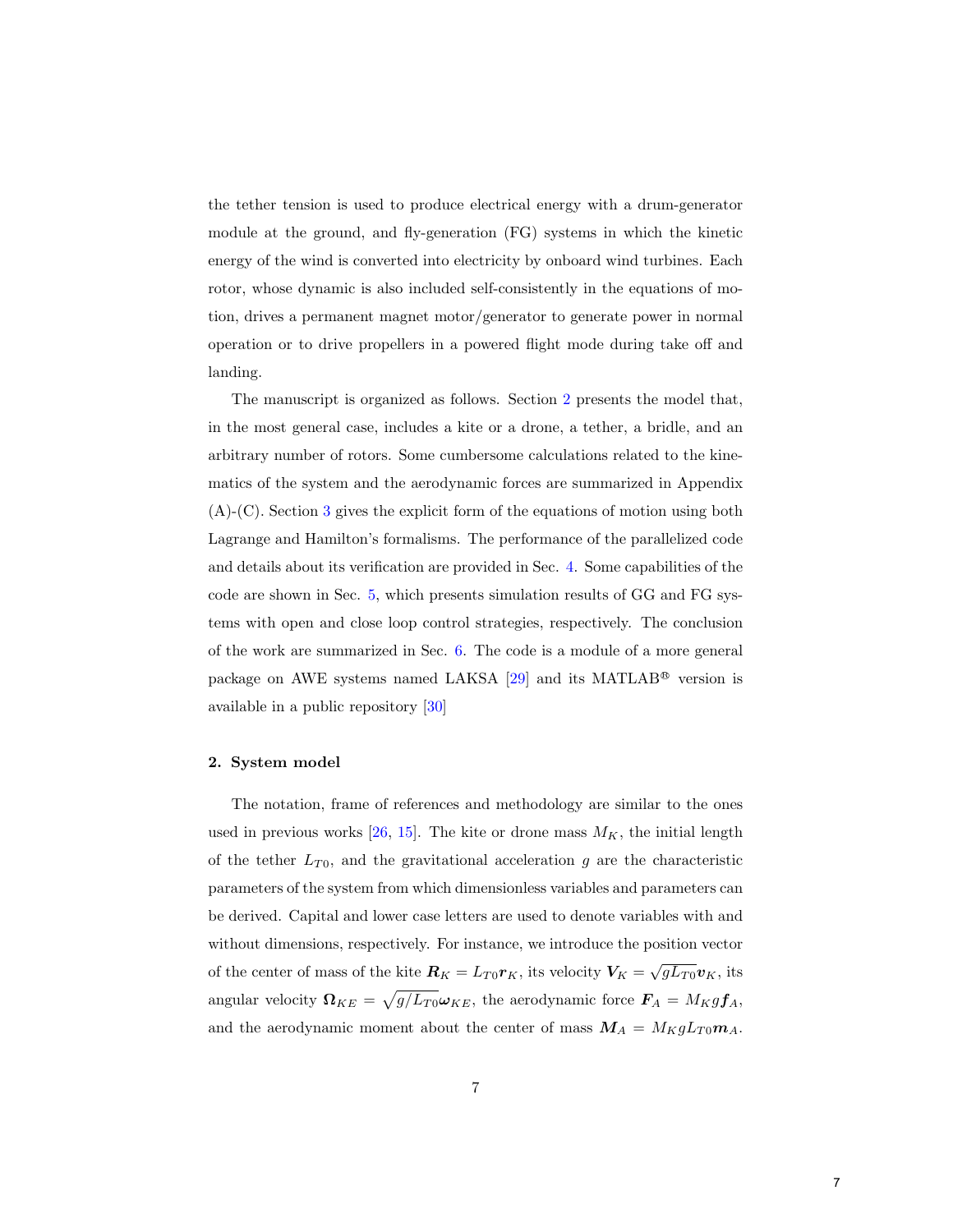the tether tension is used to produce electrical energy with a drum-generator module at the ground, and fly-generation (FG) systems in which the kinetic energy of the wind is converted into electricity by onboard wind turbines. Each rotor, whose dynamic is also included self-consistently in the equations of motion, drives a permanent magnet motor/generator to generate power in normal operation or to drive propellers in a powered flight mode during take off and landing.

The manuscript is organized as follows. Section [2](#page-7-0) presents the model that, in the most general case, includes a kite or a drone, a tether, a bridle, and an arbitrary number of rotors. Some cumbersome calculations related to the kinematics of the system and the aerodynamic forces are summarized in Appendix (A)-(C). Section [3](#page-15-0) gives the explicit form of the equations of motion using both Lagrange and Hamilton's formalisms. The performance of the parallelized code and details about its verification are provided in Sec. [4.](#page-19-0) Some capabilities of the code are shown in Sec. [5,](#page-25-0) which presents simulation results of GG and FG systems with open and close loop control strategies, respectively. The conclusion of the work are summarized in Sec. [6.](#page-30-0) The code is a module of a more general package on AWE systems named LAKSA  $[29]$  and its MATLAB<sup>®</sup> version is available in a public repository [\[30\]](#page-42-0)

## <span id="page-7-0"></span>2. System model

The notation, frame of references and methodology are similar to the ones used in previous works  $[26, 15]$  $[26, 15]$  $[26, 15]$ . The kite or drone mass  $M_K$ , the initial length of the tether  $L_{T0}$ , and the gravitational acceleration g are the characteristic parameters of the system from which dimensionless variables and parameters can be derived. Capital and lower case letters are used to denote variables with and without dimensions, respectively. For instance, we introduce the position vector of the center of mass of the kite  $\mathbf{R}_K = L_{T0} \mathbf{r}_K$ , its velocity  $\mathbf{V}_K = \sqrt{gL_{T0}} \mathbf{v}_K$ , its angular velocity  $\mathbf{\Omega}_{KE} = \sqrt{g/L_{T0}} \boldsymbol{\omega}_{KE}$ , the aerodynamic force  $\boldsymbol{F}_A = M_K g \boldsymbol{f}_A$ , and the aerodynamic moment about the center of mass  $M_A = M_K g L_{T0} m_A$ .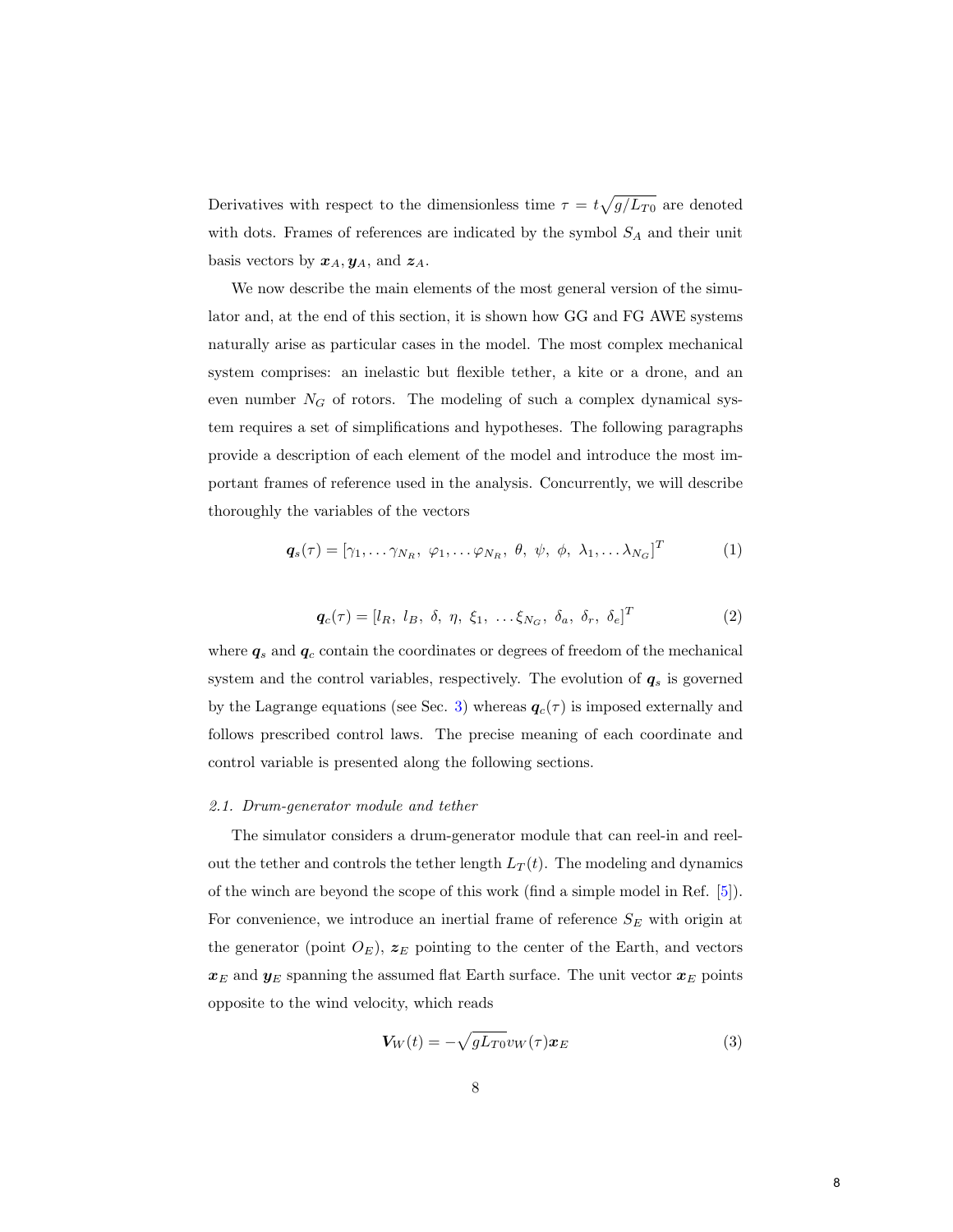Derivatives with respect to the dimensionless time  $\tau = t\sqrt{g/L_{T0}}$  are denoted with dots. Frames of references are indicated by the symbol  $S_A$  and their unit basis vectors by  $x_A, y_A$ , and  $z_A$ .

We now describe the main elements of the most general version of the simulator and, at the end of this section, it is shown how GG and FG AWE systems naturally arise as particular cases in the model. The most complex mechanical system comprises: an inelastic but flexible tether, a kite or a drone, and an even number  $N_G$  of rotors. The modeling of such a complex dynamical system requires a set of simplifications and hypotheses. The following paragraphs provide a description of each element of the model and introduce the most important frames of reference used in the analysis. Concurrently, we will describe thoroughly the variables of the vectors

<span id="page-8-1"></span>
$$
\boldsymbol{q}_s(\tau) = [\gamma_1, \dots \gamma_{N_R}, \ \varphi_1, \dots \varphi_{N_R}, \ \theta, \ \psi, \ \phi, \ \lambda_1, \dots \lambda_{N_G}]^T
$$
 (1)

$$
\boldsymbol{q}_c(\tau) = [l_R, l_B, \delta, \eta, \xi_1, \dots, \xi_{N_G}, \delta_a, \delta_r, \delta_e]^T
$$
 (2)

<span id="page-8-0"></span>where  $q_s$  and  $q_c$  contain the coordinates or degrees of freedom of the mechanical system and the control variables, respectively. The evolution of  $q_s$  is governed by the Lagrange equations (see Sec. [3\)](#page-15-0) whereas  $q_c(\tau)$  is imposed externally and follows prescribed control laws. The precise meaning of each coordinate and control variable is presented along the following sections.

#### 2.1. Drum-generator module and tether

The simulator considers a drum-generator module that can reel-in and reelout the tether and controls the tether length  $L_T(t)$ . The modeling and dynamics of the winch are beyond the scope of this work (find a simple model in Ref. [\[5\]](#page-39-1)). For convenience, we introduce an inertial frame of reference  $S_E$  with origin at the generator (point  $O_E$ ),  $z_E$  pointing to the center of the Earth, and vectors  $x_E$  and  $y_E$  spanning the assumed flat Earth surface. The unit vector  $x_E$  points opposite to the wind velocity, which reads

$$
V_W(t) = -\sqrt{gL_{T0}}v_W(\tau)\boldsymbol{x}_E
$$
\n(3)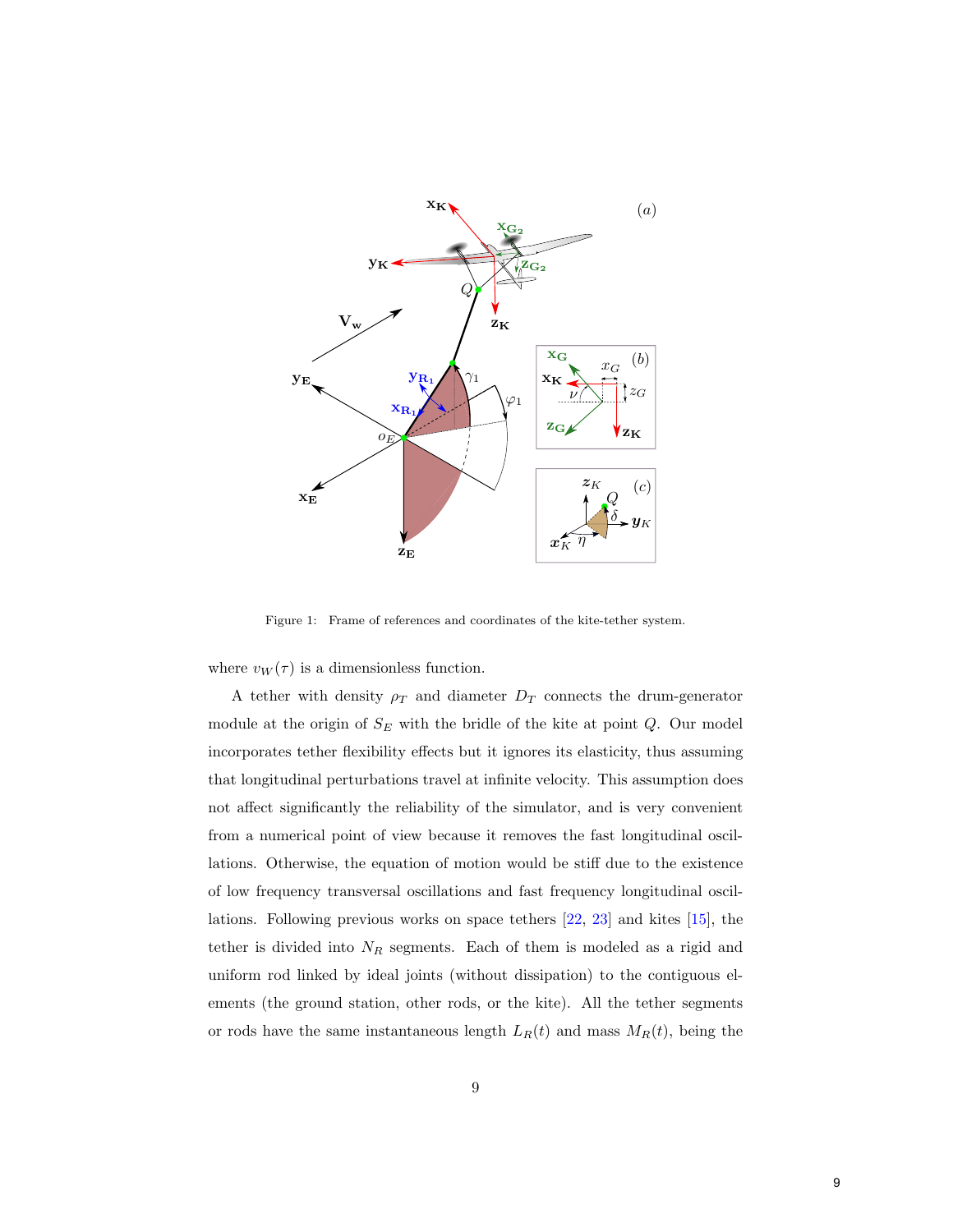

Figure 1: Frame of references and coordinates of the kite-tether system.

where  $v_W(\tau)$  is a dimensionless function.

A tether with density  $\rho_T$  and diameter  $D_T$  connects the drum-generator module at the origin of  $S_E$  with the bridle of the kite at point  $Q$ . Our model incorporates tether flexibility effects but it ignores its elasticity, thus assuming that longitudinal perturbations travel at infinite velocity. This assumption does not affect significantly the reliability of the simulator, and is very convenient from a numerical point of view because it removes the fast longitudinal oscillations. Otherwise, the equation of motion would be stiff due to the existence of low frequency transversal oscillations and fast frequency longitudinal oscillations. Following previous works on space tethers [\[22,](#page-41-1) [23\]](#page-41-2) and kites [\[15\]](#page-40-3), the tether is divided into  $N_R$  segments. Each of them is modeled as a rigid and uniform rod linked by ideal joints (without dissipation) to the contiguous elements (the ground station, other rods, or the kite). All the tether segments or rods have the same instantaneous length  $L_R(t)$  and mass  $M_R(t)$ , being the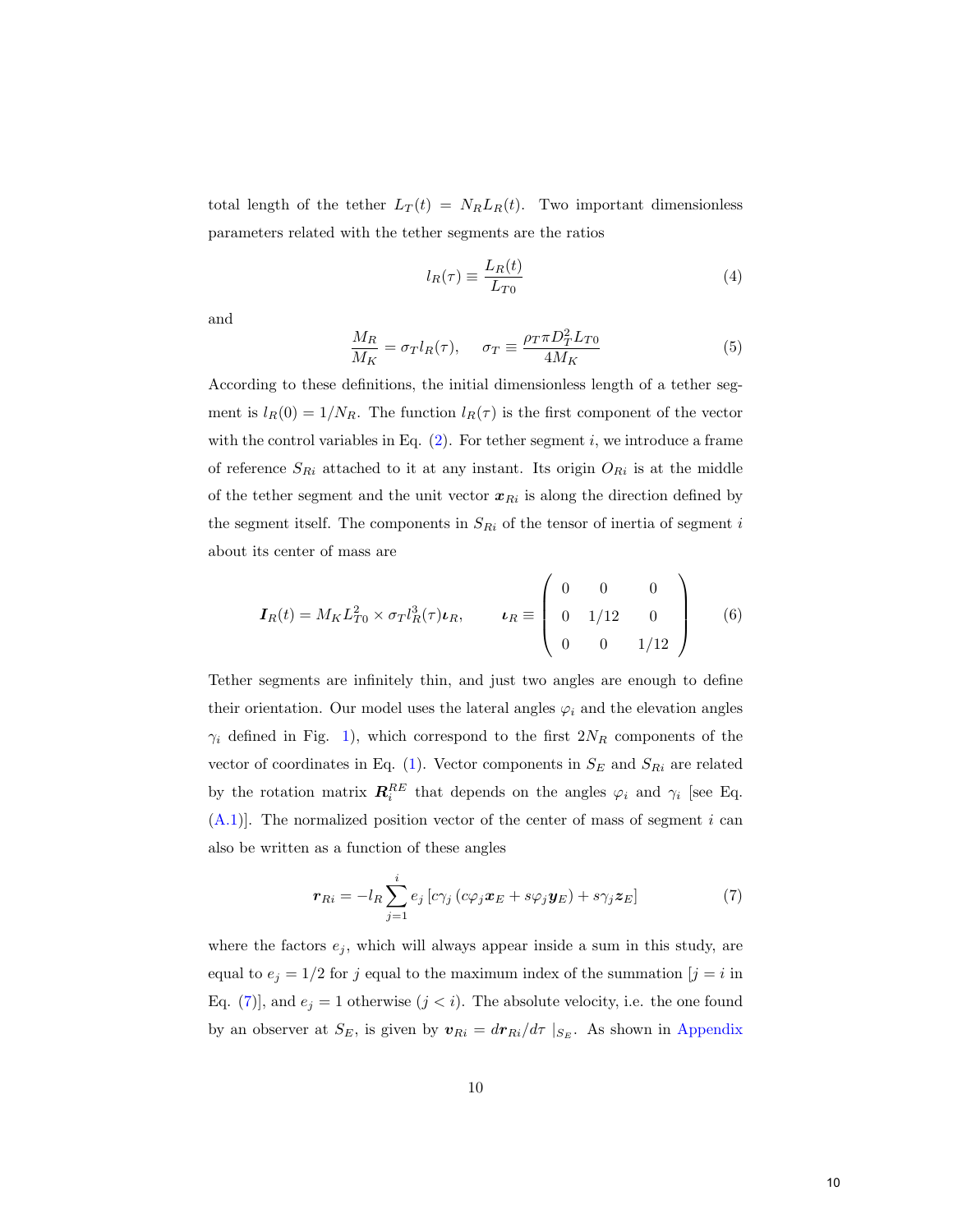total length of the tether  $L_T(t) = N_R L_R(t)$ . Two important dimensionless parameters related with the tether segments are the ratios

$$
l_R(\tau) \equiv \frac{L_R(t)}{L_{T0}}\tag{4}
$$

and

$$
\frac{M_R}{M_K} = \sigma_T l_R(\tau), \qquad \sigma_T \equiv \frac{\rho_T \pi D_T^2 L_{T0}}{4M_K} \tag{5}
$$

According to these definitions, the initial dimensionless length of a tether segment is  $l_R(0) = 1/N_R$ . The function  $l_R(\tau)$  is the first component of the vector with the control variables in Eq.  $(2)$ . For tether segment i, we introduce a frame of reference  $S_{Ri}$  attached to it at any instant. Its origin  $O_{Ri}$  is at the middle of the tether segment and the unit vector  $x_{Ri}$  is along the direction defined by the segment itself. The components in  $S_{Ri}$  of the tensor of inertia of segment i about its center of mass are

$$
I_R(t) = M_K L_{T0}^2 \times \sigma_T l_R^3(\tau) \nu_R, \qquad \nu_R \equiv \begin{pmatrix} 0 & 0 & 0 \\ 0 & 1/12 & 0 \\ 0 & 0 & 1/12 \end{pmatrix}
$$
 (6)

Tether segments are infinitely thin, and just two angles are enough to define their orientation. Our model uses the lateral angles  $\varphi_i$  and the elevation angles  $\gamma_i$  defined in Fig. [1\)](#page--1-0), which correspond to the first  $2N_R$  components of the vector of coordinates in Eq. [\(1\)](#page-8-1). Vector components in  $S_E$  and  $S_{Ri}$  are related by the rotation matrix  $\mathbf{R}_i^{RE}$  that depends on the angles  $\varphi_i$  and  $\gamma_i$  [see Eq.  $(A.1)$ ]. The normalized position vector of the center of mass of segment i can also be written as a function of these angles

<span id="page-10-0"></span>
$$
\boldsymbol{r}_{Ri} = -l_R \sum_{j=1}^{i} e_j \left[ c \gamma_j \left( c \varphi_j \boldsymbol{x}_E + s \varphi_j \boldsymbol{y}_E \right) + s \gamma_j \boldsymbol{z}_E \right] \tag{7}
$$

where the factors  $e_j$ , which will always appear inside a sum in this study, are equal to  $e_j = 1/2$  for j equal to the maximum index of the summation  $[j = i$  in Eq. [\(7\)](#page-10-0)], and  $e_j = 1$  otherwise  $(j < i)$ . The absolute velocity, i.e. the one found by an observer at  $S_E$ , is given by  $\mathbf{v}_{Ri} = d\mathbf{r}_{Ri}/d\tau |_{S_E}$ . As shown in [Appendix](#page-33-0)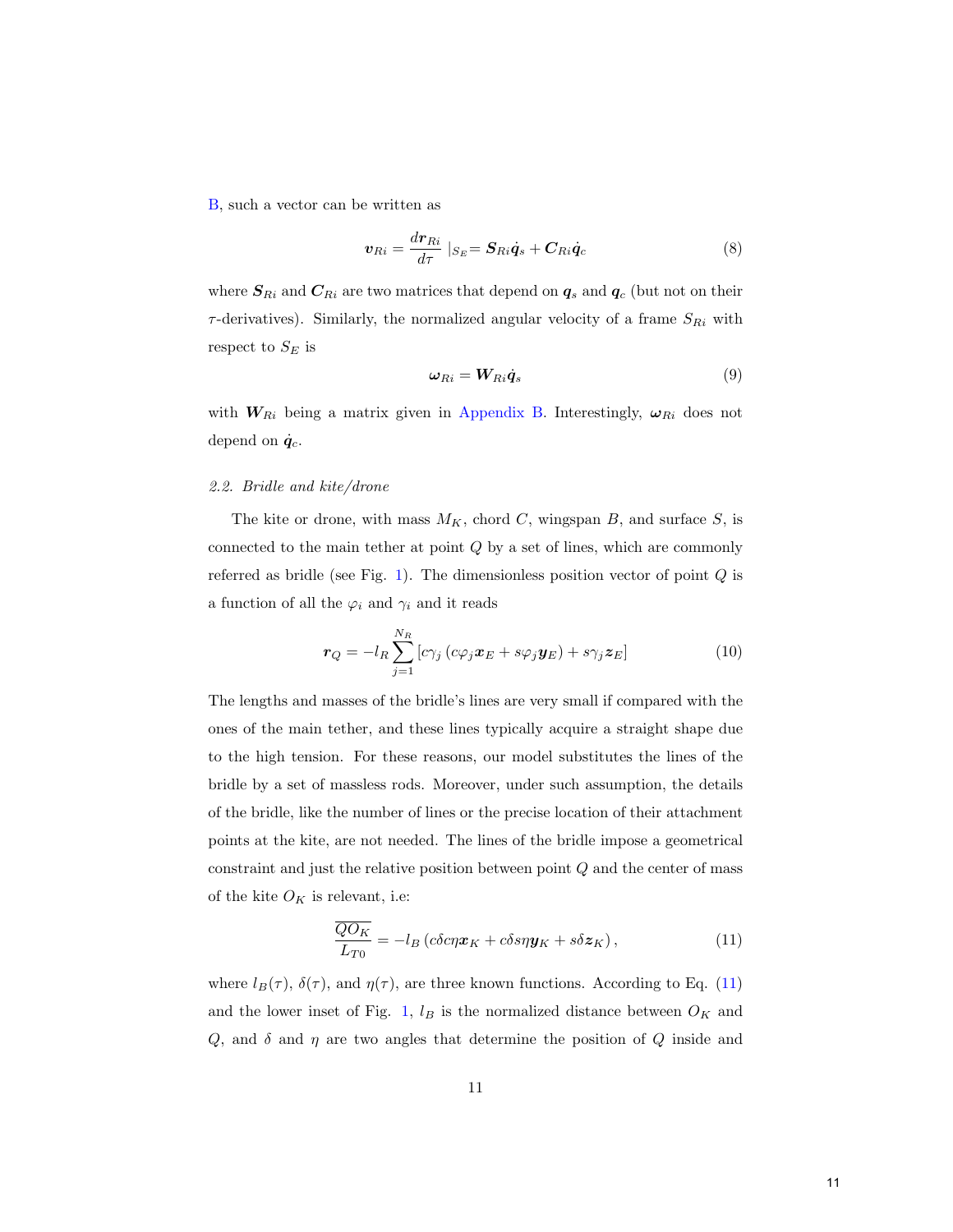[B,](#page-33-0) such a vector can be written as

<span id="page-11-3"></span><span id="page-11-2"></span>
$$
\boldsymbol{v}_{Ri} = \frac{d\boldsymbol{r}_{Ri}}{d\tau} \mid_{S_E} = \boldsymbol{S}_{Ri}\dot{\boldsymbol{q}}_s + \boldsymbol{C}_{Ri}\dot{\boldsymbol{q}}_c \tag{8}
$$

where  $S_{Ri}$  and  $C_{Ri}$  are two matrices that depend on  $q_s$  and  $q_c$  (but not on their  $\tau$ -derivatives). Similarly, the normalized angular velocity of a frame  $S_{Ri}$  with respect to  $S_E$  is

$$
\omega_{Ri} = W_{Ri}\dot{q}_s \tag{9}
$$

with  $W_{Ri}$  being a matrix given in [Appendix B.](#page-33-0) Interestingly,  $\omega_{Ri}$  does not depend on  $\dot{q}_c$ .

# 2.2. Bridle and kite/drone

The kite or drone, with mass  $M_K$ , chord C, wingspan B, and surface S, is connected to the main tether at point  $Q$  by a set of lines, which are commonly referred as bridle (see Fig. [1\)](#page--1-0). The dimensionless position vector of point  $Q$  is a function of all the  $\varphi_i$  and  $\gamma_i$  and it reads

<span id="page-11-1"></span>
$$
\boldsymbol{r}_{Q} = -l_{R} \sum_{j=1}^{N_{R}} \left[ c\gamma_{j} \left( c\varphi_{j} \boldsymbol{x}_{E} + s\varphi_{j} \boldsymbol{y}_{E} \right) + s\gamma_{j} \boldsymbol{z}_{E} \right]
$$
(10)

The lengths and masses of the bridle's lines are very small if compared with the ones of the main tether, and these lines typically acquire a straight shape due to the high tension. For these reasons, our model substitutes the lines of the bridle by a set of massless rods. Moreover, under such assumption, the details of the bridle, like the number of lines or the precise location of their attachment points at the kite, are not needed. The lines of the bridle impose a geometrical constraint and just the relative position between point Q and the center of mass of the kite  $O_K$  is relevant, i.e:

<span id="page-11-0"></span>
$$
\frac{\overline{QO_K}}{L_{T0}} = -l_B \left( c \delta c \eta \boldsymbol{x}_K + c \delta s \eta \boldsymbol{y}_K + s \delta \boldsymbol{z}_K \right),\tag{11}
$$

where  $l_B(\tau)$ ,  $\delta(\tau)$ , and  $\eta(\tau)$ , are three known functions. According to Eq. [\(11\)](#page-11-0) and the lower inset of Fig. [1,](#page--1-0)  $l_B$  is the normalized distance between  $O_K$  and  $Q$ , and  $\delta$  and  $\eta$  are two angles that determine the position of  $Q$  inside and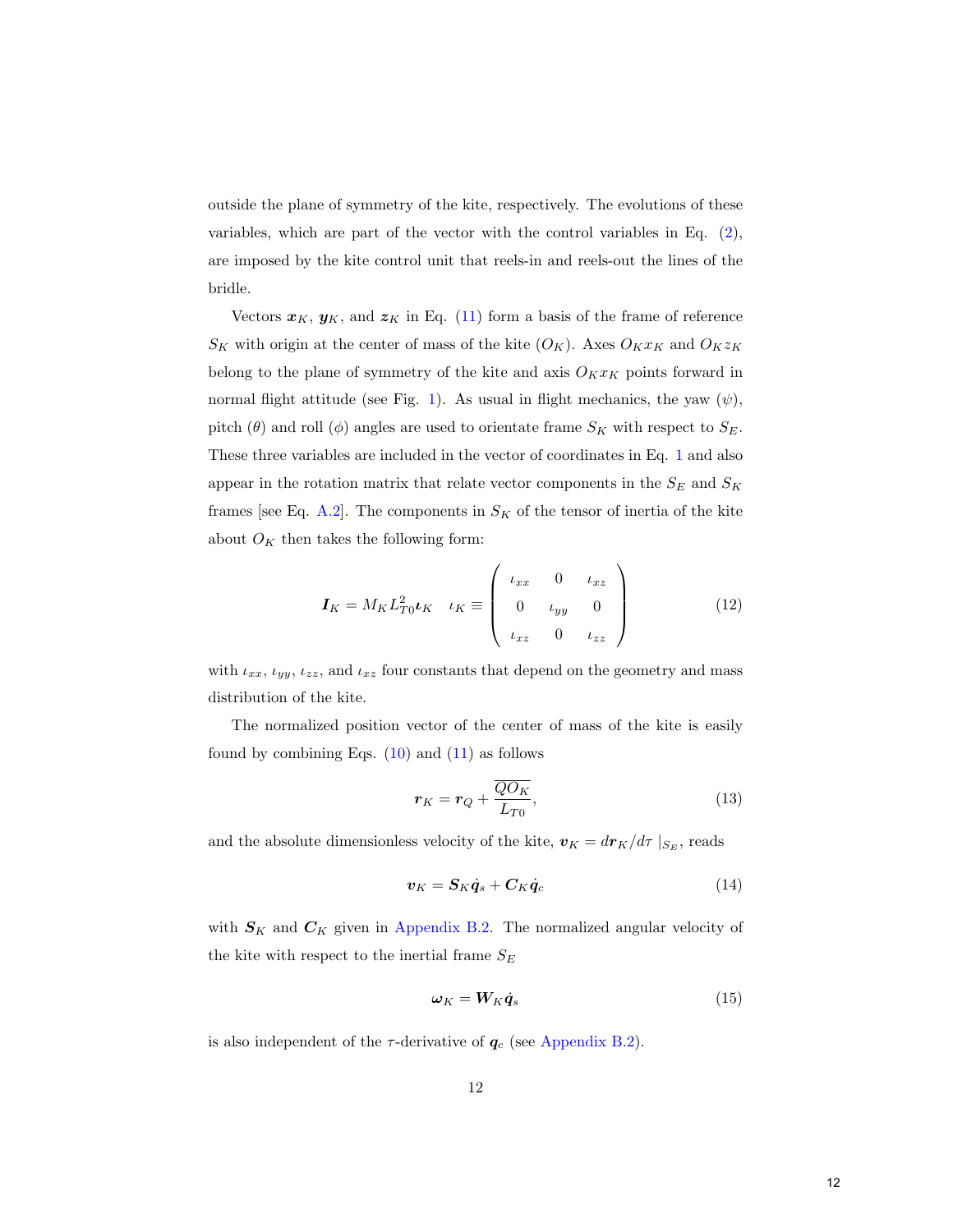outside the plane of symmetry of the kite, respectively. The evolutions of these variables, which are part of the vector with the control variables in Eq. [\(2\)](#page-8-0), are imposed by the kite control unit that reels-in and reels-out the lines of the bridle.

Vectors  $x_K$ ,  $y_K$ , and  $z_K$  in Eq. [\(11\)](#page-11-0) form a basis of the frame of reference  $S_K$  with origin at the center of mass of the kite  $(O_K)$ . Axes  $O_K x_K$  and  $O_K z_K$ belong to the plane of symmetry of the kite and axis  $O_K x_K$  points forward in normal flight attitude (see Fig. [1\)](#page--1-0). As usual in flight mechanics, the yaw  $(\psi)$ , pitch ( $\theta$ ) and roll ( $\phi$ ) angles are used to orientate frame  $S_K$  with respect to  $S_E$ . These three variables are included in the vector of coordinates in Eq. [1](#page-8-1) and also appear in the rotation matrix that relate vector components in the  $S_E$  and  $S_K$ frames [see Eq. [A.2\]](#page-32-1). The components in  $S_K$  of the tensor of inertia of the kite about  $O_K$  then takes the following form:

$$
\boldsymbol{I}_K = M_K L_{T0}^2 \boldsymbol{\iota}_K \quad \iota_K \equiv \begin{pmatrix} \iota_{xx} & 0 & \iota_{xz} \\ 0 & \iota_{yy} & 0 \\ \iota_{xz} & 0 & \iota_{zz} \end{pmatrix} \tag{12}
$$

with  $\iota_{xx}, \iota_{yy}, \iota_{zz}$ , and  $\iota_{xz}$  four constants that depend on the geometry and mass distribution of the kite.

The normalized position vector of the center of mass of the kite is easily found by combining Eqs.  $(10)$  and  $(11)$  as follows

<span id="page-12-2"></span><span id="page-12-0"></span>
$$
\boldsymbol{r}_K = \boldsymbol{r}_Q + \frac{\overline{QO_K}}{L_{T0}},\tag{13}
$$

and the absolute dimensionless velocity of the kite,  $\boldsymbol{v}_K = d\boldsymbol{r}_K/d\tau\mid_{S_E},$  reads

$$
\boldsymbol{v}_K = \boldsymbol{S}_K \dot{\boldsymbol{q}}_s + \boldsymbol{C}_K \dot{\boldsymbol{q}}_c \tag{14}
$$

with  $S_K$  and  $C_K$  given in [Appendix B.2.](#page-34-0) The normalized angular velocity of the kite with respect to the inertial frame  $S_E$ 

<span id="page-12-1"></span>
$$
\omega_K = W_K \dot{q}_s \tag{15}
$$

is also independent of the  $\tau$ -derivative of  $q_c$  (see [Appendix B.2\)](#page-34-0).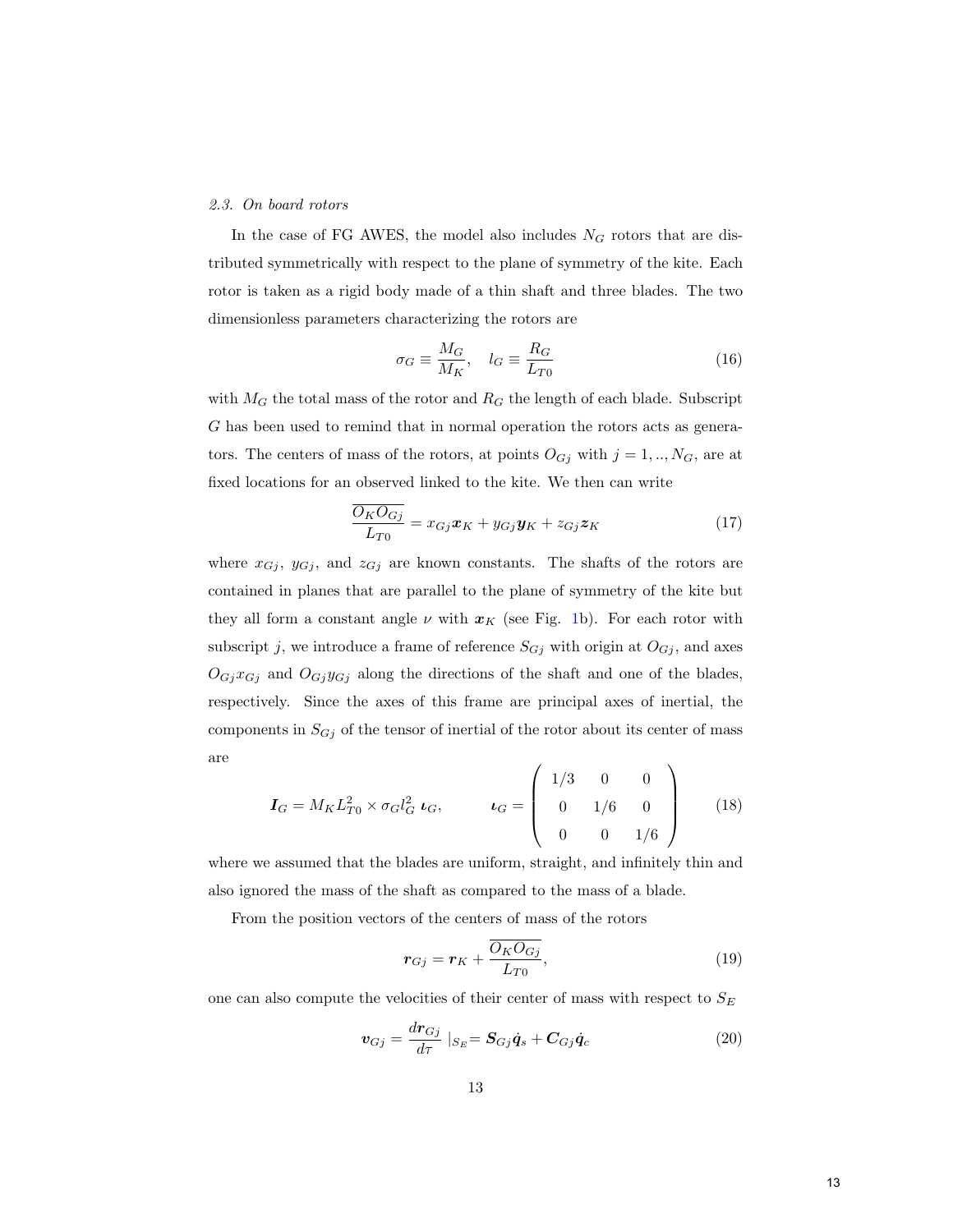### 2.3. On board rotors

In the case of FG AWES, the model also includes  $N<sub>G</sub>$  rotors that are distributed symmetrically with respect to the plane of symmetry of the kite. Each rotor is taken as a rigid body made of a thin shaft and three blades. The two dimensionless parameters characterizing the rotors are

$$
\sigma_G \equiv \frac{M_G}{M_K}, \quad l_G \equiv \frac{R_G}{L_{T0}} \tag{16}
$$

with  $M_G$  the total mass of the rotor and  $R_G$  the length of each blade. Subscript G has been used to remind that in normal operation the rotors acts as generators. The centers of mass of the rotors, at points  $O_{G_j}$  with  $j = 1, ..., N_G$ , are at fixed locations for an observed linked to the kite. We then can write

$$
\frac{\overline{O_K O_{Gj}}}{L_{T0}} = x_{Gj}\boldsymbol{x}_K + y_{Gj}\boldsymbol{y}_K + z_{Gj}\boldsymbol{z}_K
$$
\n(17)

where  $x_{Gj}$ ,  $y_{Gj}$ , and  $z_{Gj}$  are known constants. The shafts of the rotors are contained in planes that are parallel to the plane of symmetry of the kite but they all form a constant angle  $\nu$  with  $x_K$  (see Fig. [1b](#page--1-0)). For each rotor with subscript j, we introduce a frame of reference  $S_{Gj}$  with origin at  $O_{Gj}$ , and axes  $O_{Gj}x_{Gj}$  and  $O_{Gj}y_{Gj}$  along the directions of the shaft and one of the blades, respectively. Since the axes of this frame are principal axes of inertial, the components in  $S_{Gj}$  of the tensor of inertial of the rotor about its center of mass are

$$
\boldsymbol{I}_G = M_K L_{T0}^2 \times \sigma_G l_G^2 \ \boldsymbol{\iota}_G, \qquad \boldsymbol{\iota}_G = \begin{pmatrix} 1/3 & 0 & 0 \\ 0 & 1/6 & 0 \\ 0 & 0 & 1/6 \end{pmatrix} \qquad (18)
$$

where we assumed that the blades are uniform, straight, and infinitely thin and also ignored the mass of the shaft as compared to the mass of a blade.

From the position vectors of the centers of mass of the rotors

<span id="page-13-0"></span>
$$
\boldsymbol{r}_{Gj} = \boldsymbol{r}_K + \frac{\overline{O_K O_{Gj}}}{L_{T0}},\tag{19}
$$

one can also compute the velocities of their center of mass with respect to  ${\cal S}_E$ 

$$
\boldsymbol{v}_{Gj} = \frac{d\boldsymbol{r}_{Gj}}{d\tau}|_{S_E} = \boldsymbol{S}_{Gj}\boldsymbol{\dot{q}}_s + \boldsymbol{C}_{Gj}\boldsymbol{\dot{q}}_c \tag{20}
$$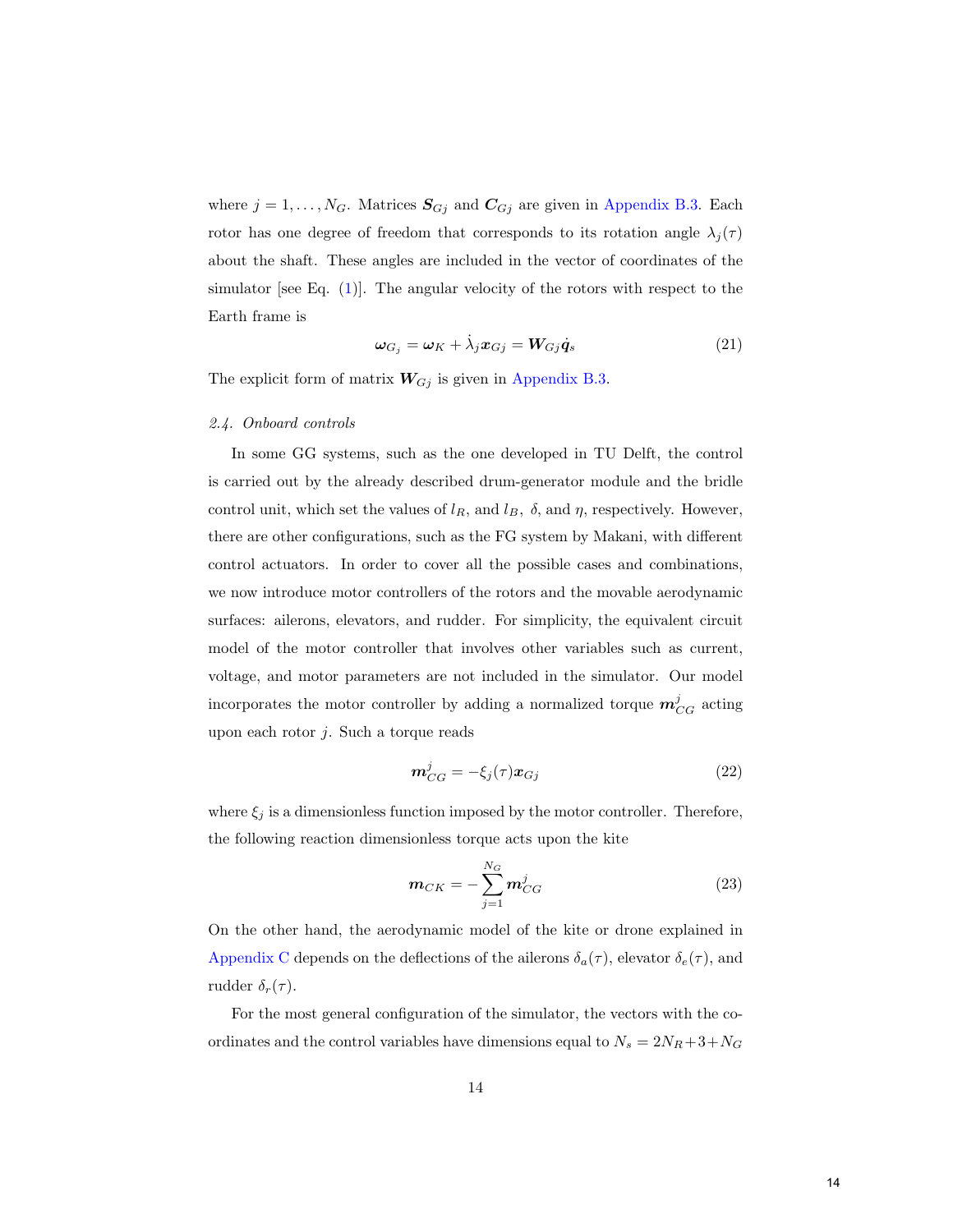where  $j = 1, ..., N_G$ . Matrices  $S_{Gj}$  and  $C_{Gj}$  are given in [Appendix B.3.](#page-36-0) Each rotor has one degree of freedom that corresponds to its rotation angle  $\lambda_j(\tau)$ about the shaft. These angles are included in the vector of coordinates of the simulator [see Eq. [\(1\)](#page-8-1)]. The angular velocity of the rotors with respect to the Earth frame is

<span id="page-14-0"></span>
$$
\omega_{G_j} = \omega_K + \dot{\lambda}_j x_{Gj} = W_{Gj} \dot{q}_s
$$
\n(21)

The explicit form of matrix  $W_{Gj}$  is given in [Appendix B.3.](#page-36-0)

#### 2.4. Onboard controls

In some GG systems, such as the one developed in TU Delft, the control is carried out by the already described drum-generator module and the bridle control unit, which set the values of  $l_R$ , and  $l_B$ ,  $\delta$ , and  $\eta$ , respectively. However, there are other configurations, such as the FG system by Makani, with different control actuators. In order to cover all the possible cases and combinations, we now introduce motor controllers of the rotors and the movable aerodynamic surfaces: ailerons, elevators, and rudder. For simplicity, the equivalent circuit model of the motor controller that involves other variables such as current, voltage, and motor parameters are not included in the simulator. Our model incorporates the motor controller by adding a normalized torque  $m_{CG}^j$  acting upon each rotor j. Such a torque reads

$$
\mathbf{m}_{CG}^j = -\xi_j(\tau)\mathbf{x}_{Gj} \tag{22}
$$

where  $\xi_j$  is a dimensionless function imposed by the motor controller. Therefore, the following reaction dimensionless torque acts upon the kite

$$
m_{CK} = -\sum_{j=1}^{N_G} m_{CG}^j
$$
 (23)

On the other hand, the aerodynamic model of the kite or drone explained in [Appendix C](#page-36-1) depends on the deflections of the ailerons  $\delta_a(\tau)$ , elevator  $\delta_e(\tau)$ , and rudder  $\delta_r(\tau)$ .

For the most general configuration of the simulator, the vectors with the coordinates and the control variables have dimensions equal to  $N_s = 2N_R + 3 + N_G$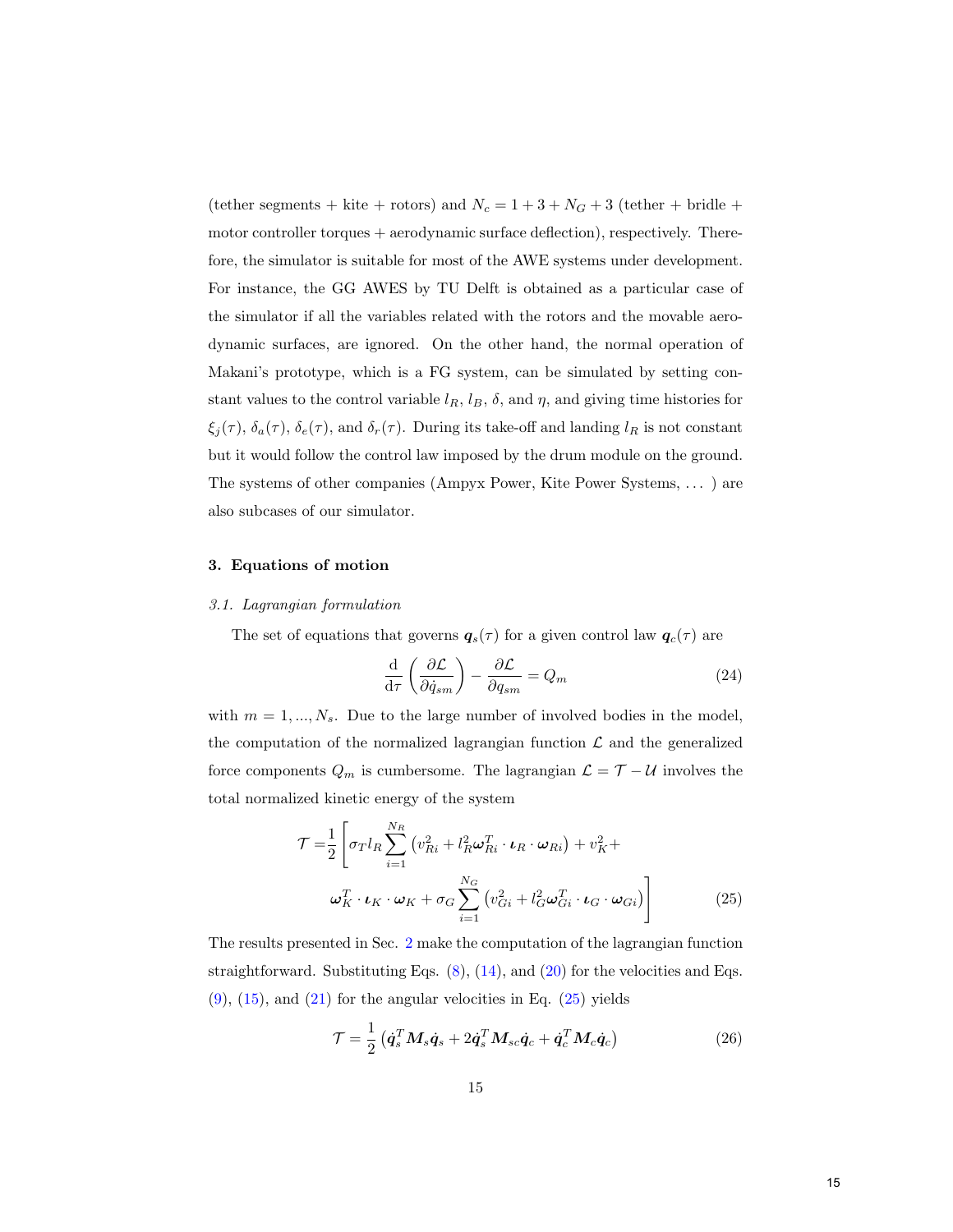(tether segments + kite + rotors) and  $N_c = 1 + 3 + N_G + 3$  (tether + bridle + motor controller torques + aerodynamic surface deflection), respectively. Therefore, the simulator is suitable for most of the AWE systems under development. For instance, the GG AWES by TU Delft is obtained as a particular case of the simulator if all the variables related with the rotors and the movable aerodynamic surfaces, are ignored. On the other hand, the normal operation of Makani's prototype, which is a FG system, can be simulated by setting constant values to the control variable  $l_R$ ,  $l_B$ ,  $\delta$ , and  $\eta$ , and giving time histories for  $\xi_j(\tau)$ ,  $\delta_a(\tau)$ ,  $\delta_e(\tau)$ , and  $\delta_r(\tau)$ . During its take-off and landing  $l_R$  is not constant but it would follow the control law imposed by the drum module on the ground. The systems of other companies (Ampyx Power, Kite Power Systems, . . . ) are also subcases of our simulator.

# <span id="page-15-0"></span>3. Equations of motion

# 3.1. Lagrangian formulation

The set of equations that governs  $q_s(\tau)$  for a given control law  $q_c(\tau)$  are

<span id="page-15-2"></span><span id="page-15-1"></span>
$$
\frac{\mathrm{d}}{\mathrm{d}\tau} \left( \frac{\partial \mathcal{L}}{\partial \dot{q}_{sm}} \right) - \frac{\partial \mathcal{L}}{\partial q_{sm}} = Q_m \tag{24}
$$

with  $m = 1, ..., N_s$ . Due to the large number of involved bodies in the model, the computation of the normalized lagrangian function  $\mathcal L$  and the generalized force components  $Q_m$  is cumbersome. The lagrangian  $\mathcal{L} = \mathcal{T} - \mathcal{U}$  involves the total normalized kinetic energy of the system

$$
\mathcal{T} = \frac{1}{2} \left[ \sigma_T l_R \sum_{i=1}^{N_R} \left( v_{Ri}^2 + l_R^2 \omega_{Ri}^T \cdot \boldsymbol{\iota}_R \cdot \omega_{Ri} \right) + v_K^2 + \omega_K^T \cdot \boldsymbol{\iota}_K \cdot \omega_K + \sigma_G \sum_{i=1}^{N_G} \left( v_{Gi}^2 + l_G^2 \omega_{Gi}^T \cdot \boldsymbol{\iota}_G \cdot \omega_{Gi} \right) \right]
$$
(25)

The results presented in Sec. [2](#page-7-0) make the computation of the lagrangian function straightforward. Substituting Eqs.  $(8)$ ,  $(14)$ , and  $(20)$  for the velocities and Eqs.  $(9)$ ,  $(15)$ , and  $(21)$  for the angular velocities in Eq.  $(25)$  yields

<span id="page-15-3"></span>
$$
\mathcal{T} = \frac{1}{2} \left( \dot{\boldsymbol{q}}_s^T \boldsymbol{M}_s \dot{\boldsymbol{q}}_s + 2 \dot{\boldsymbol{q}}_s^T \boldsymbol{M}_{sc} \dot{\boldsymbol{q}}_c + \dot{\boldsymbol{q}}_c^T \boldsymbol{M}_c \dot{\boldsymbol{q}}_c \right)
$$
(26)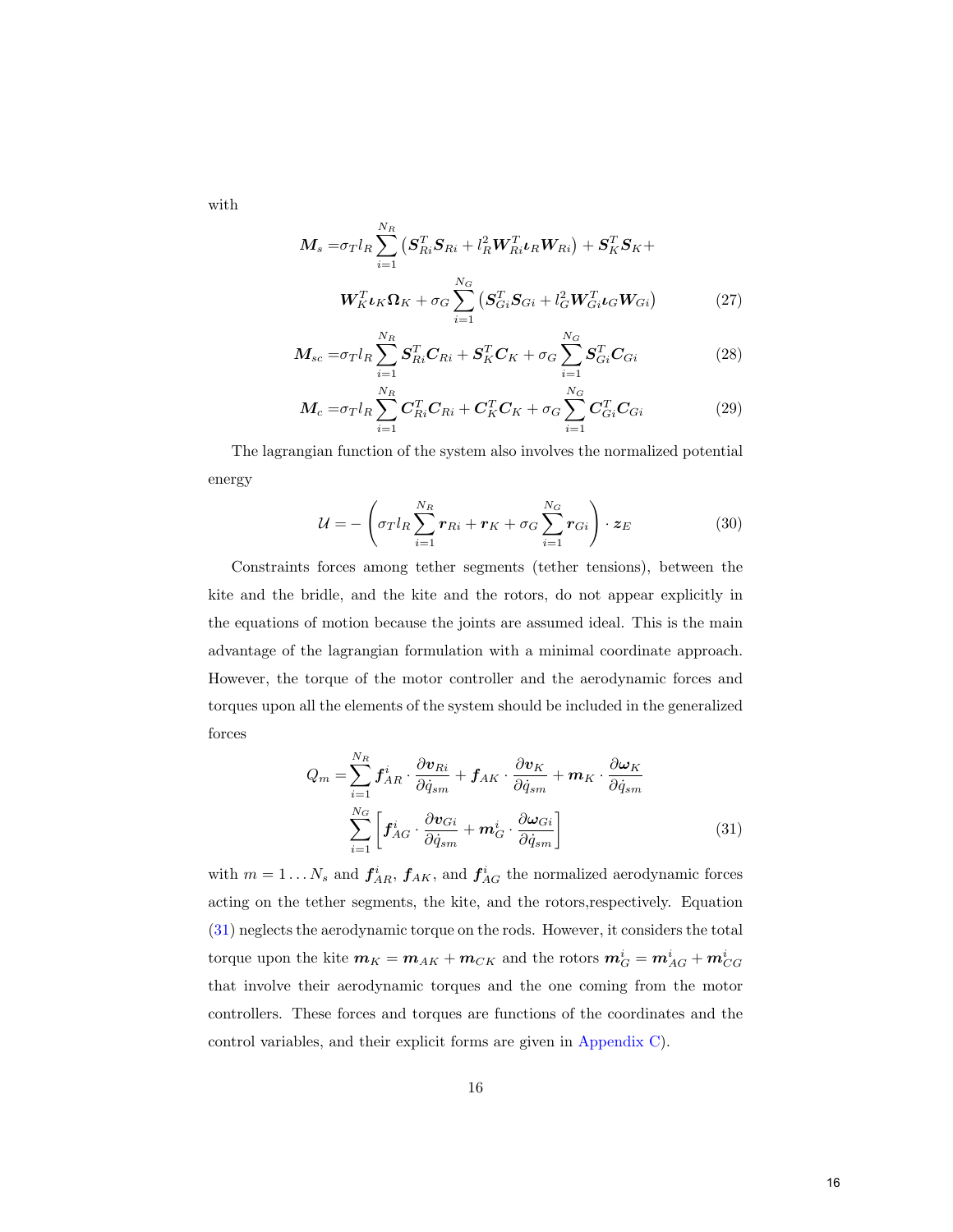with

$$
\boldsymbol{M}_{s} = \sigma_{T} l_{R} \sum_{i=1}^{N_{R}} \left( \boldsymbol{S}_{R i}^{T} \boldsymbol{S}_{R i} + l_{R}^{2} \boldsymbol{W}_{R i}^{T} \boldsymbol{\iota}_{R} \boldsymbol{W}_{R i} \right) + \boldsymbol{S}_{K}^{T} \boldsymbol{S}_{K} + \boldsymbol{W}_{K} l_{K} \boldsymbol{\Omega}_{K} + \sigma_{G} \sum_{i=1}^{N_{G}} \left( \boldsymbol{S}_{Gi}^{T} \boldsymbol{S}_{Gi} + l_{G}^{2} \boldsymbol{W}_{Gi}^{T} \boldsymbol{\iota}_{G} \boldsymbol{W}_{Gi} \right) \tag{27}
$$

$$
M_{sc} = \sigma_T l_R \sum_{i=1}^{N_R} S_{Ri}^T C_{Ri} + S_K^T C_K + \sigma_G \sum_{i=1}^{N_G} S_{Gi}^T C_{Gi}
$$
 (28)

$$
M_c = \sigma_T l_R \sum_{i=1}^{N_R} C_{Ri}^T C_{Ri} + C_K^T C_K + \sigma_G \sum_{i=1}^{N_G} C_{Gi}^T C_{Gi}
$$
 (29)

The lagrangian function of the system also involves the normalized potential energy

$$
\mathcal{U} = -\left(\sigma_T l_R \sum_{i=1}^{N_R} r_{Ri} + r_K + \sigma_G \sum_{i=1}^{N_G} r_{Gi}\right) \cdot z_E \tag{30}
$$

Constraints forces among tether segments (tether tensions), between the kite and the bridle, and the kite and the rotors, do not appear explicitly in the equations of motion because the joints are assumed ideal. This is the main advantage of the lagrangian formulation with a minimal coordinate approach. However, the torque of the motor controller and the aerodynamic forces and torques upon all the elements of the system should be included in the generalized forces

<span id="page-16-0"></span>
$$
Q_m = \sum_{i=1}^{N_R} \mathbf{f}_{AR}^i \cdot \frac{\partial \mathbf{v}_{Ri}}{\partial \dot{q}_{sm}} + \mathbf{f}_{AK} \cdot \frac{\partial \mathbf{v}_K}{\partial \dot{q}_{sm}} + \mathbf{m}_K \cdot \frac{\partial \boldsymbol{\omega}_K}{\partial \dot{q}_{sm}} \n\sum_{i=1}^{N_G} \left[ \mathbf{f}_{AG}^i \cdot \frac{\partial \mathbf{v}_{Gi}}{\partial \dot{q}_{sm}} + \mathbf{m}_G^i \cdot \frac{\partial \boldsymbol{\omega}_{Gi}}{\partial \dot{q}_{sm}} \right]
$$
\n(31)

with  $m = 1...N_s$  and  $f_{AR}^i$ ,  $f_{AK}$ , and  $f_{AG}^i$  the normalized aerodynamic forces acting on the tether segments, the kite, and the rotors,respectively. Equation [\(31\)](#page-16-0) neglects the aerodynamic torque on the rods. However, it considers the total torque upon the kite  $m_K = m_{AK} + m_{CK}$  and the rotors  $m_G^i = m_{AG}^i + m_{CG}^i$ that involve their aerodynamic torques and the one coming from the motor controllers. These forces and torques are functions of the coordinates and the control variables, and their explicit forms are given in [Appendix C\)](#page-36-1).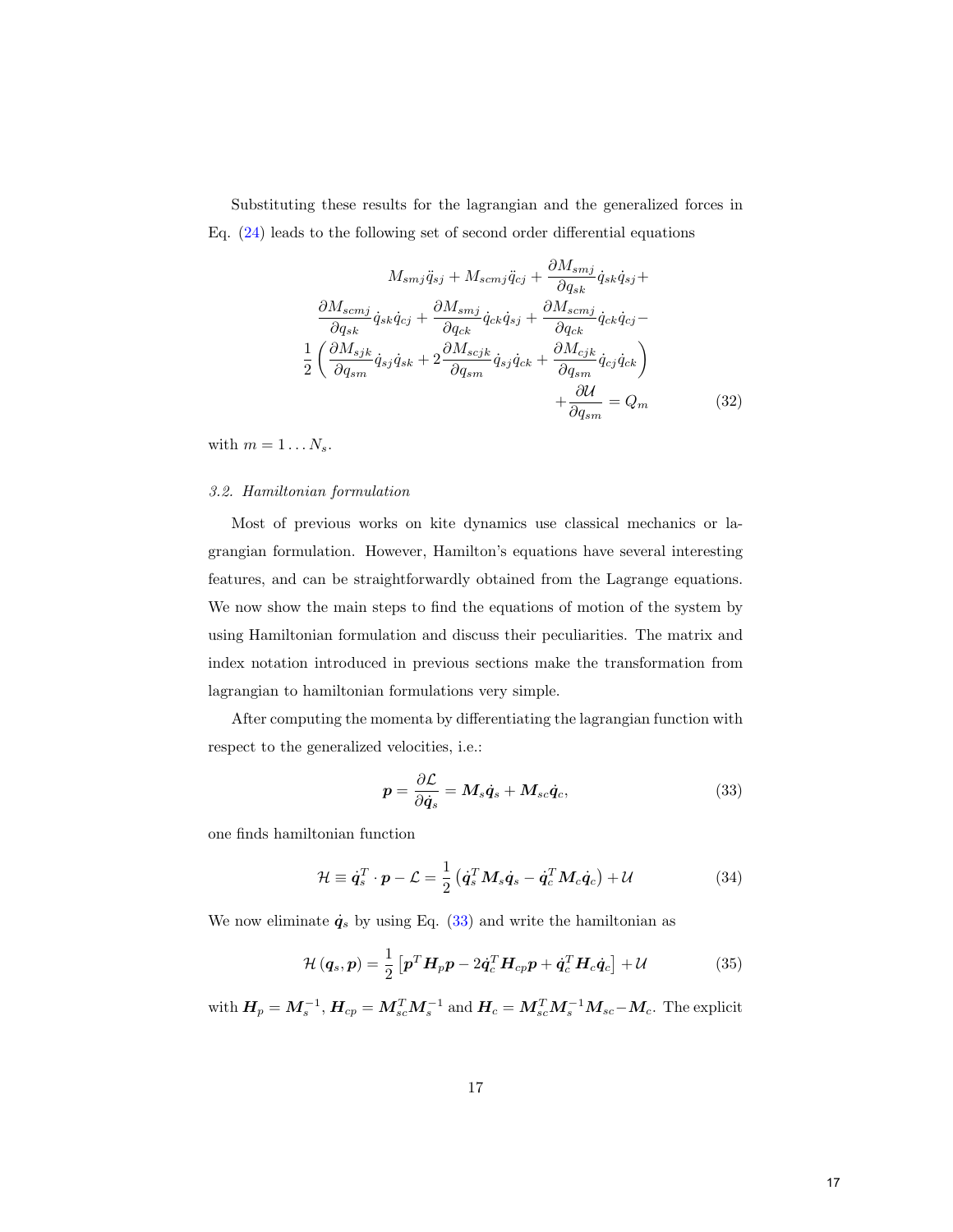Substituting these results for the lagrangian and the generalized forces in Eq.  $(24)$  leads to the following set of second order differential equations

<span id="page-17-1"></span>
$$
M_{smj}\ddot{q}_{sj} + M_{scmj}\ddot{q}_{cj} + \frac{\partial M_{smj}}{\partial q_{sk}}\dot{q}_{sk}\dot{q}_{sj} + \frac{\partial M_{scmj}}{\partial q_{sk}}\dot{q}_{sk}\dot{q}_{sj} + \frac{\partial M_{scmj}}{\partial q_{sk}}\dot{q}_{sk}\dot{q}_{cj} - \frac{1}{2}\left(\frac{\partial M_{sjk}}{\partial q_{sm}}\dot{q}_{sj}\dot{q}_{sk} + 2\frac{\partial M_{scjk}}{\partial q_{sm}}\dot{q}_{sj}\dot{q}_{ck} + \frac{\partial M_{cjk}}{\partial q_{sm}}\dot{q}_{cj}\dot{q}_{ck}\right) + \frac{\partial M}{\partial q_{sm}} = Q_m
$$
\n(32)

with  $m = 1 \dots N_s$ .

#### 3.2. Hamiltonian formulation

Most of previous works on kite dynamics use classical mechanics or lagrangian formulation. However, Hamilton's equations have several interesting features, and can be straightforwardly obtained from the Lagrange equations. We now show the main steps to find the equations of motion of the system by using Hamiltonian formulation and discuss their peculiarities. The matrix and index notation introduced in previous sections make the transformation from lagrangian to hamiltonian formulations very simple.

After computing the momenta by differentiating the lagrangian function with respect to the generalized velocities, i.e.:

<span id="page-17-2"></span><span id="page-17-0"></span>
$$
p = \frac{\partial \mathcal{L}}{\partial \dot{q}_s} = M_s \dot{q}_s + M_{sc} \dot{q}_c, \qquad (33)
$$

one finds hamiltonian function

$$
\mathcal{H} \equiv \dot{\boldsymbol{q}}_s^T \cdot \boldsymbol{p} - \mathcal{L} = \frac{1}{2} \left( \dot{\boldsymbol{q}}_s^T \boldsymbol{M}_s \dot{\boldsymbol{q}}_s - \dot{\boldsymbol{q}}_c^T \boldsymbol{M}_c \dot{\boldsymbol{q}}_c \right) + \mathcal{U}
$$
(34)

We now eliminate  $\dot{q}_s$  by using Eq. [\(33\)](#page-17-0) and write the hamiltonian as

$$
\mathcal{H}(\boldsymbol{q}_s, \boldsymbol{p}) = \frac{1}{2} \left[ \boldsymbol{p}^T \boldsymbol{H}_p \boldsymbol{p} - 2 \dot{\boldsymbol{q}}_c^T \boldsymbol{H}_{cp} \boldsymbol{p} + \dot{\boldsymbol{q}}_c^T \boldsymbol{H}_c \dot{\boldsymbol{q}}_c \right] + \mathcal{U}
$$
(35)

with  $H_p = M_s^{-1}$ ,  $H_{cp} = M_{sc}^T M_s^{-1}$  and  $H_c = M_{sc}^T M_s^{-1} M_{sc} - M_c$ . The explicit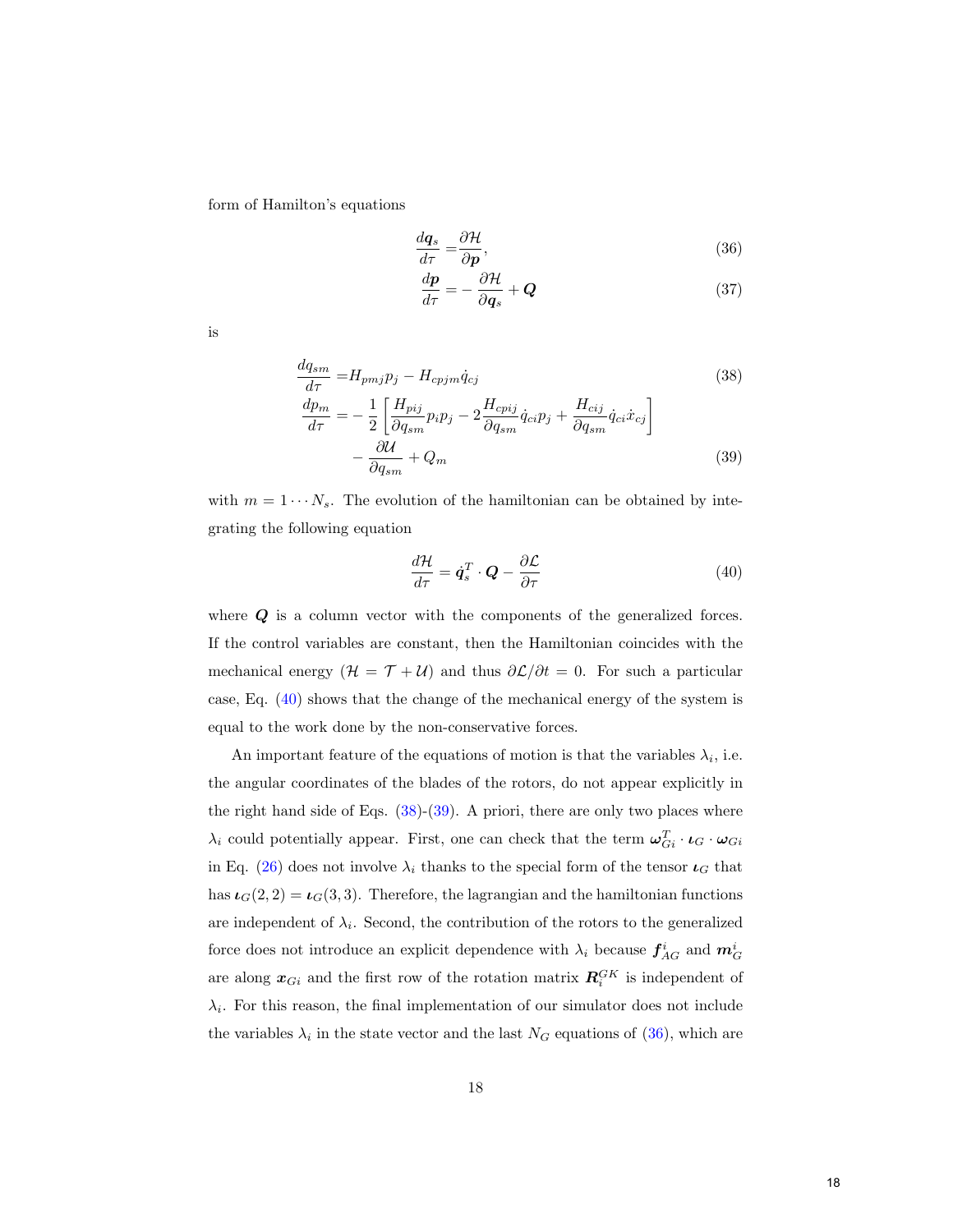form of Hamilton's equations

$$
\frac{d\mathbf{q}_s}{d\tau} = \frac{\partial \mathcal{H}}{\partial \mathbf{p}},\tag{36}
$$

<span id="page-18-3"></span><span id="page-18-1"></span>
$$
\frac{d\boldsymbol{p}}{d\tau} = -\frac{\partial \mathcal{H}}{\partial \boldsymbol{q}_s} + \boldsymbol{Q} \tag{37}
$$

is

$$
\frac{dq_{sm}}{d\tau} = H_{pmj}p_j - H_{cpjm}\dot{q}_{cj}
$$
\n
$$
\frac{dp_m}{d\tau} = -\frac{1}{2} \left[ \frac{H_{pij}}{\partial q_{sm}} p_i p_j - 2 \frac{H_{cpij}}{\partial q_{sm}} \dot{q}_{ci} p_j + \frac{H_{cij}}{\partial q_{sm}} \dot{q}_{ci} \dot{x}_{cj} \right]
$$
\n
$$
-\frac{\partial U}{\partial q_{sm}} + Q_m
$$
\n(39)

with  $m = 1 \cdots N_s$ . The evolution of the hamiltonian can be obtained by integrating the following equation

<span id="page-18-2"></span><span id="page-18-0"></span>
$$
\frac{d\mathcal{H}}{d\tau} = \dot{\boldsymbol{q}}_s^T \cdot \boldsymbol{Q} - \frac{\partial \mathcal{L}}{\partial \tau} \tag{40}
$$

where  $Q$  is a column vector with the components of the generalized forces. If the control variables are constant, then the Hamiltonian coincides with the mechanical energy  $(H = T + U)$  and thus  $\partial \mathcal{L}/\partial t = 0$ . For such a particular case, Eq. [\(40\)](#page-18-0) shows that the change of the mechanical energy of the system is equal to the work done by the non-conservative forces.

An important feature of the equations of motion is that the variables  $\lambda_i$ , i.e. the angular coordinates of the blades of the rotors, do not appear explicitly in the right hand side of Eqs.  $(38)-(39)$  $(38)-(39)$  $(38)-(39)$ . A priori, there are only two places where  $\lambda_i$  could potentially appear. First, one can check that the term  $\omega_{Gi}^T \cdot \iota_G \cdot \omega_{Gi}$ in Eq. [\(26\)](#page-15-3) does not involve  $\lambda_i$  thanks to the special form of the tensor  $\iota_G$  that has  $\iota_G(2, 2) = \iota_G(3, 3)$ . Therefore, the lagrangian and the hamiltonian functions are independent of  $\lambda_i$ . Second, the contribution of the rotors to the generalized force does not introduce an explicit dependence with  $\lambda_i$  because  $f_{AG}^i$  and  $m_G^i$ are along  $x_{Gi}$  and the first row of the rotation matrix  $R_i^{GK}$  is independent of  $\lambda_i$ . For this reason, the final implementation of our simulator does not include the variables  $\lambda_i$  in the state vector and the last  $N_G$  equations of [\(36\)](#page-18-3), which are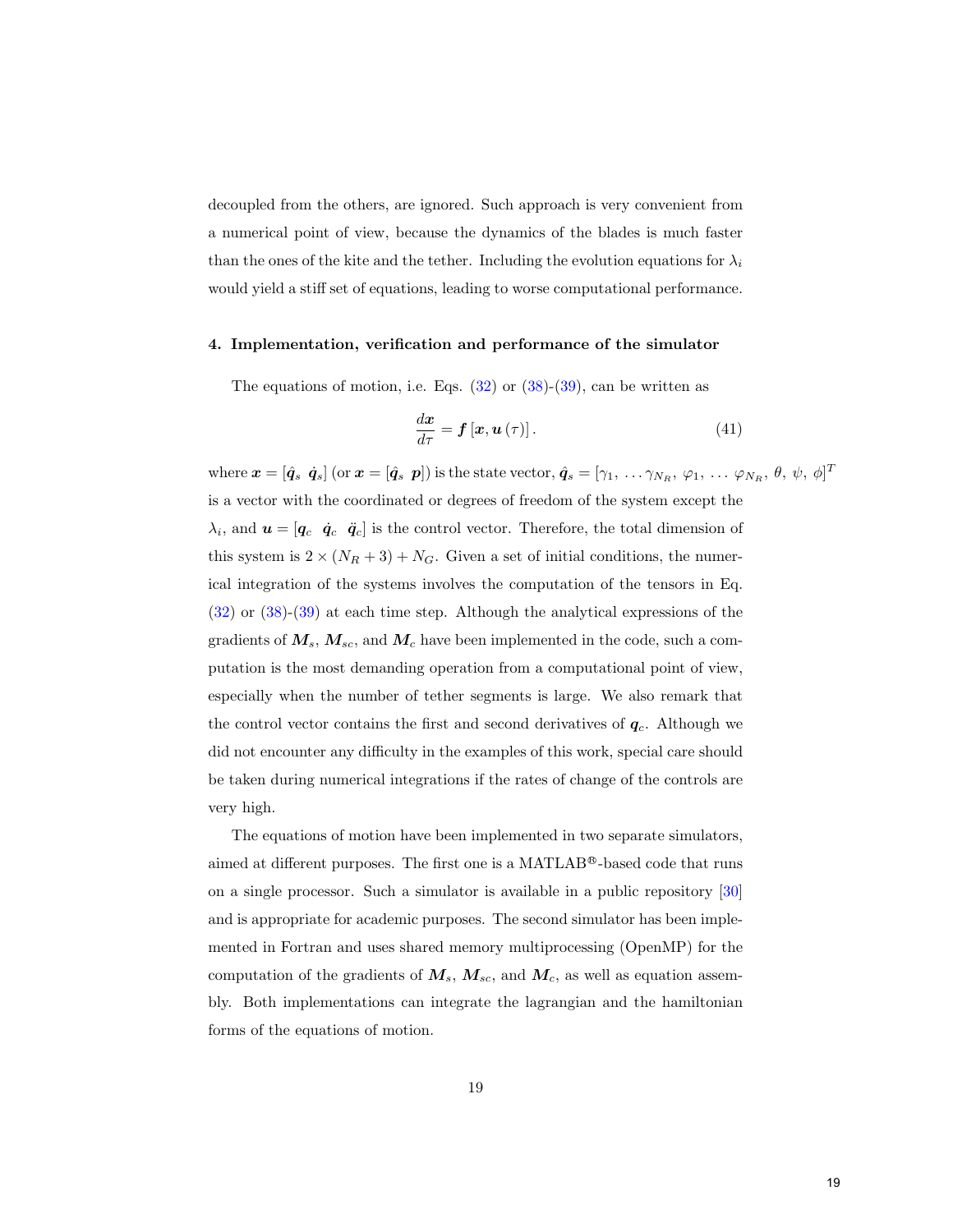decoupled from the others, are ignored. Such approach is very convenient from a numerical point of view, because the dynamics of the blades is much faster than the ones of the kite and the tether. Including the evolution equations for  $\lambda_i$ would yield a stiff set of equations, leading to worse computational performance.

#### <span id="page-19-0"></span>4. Implementation, verification and performance of the simulator

The equations of motion, i.e. Eqs.  $(32)$  or  $(38)-(39)$  $(38)-(39)$  $(38)-(39)$ , can be written as

<span id="page-19-1"></span>
$$
\frac{d\boldsymbol{x}}{d\tau} = \boldsymbol{f}\left[\boldsymbol{x}, \boldsymbol{u}\left(\tau\right)\right].\tag{41}
$$

where  $\boldsymbol{x} = [\hat{\boldsymbol{q}}_s \ \ \boldsymbol{\dot{q}}_s]$  (or  $\boldsymbol{x} = [\hat{\boldsymbol{q}}_s \ \ \boldsymbol{p}]$ ) is the state vector,  $\hat{\boldsymbol{q}}_s = [\gamma_1, \ \ldots \ \gamma_{N_R}, \ \varphi_1, \ \ldots \ \varphi_{N_R}, \ \theta, \ \psi, \ \phi]^T$ is a vector with the coordinated or degrees of freedom of the system except the  $\lambda_i$ , and  $\boldsymbol{u} = [\boldsymbol{q}_c \ \ \boldsymbol{q}_c \ \ \boldsymbol{q}_c]$  is the control vector. Therefore, the total dimension of this system is  $2 \times (N_R + 3) + N_G$ . Given a set of initial conditions, the numerical integration of the systems involves the computation of the tensors in Eq. [\(32\)](#page-17-1) or [\(38\)](#page-18-1)-[\(39\)](#page-18-2) at each time step. Although the analytical expressions of the gradients of  $M_s$ ,  $M_{sc}$ , and  $M_c$  have been implemented in the code, such a computation is the most demanding operation from a computational point of view, especially when the number of tether segments is large. We also remark that the control vector contains the first and second derivatives of  $q_c$ . Although we did not encounter any difficulty in the examples of this work, special care should be taken during numerical integrations if the rates of change of the controls are very high.

The equations of motion have been implemented in two separate simulators, aimed at different purposes. The first one is a MATLAB®-based code that runs on a single processor. Such a simulator is available in a public repository [\[30\]](#page-42-0) and is appropriate for academic purposes. The second simulator has been implemented in Fortran and uses shared memory multiprocessing (OpenMP) for the computation of the gradients of  $M_s$ ,  $M_{sc}$ , and  $M_c$ , as well as equation assembly. Both implementations can integrate the lagrangian and the hamiltonian forms of the equations of motion.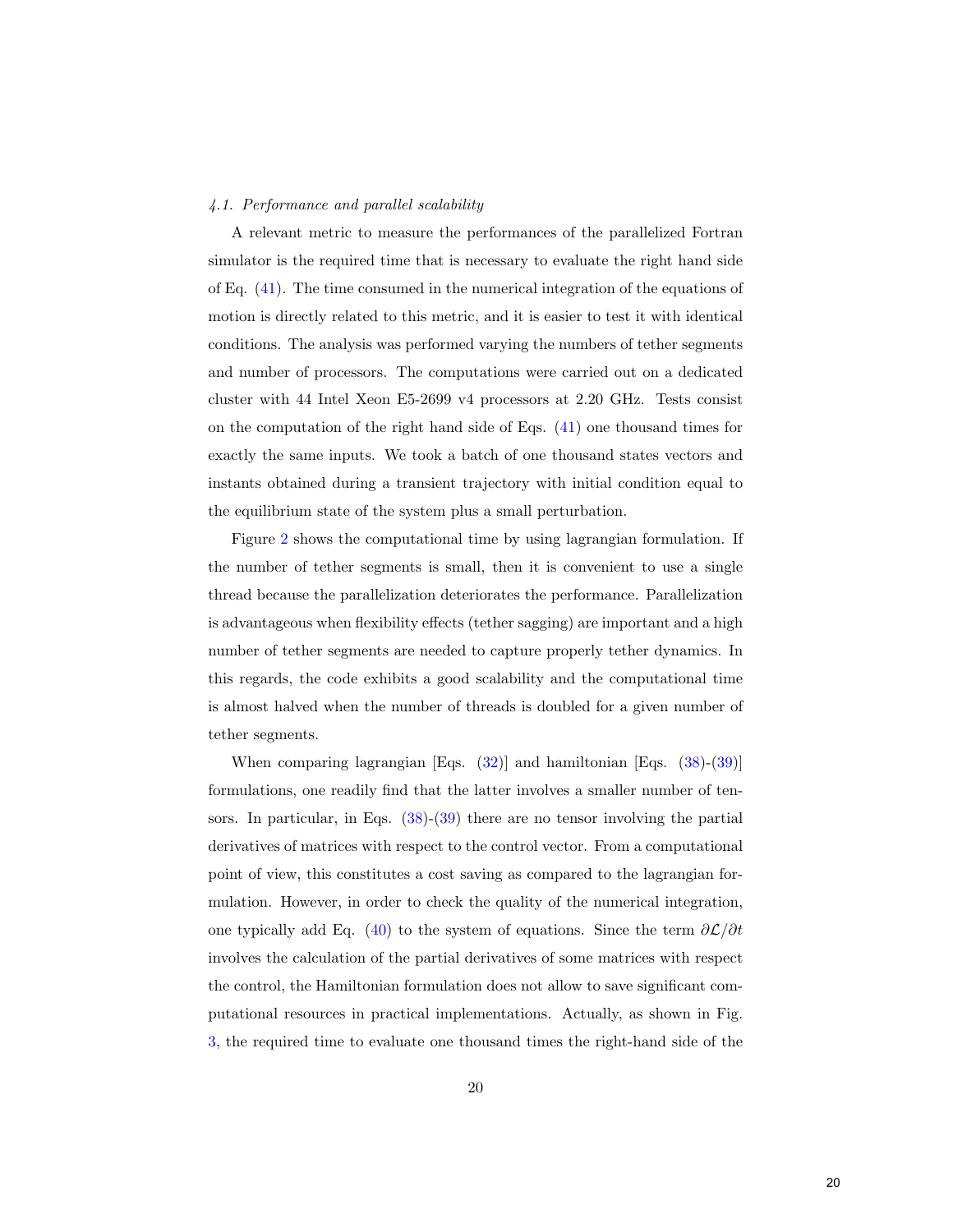## 4.1. Performance and parallel scalability

A relevant metric to measure the performances of the parallelized Fortran simulator is the required time that is necessary to evaluate the right hand side of Eq. [\(41\)](#page-19-1). The time consumed in the numerical integration of the equations of motion is directly related to this metric, and it is easier to test it with identical conditions. The analysis was performed varying the numbers of tether segments and number of processors. The computations were carried out on a dedicated cluster with 44 Intel Xeon E5-2699 v4 processors at 2.20 GHz. Tests consist on the computation of the right hand side of Eqs. [\(41\)](#page-19-1) one thousand times for exactly the same inputs. We took a batch of one thousand states vectors and instants obtained during a transient trajectory with initial condition equal to the equilibrium state of the system plus a small perturbation.

Figure [2](#page-21-0) shows the computational time by using lagrangian formulation. If the number of tether segments is small, then it is convenient to use a single thread because the parallelization deteriorates the performance. Parallelization is advantageous when flexibility effects (tether sagging) are important and a high number of tether segments are needed to capture properly tether dynamics. In this regards, the code exhibits a good scalability and the computational time is almost halved when the number of threads is doubled for a given number of tether segments.

When comparing lagrangian [Eqs. [\(32\)](#page-17-1)] and hamiltonian [Eqs. [\(38\)](#page-18-1)-[\(39\)](#page-18-2)] formulations, one readily find that the latter involves a smaller number of tensors. In particular, in Eqs.  $(38)-(39)$  $(38)-(39)$  $(38)-(39)$  there are no tensor involving the partial derivatives of matrices with respect to the control vector. From a computational point of view, this constitutes a cost saving as compared to the lagrangian formulation. However, in order to check the quality of the numerical integration, one typically add Eq. [\(40\)](#page-18-0) to the system of equations. Since the term  $\partial \mathcal{L}/\partial t$ involves the calculation of the partial derivatives of some matrices with respect the control, the Hamiltonian formulation does not allow to save significant computational resources in practical implementations. Actually, as shown in Fig. [3,](#page-22-0) the required time to evaluate one thousand times the right-hand side of the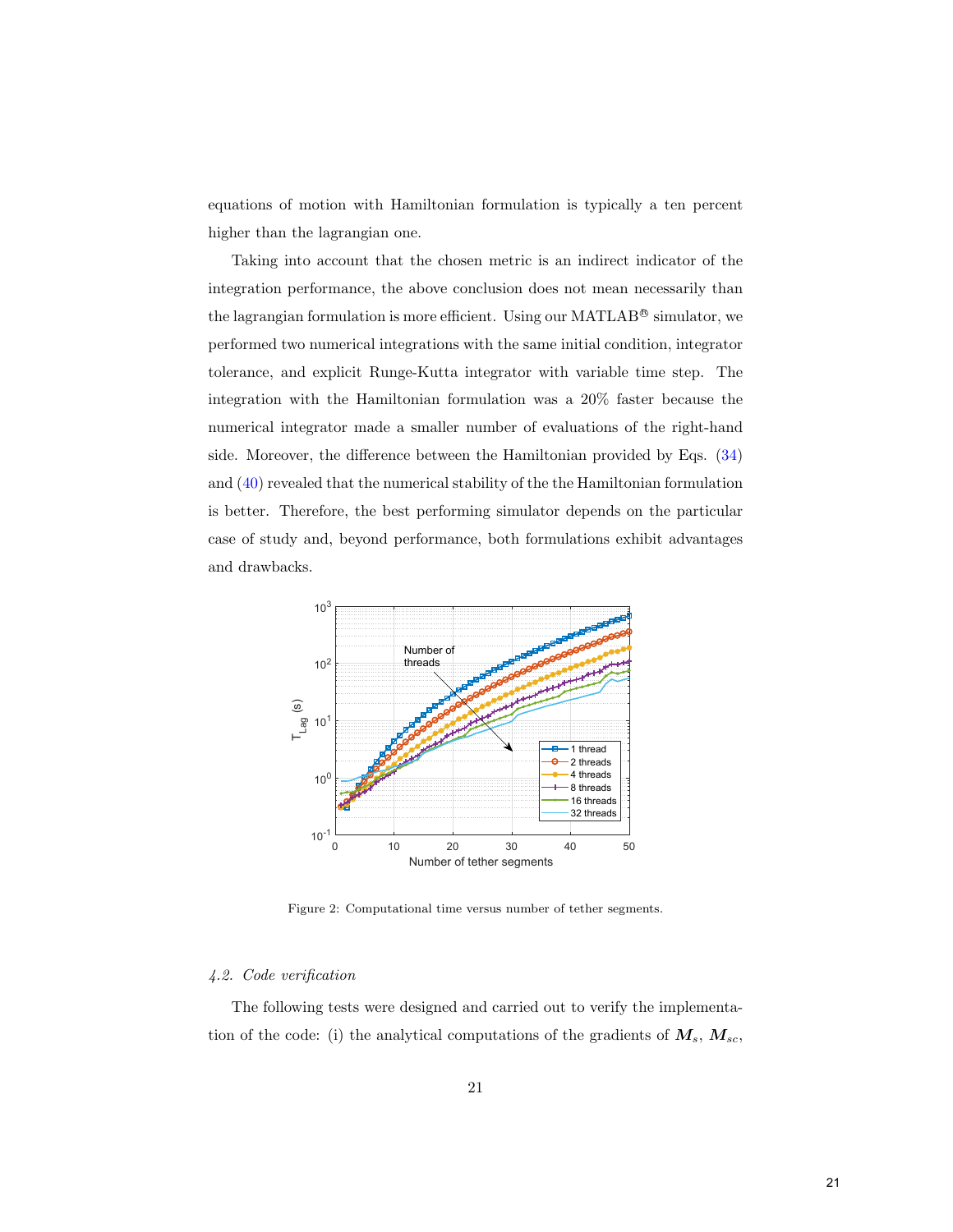equations of motion with Hamiltonian formulation is typically a ten percent higher than the lagrangian one.

Taking into account that the chosen metric is an indirect indicator of the integration performance, the above conclusion does not mean necessarily than the lagrangian formulation is more efficient. Using our MATLAB<sup>®</sup> simulator, we performed two numerical integrations with the same initial condition, integrator tolerance, and explicit Runge-Kutta integrator with variable time step. The integration with the Hamiltonian formulation was a 20% faster because the numerical integrator made a smaller number of evaluations of the right-hand side. Moreover, the difference between the Hamiltonian provided by Eqs. [\(34\)](#page-17-2) and [\(40\)](#page-18-0) revealed that the numerical stability of the the Hamiltonian formulation is better. Therefore, the best performing simulator depends on the particular case of study and, beyond performance, both formulations exhibit advantages and drawbacks.



<span id="page-21-0"></span>Figure 2: Computational time versus number of tether segments.

# 4.2. Code verification

The following tests were designed and carried out to verify the implementation of the code: (i) the analytical computations of the gradients of  $M_s$ ,  $M_{sc}$ ,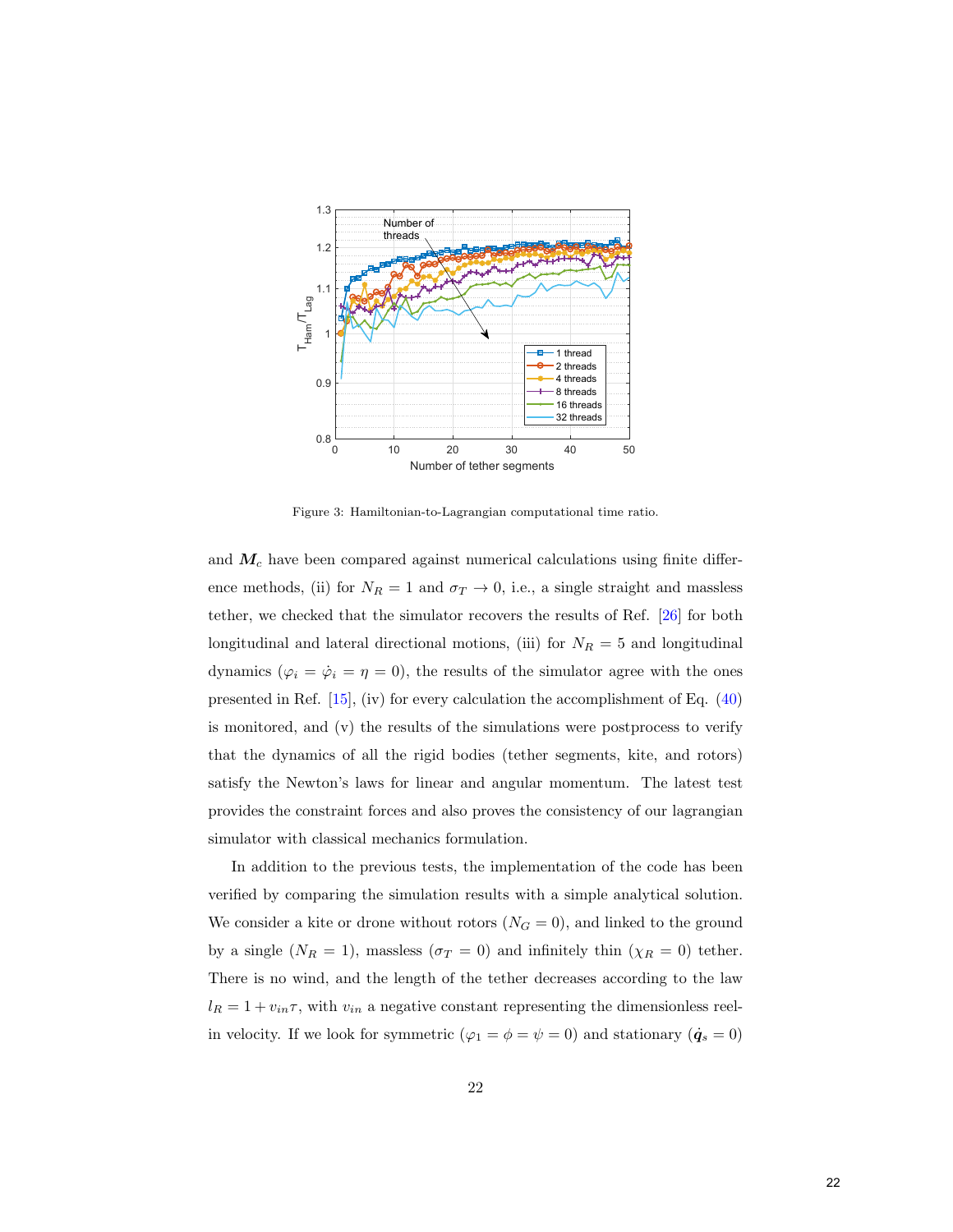

<span id="page-22-0"></span>Figure 3: Hamiltonian-to-Lagrangian computational time ratio.

and  $M_c$  have been compared against numerical calculations using finite difference methods, (ii) for  $N_R = 1$  and  $\sigma_T \to 0$ , i.e., a single straight and massless tether, we checked that the simulator recovers the results of Ref. [\[26\]](#page-41-5) for both longitudinal and lateral directional motions, (iii) for  $N_R = 5$  and longitudinal dynamics ( $\varphi_i = \dot{\varphi}_i = \eta = 0$ ), the results of the simulator agree with the ones presented in Ref. [\[15\]](#page-40-3), (iv) for every calculation the accomplishment of Eq. [\(40\)](#page-18-0) is monitored, and (v) the results of the simulations were postprocess to verify that the dynamics of all the rigid bodies (tether segments, kite, and rotors) satisfy the Newton's laws for linear and angular momentum. The latest test provides the constraint forces and also proves the consistency of our lagrangian simulator with classical mechanics formulation.

In addition to the previous tests, the implementation of the code has been verified by comparing the simulation results with a simple analytical solution. We consider a kite or drone without rotors  $(N<sub>G</sub> = 0)$ , and linked to the ground by a single  $(N_R = 1)$ , massless  $(\sigma_T = 0)$  and infinitely thin  $(\chi_R = 0)$  tether. There is no wind, and the length of the tether decreases according to the law  $l_R = 1 + v_{in} \tau$ , with  $v_{in}$  a negative constant representing the dimensionless reelin velocity. If we look for symmetric ( $\varphi_1 = \phi = \psi = 0$ ) and stationary ( $\dot{\mathbf{q}}_s = 0$ )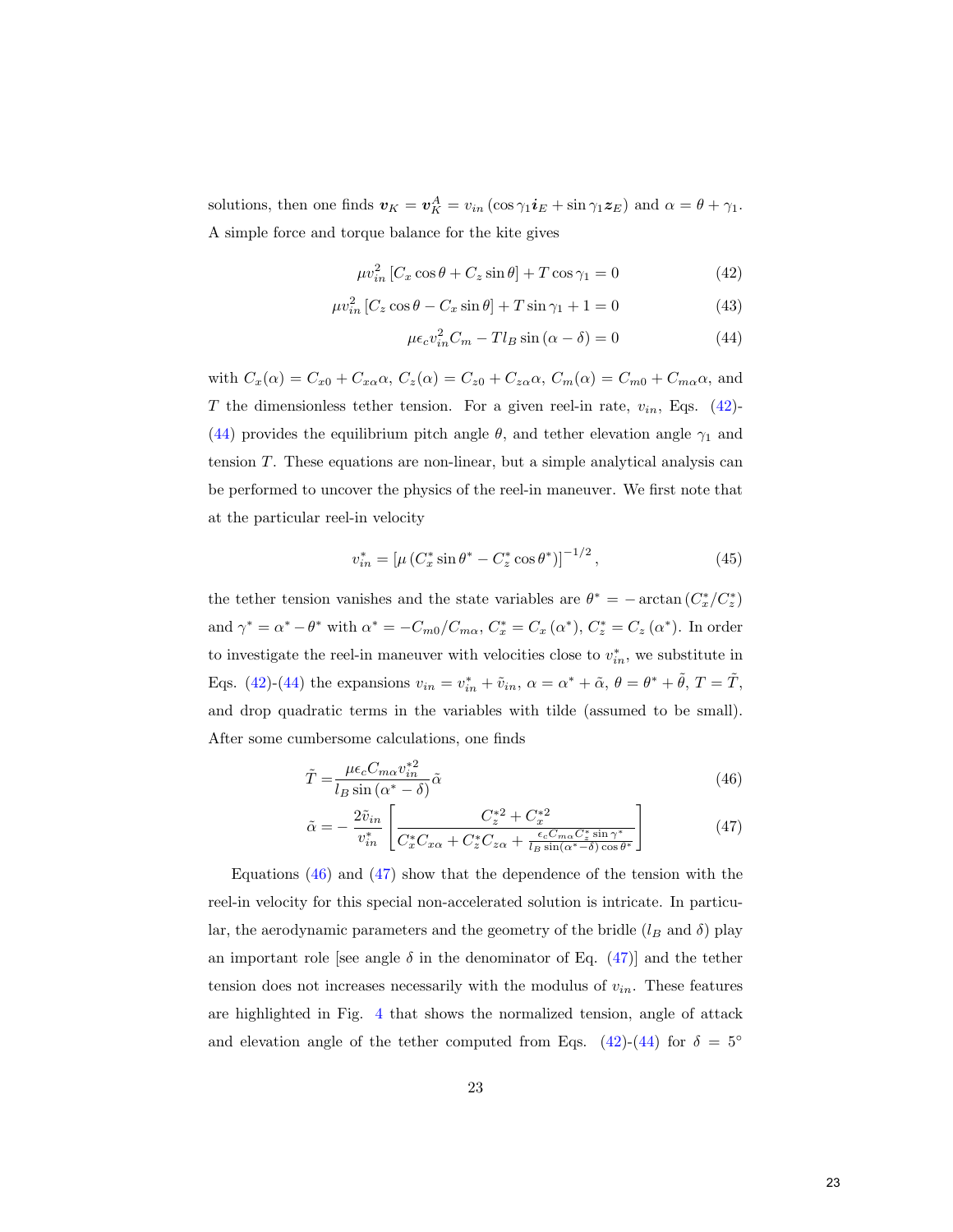solutions, then one finds  $\mathbf{v}_K = \mathbf{v}_K^A = v_{in} (\cos \gamma_1 \mathbf{i}_E + \sin \gamma_1 \mathbf{z}_E)$  and  $\alpha = \theta + \gamma_1$ . A simple force and torque balance for the kite gives

$$
\mu v_{in}^2 \left[ C_x \cos \theta + C_z \sin \theta \right] + T \cos \gamma_1 = 0 \tag{42}
$$

$$
\mu v_{in}^2 \left[ C_z \cos \theta - C_x \sin \theta \right] + T \sin \gamma_1 + 1 = 0 \tag{43}
$$

<span id="page-23-1"></span><span id="page-23-0"></span>
$$
\mu \epsilon_c v_{in}^2 C_m - T l_B \sin(\alpha - \delta) = 0 \tag{44}
$$

with  $C_x(\alpha) = C_{x0} + C_{x\alpha}\alpha$ ,  $C_z(\alpha) = C_{z0} + C_{z\alpha}\alpha$ ,  $C_m(\alpha) = C_{m0} + C_{m\alpha}\alpha$ , and T the dimensionless tether tension. For a given reel-in rate,  $v_{in}$ , Eqs. [\(42\)](#page-23-0)-[\(44\)](#page-23-1) provides the equilibrium pitch angle  $\theta$ , and tether elevation angle  $\gamma_1$  and tension T. These equations are non-linear, but a simple analytical analysis can be performed to uncover the physics of the reel-in maneuver. We first note that at the particular reel-in velocity

$$
v_{in}^* = \left[\mu \left(C_x^* \sin \theta^* - C_z^* \cos \theta^*\right)\right]^{-1/2},\tag{45}
$$

the tether tension vanishes and the state variables are  $\theta^* = -\arctan(C_x^*/C_z^*)$ and  $\gamma^* = \alpha^* - \theta^*$  with  $\alpha^* = -C_{m0}/C_{m\alpha}$ ,  $C_x^* = C_x (\alpha^*)$ ,  $C_z^* = C_z (\alpha^*)$ . In order to investigate the reel-in maneuver with velocities close to  $v_{in}^*$ , we substitute in Eqs. [\(42\)](#page-23-0)-[\(44\)](#page-23-1) the expansions  $v_{in} = v_{in}^* + \tilde{v}_{in}$ ,  $\alpha = \alpha^* + \tilde{\alpha}$ ,  $\theta = \theta^* + \tilde{\theta}$ ,  $T = \tilde{T}$ , and drop quadratic terms in the variables with tilde (assumed to be small). After some cumbersome calculations, one finds

$$
\tilde{T} = \frac{\mu \epsilon_c C_{m\alpha} v_{in}^{*2}}{l_B \sin(\alpha^* - \delta)} \tilde{\alpha}
$$
\n(46)

<span id="page-23-3"></span><span id="page-23-2"></span>
$$
\tilde{\alpha} = -\frac{2\tilde{v}_{in}}{v_{in}^*} \left[ \frac{C_z^{*2} + C_x^{*2}}{C_x^* C_{x\alpha} + C_z^* C_{z\alpha} + \frac{\epsilon_c C_{m\alpha} C_z^* \sin \gamma^*}{l_B \sin(\alpha^* - \delta) \cos \theta^*}} \right]
$$
(47)

Equations  $(46)$  and  $(47)$  show that the dependence of the tension with the reel-in velocity for this special non-accelerated solution is intricate. In particular, the aerodynamic parameters and the geometry of the bridle  $(l_B \text{ and } \delta)$  play an important role [see angle  $\delta$  in the denominator of Eq. [\(47\)](#page-23-3)] and the tether tension does not increases necessarily with the modulus of  $v_{in}$ . These features are highlighted in Fig. [4](#page-24-0) that shows the normalized tension, angle of attack and elevation angle of the tether computed from Eqs. [\(42\)](#page-23-0)-[\(44\)](#page-23-1) for  $\delta = 5^{\circ}$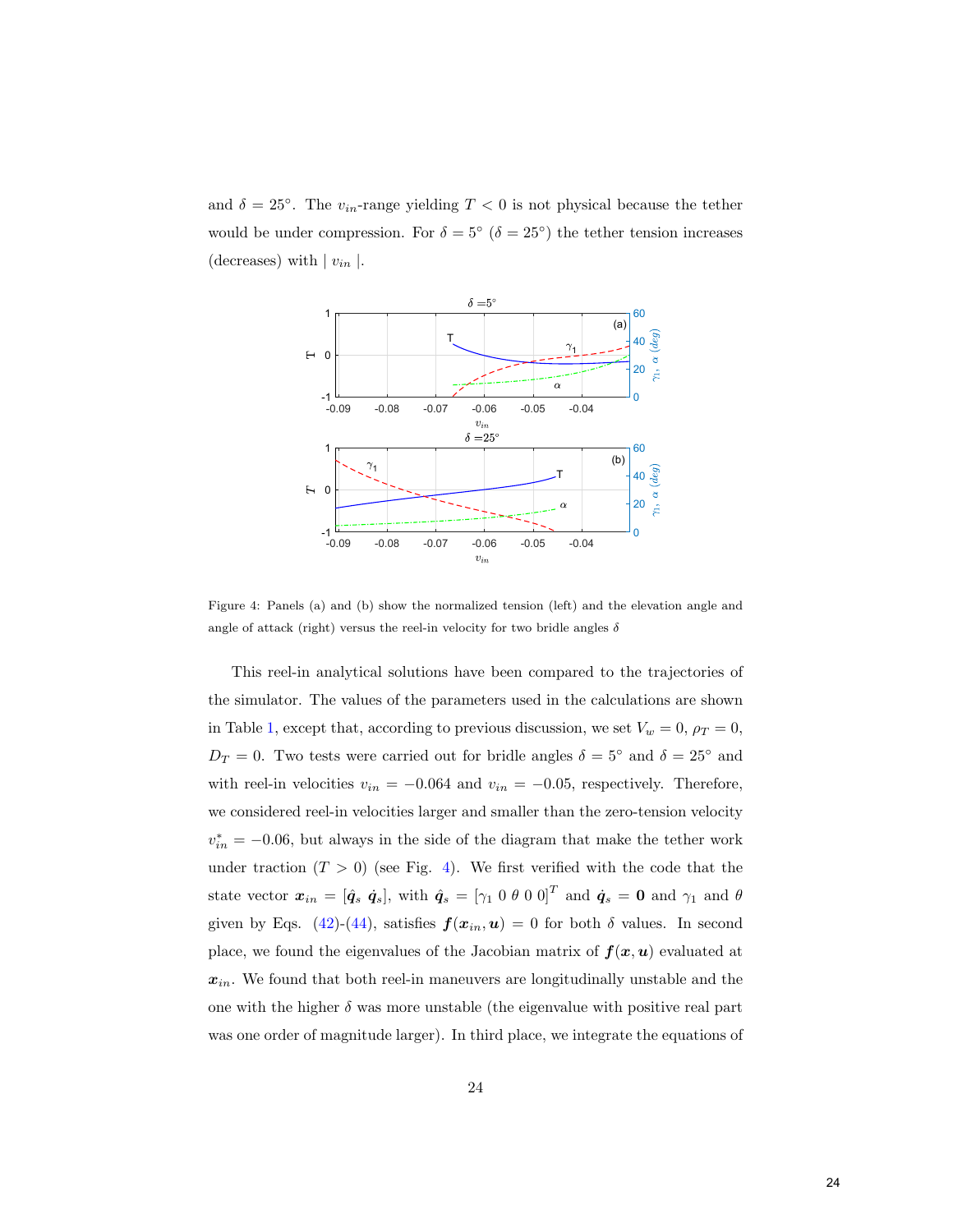and  $\delta = 25^{\circ}$ . The  $v_{in}$ -range yielding  $T < 0$  is not physical because the tether would be under compression. For  $\delta = 5^{\circ}$  ( $\delta = 25^{\circ}$ ) the tether tension increases (decreases) with  $|v_{in}|$ .



<span id="page-24-0"></span>Figure 4: Panels (a) and (b) show the normalized tension (left) and the elevation angle and angle of attack (right) versus the reel-in velocity for two bridle angles  $\delta$ 

This reel-in analytical solutions have been compared to the trajectories of the simulator. The values of the parameters used in the calculations are shown in Table [1,](#page-29-0) except that, according to previous discussion, we set  $V_w = 0$ ,  $\rho_T = 0$ ,  $D_T = 0$ . Two tests were carried out for bridle angles  $\delta = 5^{\circ}$  and  $\delta = 25^{\circ}$  and with reel-in velocities  $v_{in} = -0.064$  and  $v_{in} = -0.05$ , respectively. Therefore, we considered reel-in velocities larger and smaller than the zero-tension velocity  $v_{in}^{*} = -0.06$ , but always in the side of the diagram that make the tether work under traction  $(T > 0)$  (see Fig. [4\)](#page-24-0). We first verified with the code that the state vector  $\boldsymbol{x}_{in} = [\hat{\boldsymbol{q}}_s \ \dot{\boldsymbol{q}}_s]$ , with  $\hat{\boldsymbol{q}}_s = [\gamma_1 \ 0 \ \theta \ 0 \ 0]^T$  and  $\dot{\boldsymbol{q}}_s = \boldsymbol{0}$  and  $\gamma_1$  and  $\theta$ given by Eqs. [\(42\)](#page-23-0)-[\(44\)](#page-23-1), satisfies  $f(x_{in},u) = 0$  for both  $\delta$  values. In second place, we found the eigenvalues of the Jacobian matrix of  $f(x, u)$  evaluated at  $\boldsymbol{x}_{in}.$  We found that both reel-in maneuvers are longitudinally unstable and the one with the higher  $\delta$  was more unstable (the eigenvalue with positive real part was one order of magnitude larger). In third place, we integrate the equations of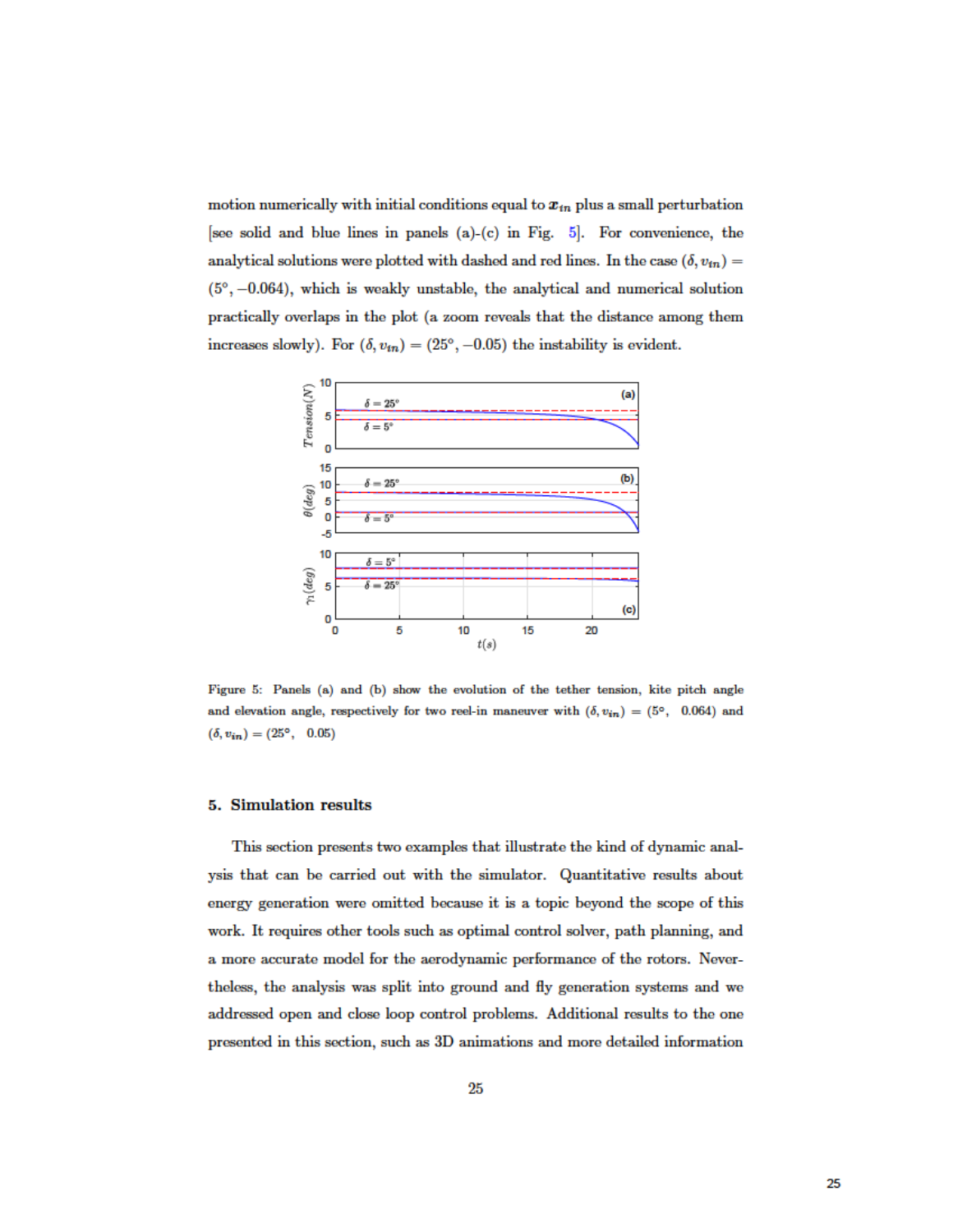motion numerically with initial conditions equal to  $x_{in}$  plus a small perturbation [see solid and blue lines in panels (a)-(c) in Fig.  $5$ [\]](#page-25-1). For convenience, the analytical solutions were plotted with dashed and red lines. In the case  $(\delta, v_{in})=$  $(5^{\circ}, -0.064)$ , which is weakly unstable, the analytical and numerical solution practically overlaps in the plot (a zoom reveals that the distance among them increases slowly). For  $(\delta, v_{in}) = (25^{\circ}, -0.05)$  the instability is evident.



<span id="page-25-1"></span>Figure 5: Panels (a) and (b) show the evolution of the tether tension, kite pitch angle and elevation angle, respectively for two reel-in maneuver with  $(\delta, v_{in}) = (5^{\circ}, -0.064)$  and  $(\delta, v_{in})=(25^{\circ}, 0.05)$ 

#### <span id="page-25-0"></span>5. Simulation results

This section presents two examples that illustrate the kind of dynamic analysis that can be carried out with the simulator. Quantitative results about energy generation were omitted because it is a topic beyond the scope of this work. It requires other tools such as optimal control solver, path planning, and a more accurate model for the aerodynamic performance of the rotors. Neverthe less, the analysis was split into ground and fly generation systems and we addressed open and close loop control problems. Additional results to the one presented in this section, such as 3D animations and more detailed information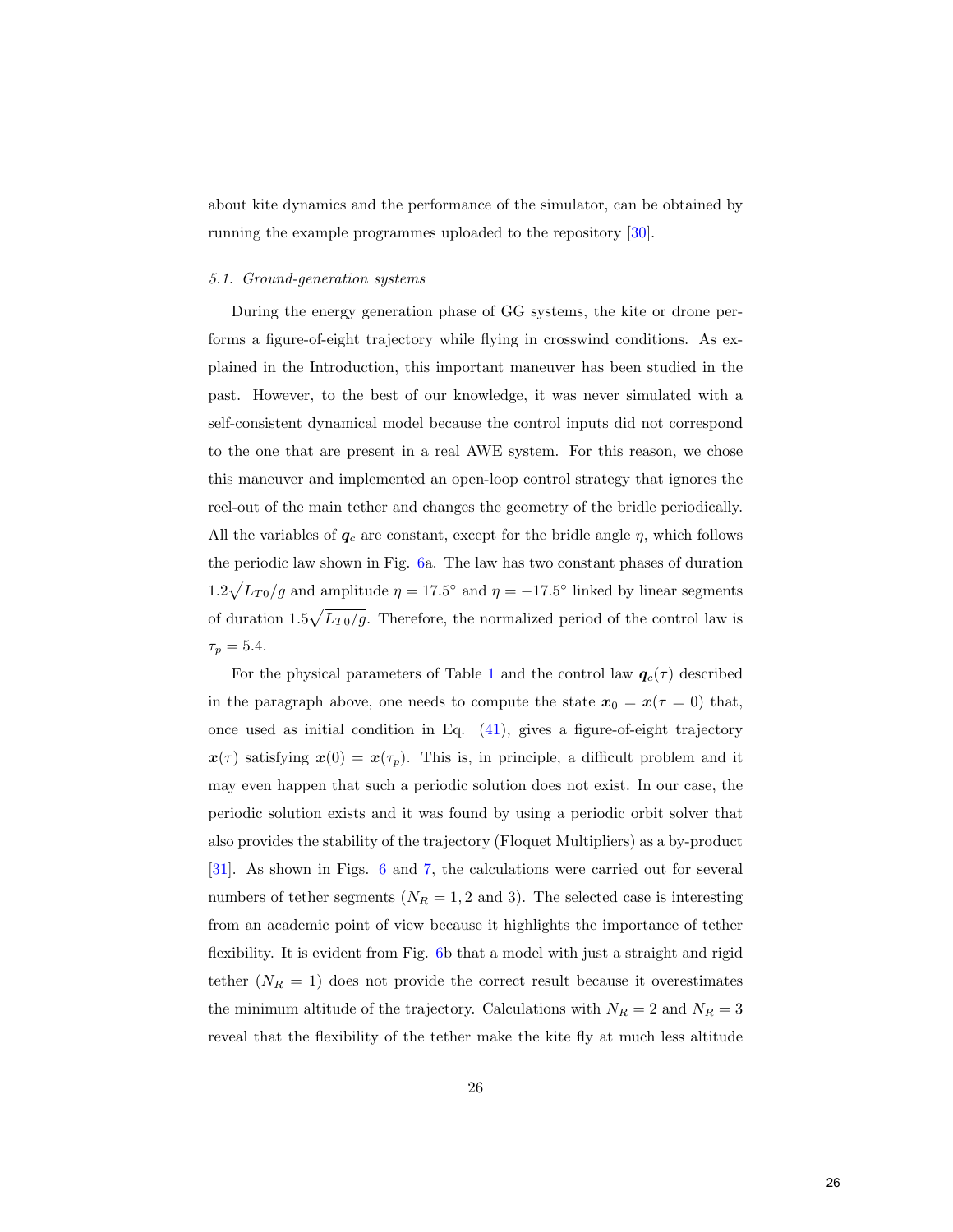about kite dynamics and the performance of the simulator, can be obtained by running the example programmes uploaded to the repository [\[30\]](#page-42-0).

#### 5.1. Ground-generation systems

During the energy generation phase of GG systems, the kite or drone performs a figure-of-eight trajectory while flying in crosswind conditions. As explained in the Introduction, this important maneuver has been studied in the past. However, to the best of our knowledge, it was never simulated with a self-consistent dynamical model because the control inputs did not correspond to the one that are present in a real AWE system. For this reason, we chose this maneuver and implemented an open-loop control strategy that ignores the reel-out of the main tether and changes the geometry of the bridle periodically. All the variables of  $q_c$  are constant, except for the bridle angle  $\eta$ , which follows the periodic law shown in Fig. [6a](#page-27-0). The law has two constant phases of duration  $1.2\sqrt{L_{T0}/g}$  and amplitude  $\eta = 17.5^{\circ}$  and  $\eta = -17.5^{\circ}$  linked by linear segments of duration  $1.5\sqrt{L_{T0}/g}$ . Therefore, the normalized period of the control law is  $\tau_p = 5.4.$ 

For the physical parameters of Table [1](#page-29-0) and the control law  $q_c(\tau)$  described in the paragraph above, one needs to compute the state  $x_0 = x(\tau = 0)$  that, once used as initial condition in Eq. [\(41\)](#page-19-1), gives a figure-of-eight trajectory  $x(\tau)$  satisfying  $x(0) = x(\tau_p)$ . This is, in principle, a difficult problem and it may even happen that such a periodic solution does not exist. In our case, the periodic solution exists and it was found by using a periodic orbit solver that also provides the stability of the trajectory (Floquet Multipliers) as a by-product [\[31\]](#page-42-1). As shown in Figs. [6](#page-27-0) and [7,](#page-28-0) the calculations were carried out for several numbers of tether segments  $(N_R = 1, 2 \text{ and } 3)$ . The selected case is interesting from an academic point of view because it highlights the importance of tether flexibility. It is evident from Fig. [6b](#page-27-0) that a model with just a straight and rigid tether  $(N_R = 1)$  does not provide the correct result because it overestimates the minimum altitude of the trajectory. Calculations with  $N_R = 2$  and  $N_R = 3$ reveal that the flexibility of the tether make the kite fly at much less altitude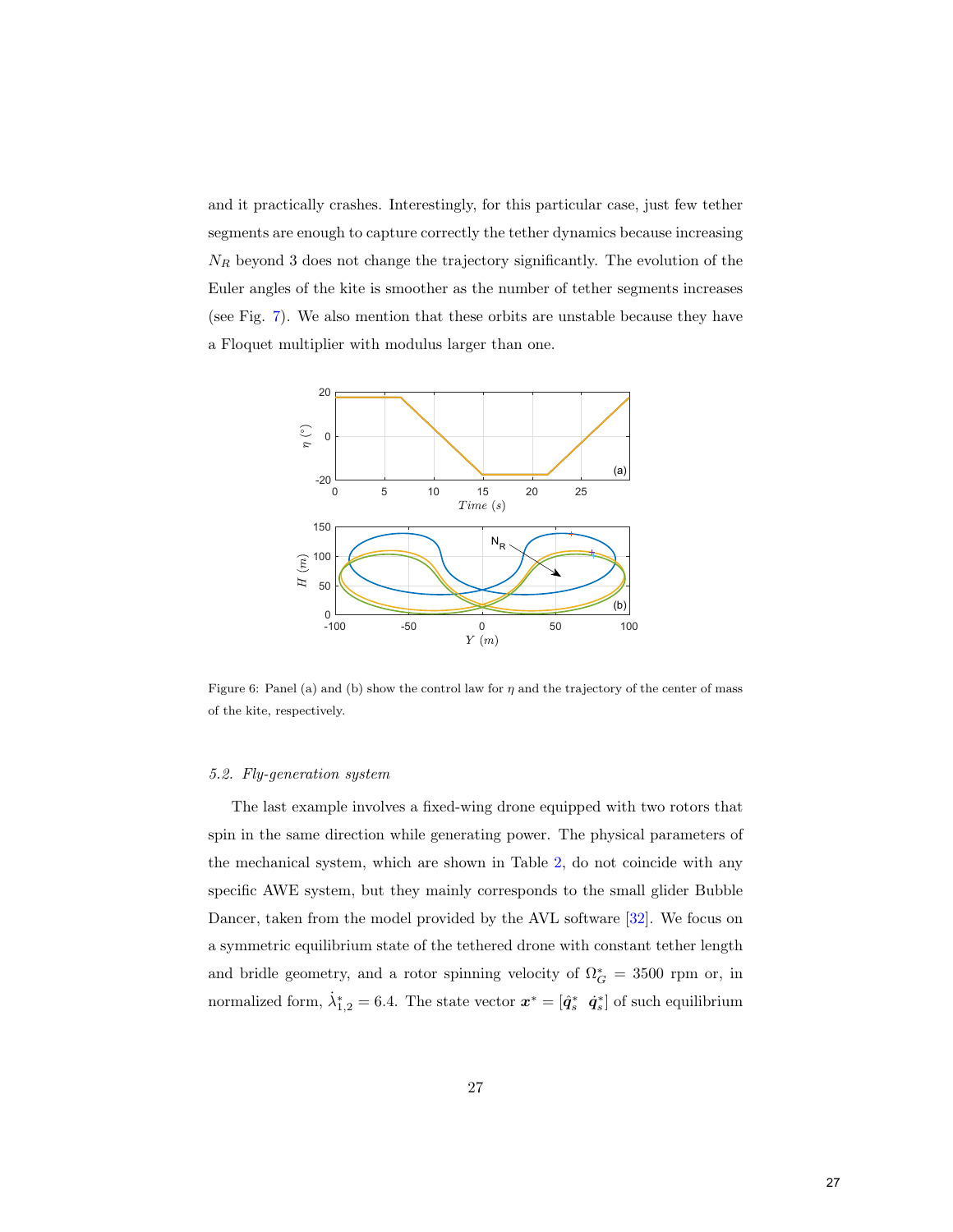and it practically crashes. Interestingly, for this particular case, just few tether segments are enough to capture correctly the tether dynamics because increasing  $N_R$  beyond 3 does not change the trajectory significantly. The evolution of the Euler angles of the kite is smoother as the number of tether segments increases (see Fig. [7\)](#page-28-0). We also mention that these orbits are unstable because they have a Floquet multiplier with modulus larger than one.



<span id="page-27-0"></span>Figure 6: Panel (a) and (b) show the control law for  $\eta$  and the trajectory of the center of mass of the kite, respectively.

#### 5.2. Fly-generation system

The last example involves a fixed-wing drone equipped with two rotors that spin in the same direction while generating power. The physical parameters of the mechanical system, which are shown in Table [2,](#page-43-0) do not coincide with any specific AWE system, but they mainly corresponds to the small glider Bubble Dancer, taken from the model provided by the AVL software [\[32\]](#page-42-2). We focus on a symmetric equilibrium state of the tethered drone with constant tether length and bridle geometry, and a rotor spinning velocity of  $\Omega_G^* = 3500$  rpm or, in normalized form,  $\dot{\lambda}_{1,2}^* = 6.4$ . The state vector  $\boldsymbol{x}^* = [\hat{\boldsymbol{q}}_s^* \ \dot{\boldsymbol{q}}_s^*]$  of such equilibrium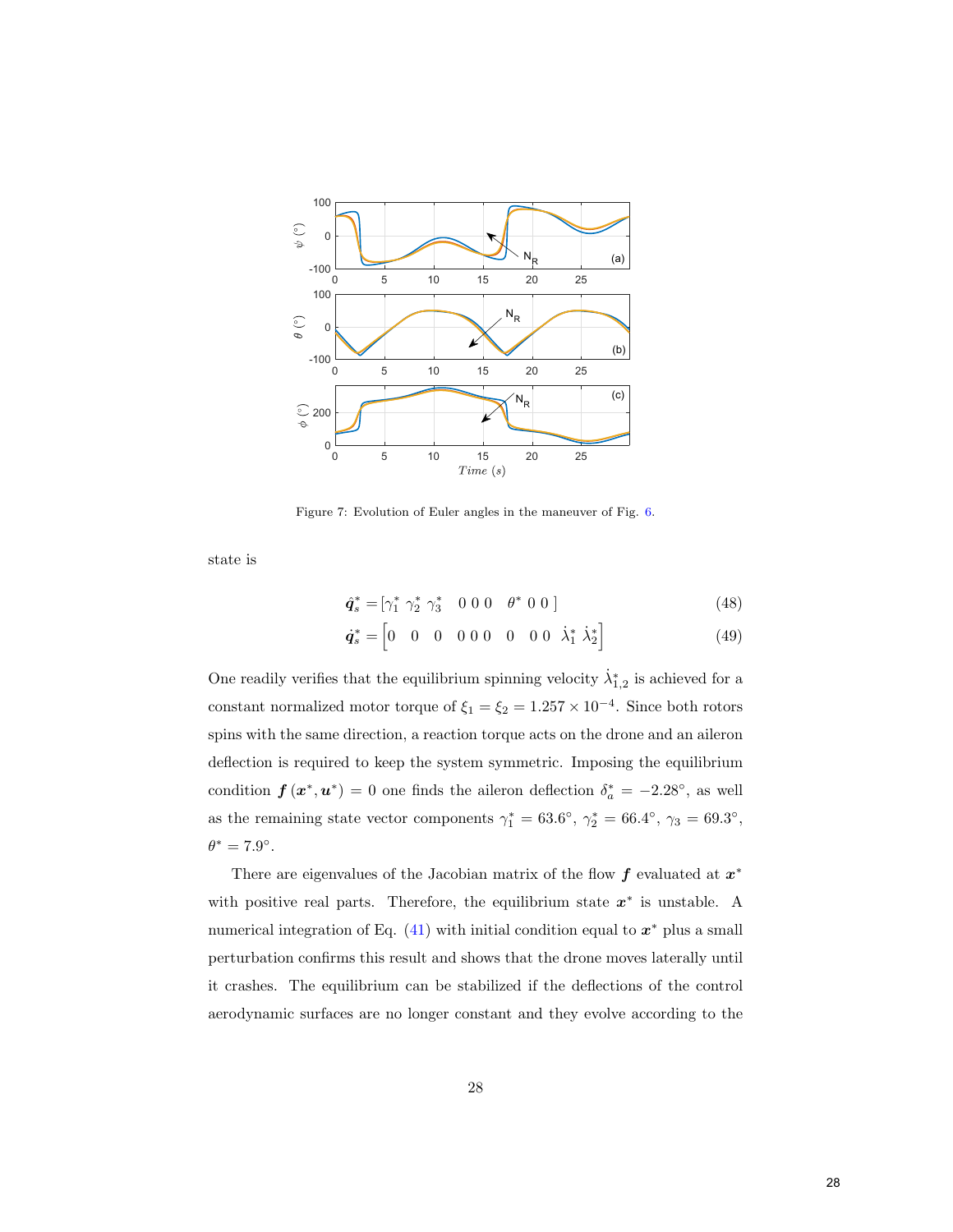

<span id="page-28-0"></span>Figure 7: Evolution of Euler angles in the maneuver of Fig. [6.](#page-27-0)

state is

$$
\hat{\boldsymbol{q}}_s^* = [\gamma_1^* \ \gamma_2^* \ \gamma_3^* \ \ 0 \ 0 \ 0 \ \ \theta^* \ 0 \ 0 ] \tag{48}
$$
\n
$$
\dot{\boldsymbol{q}}_s^* = [0 \ \ 0 \ \ 0 \ \ 0 \ 0 \ 0 \ 0 \ \ 0 \ \ 0 \ \dot{\lambda}_1^* \ \dot{\lambda}_2^*] \tag{49}
$$

One readily verifies that the equilibrium spinning velocity  $\dot{\lambda}_{1,2}^*$  is achieved for a constant normalized motor torque of  $\xi_1 = \xi_2 = 1.257 \times 10^{-4}$ . Since both rotors spins with the same direction, a reaction torque acts on the drone and an aileron deflection is required to keep the system symmetric. Imposing the equilibrium condition  $f(x^*, u^*) = 0$  one finds the aileron deflection  $\delta_a^* = -2.28^{\circ}$ , as well as the remaining state vector components  $\gamma_1^* = 63.6^\circ$ ,  $\gamma_2^* = 66.4^\circ$ ,  $\gamma_3 = 69.3^\circ$ ,  $\theta^* = 7.9^\circ.$ 

There are eigenvalues of the Jacobian matrix of the flow  $f$  evaluated at  $x^*$ with positive real parts. Therefore, the equilibrium state  $x^*$  is unstable. A numerical integration of Eq.  $(41)$  with initial condition equal to  $x^*$  plus a small perturbation confirms this result and shows that the drone moves laterally until it crashes. The equilibrium can be stabilized if the deflections of the control aerodynamic surfaces are no longer constant and they evolve according to the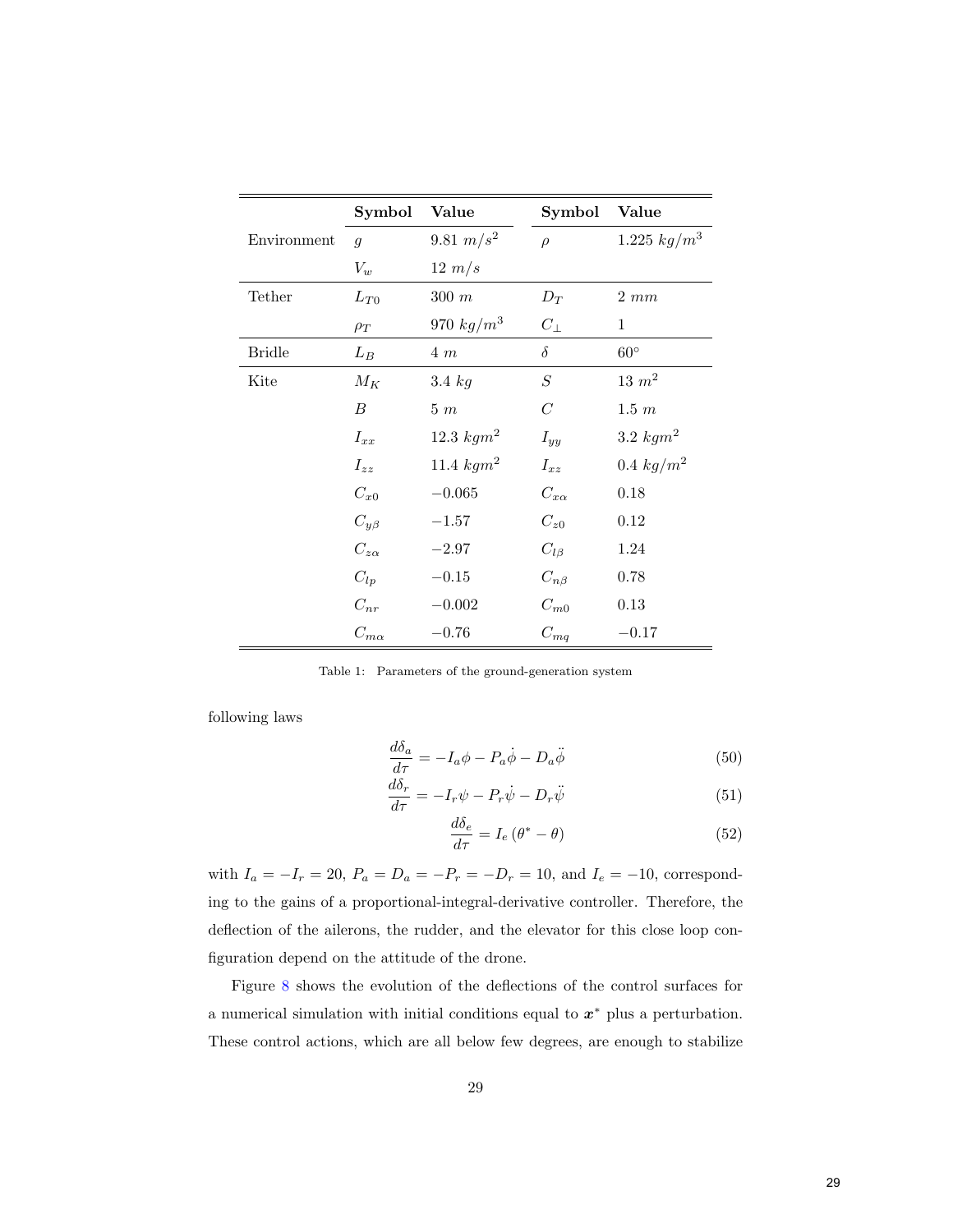|               | Symbol           | Value        | Symbol           | Value          |
|---------------|------------------|--------------|------------------|----------------|
| Environment   | $\mathfrak g$    | 9.81 $m/s^2$ | $\rho$           | 1.225 $kg/m^3$ |
|               | $V_w$            | $12 \; m/s$  |                  |                |
| Tether        | $L_{T0}$         | $300 \; m$   | $D_T$            | $2 \; mm$      |
|               | $\rho_T$         | 970 $kg/m^3$ | $C_{\perp}$      | $\mathbf{1}$   |
| <b>Bridle</b> | $L_B$            | $4 \; m$     | $\delta$         | $60^{\circ}$   |
| Kite          | $M_K$            | 3.4 $kg$     | $\cal S$         | $13 \; m^2$    |
|               | $\boldsymbol{B}$ | $5\,\,m$     | $\boldsymbol{C}$ | $1.5 \; m$     |
|               | $I_{xx}$         | 12.3 $kgm^2$ | $I_{yy}$         | 3.2 $kgm2$     |
|               | $I_{zz}$         | 11.4 $kgm^2$ | $I_{xz}$         | $0.4\ kg/m^2$  |
|               | $C_{x0}$         | $-0.065$     | $C_{x\alpha}$    | 0.18           |
|               | $C_{y\beta}$     | $-1.57$      | $C_{z0}$         | 0.12           |
|               | $C_{z\alpha}$    | $-2.97$      | $C_{l\beta}$     | 1.24           |
|               | $C_{lp}$         | $-0.15$      | $C_{n\beta}$     | 0.78           |
|               | $C_{nr}$         | $-0.002$     | $C_{m0}$         | 0.13           |
|               | $C_{m\alpha}$    | $-0.76$      | $C_{mq}$         | $-0.17$        |

<span id="page-29-0"></span>Table 1: Parameters of the ground-generation system

following laws

$$
\frac{d\delta_a}{d\tau} = -I_a \phi - P_a \dot{\phi} - D_a \ddot{\phi} \tag{50}
$$

$$
\frac{d\delta_r}{d\tau} = -I_r \psi - P_r \dot{\psi} - D_r \ddot{\psi} \tag{51}
$$

$$
\frac{d\delta_e}{d\tau} = I_e \left(\theta^* - \theta\right) \tag{52}
$$

with  $I_a = -I_r = 20$ ,  $P_a = D_a = -P_r = -D_r = 10$ , and  $I_e = -10$ , corresponding to the gains of a proportional-integral-derivative controller. Therefore, the deflection of the ailerons, the rudder, and the elevator for this close loop configuration depend on the attitude of the drone.

Figure [8](#page-30-1) shows the evolution of the deflections of the control surfaces for a numerical simulation with initial conditions equal to  $x^*$  plus a perturbation. These control actions, which are all below few degrees, are enough to stabilize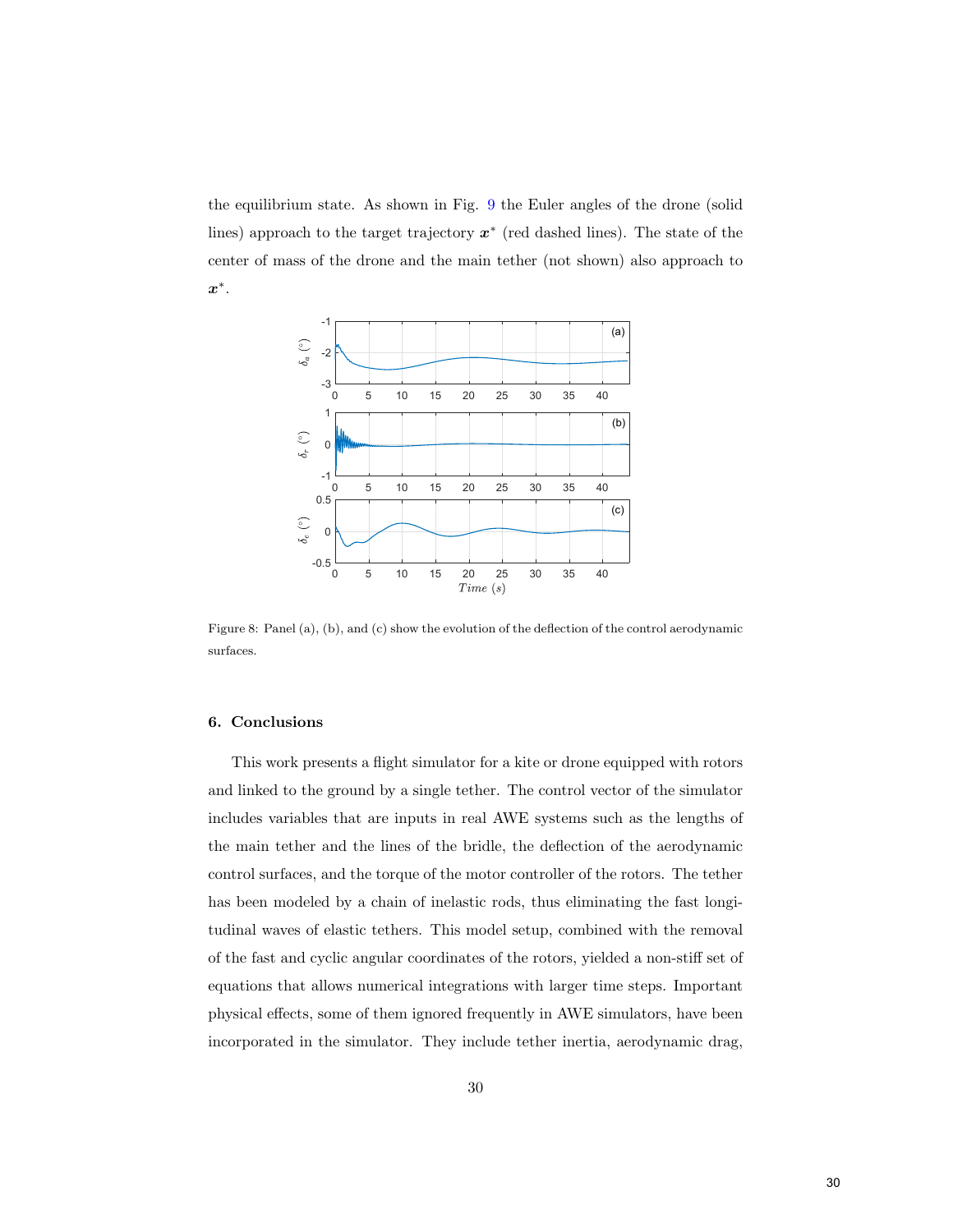the equilibrium state. As shown in Fig. [9](#page-31-0) the Euler angles of the drone (solid lines) approach to the target trajectory  $x^*$  (red dashed lines). The state of the center of mass of the drone and the main tether (not shown) also approach to  $x^*$  .



<span id="page-30-1"></span>Figure 8: Panel (a), (b), and (c) show the evolution of the deflection of the control aerodynamic surfaces.

### <span id="page-30-0"></span>6. Conclusions

This work presents a flight simulator for a kite or drone equipped with rotors and linked to the ground by a single tether. The control vector of the simulator includes variables that are inputs in real AWE systems such as the lengths of the main tether and the lines of the bridle, the deflection of the aerodynamic control surfaces, and the torque of the motor controller of the rotors. The tether has been modeled by a chain of inelastic rods, thus eliminating the fast longitudinal waves of elastic tethers. This model setup, combined with the removal of the fast and cyclic angular coordinates of the rotors, yielded a non-stiff set of equations that allows numerical integrations with larger time steps. Important physical effects, some of them ignored frequently in AWE simulators, have been incorporated in the simulator. They include tether inertia, aerodynamic drag,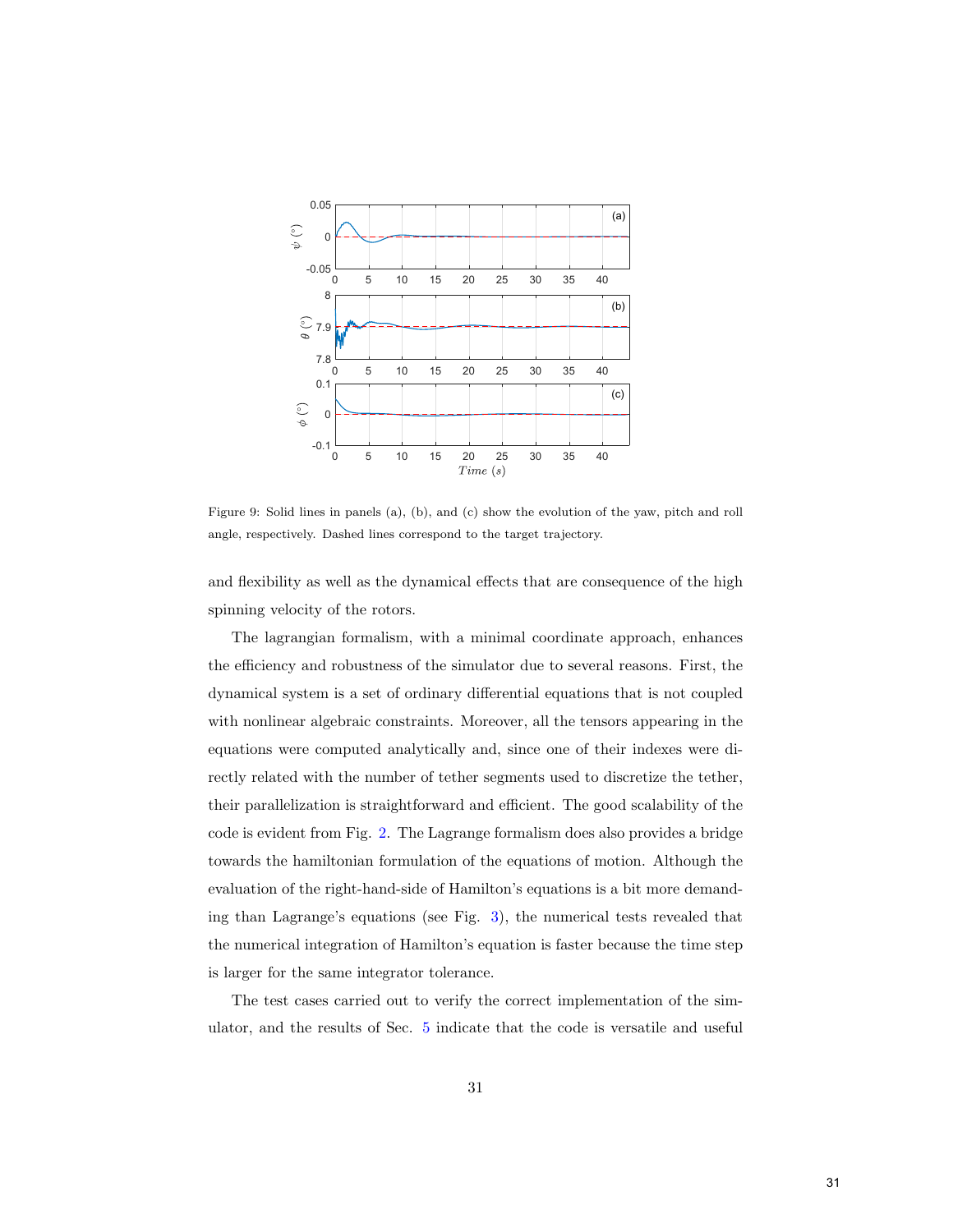

<span id="page-31-0"></span>Figure 9: Solid lines in panels (a), (b), and (c) show the evolution of the yaw, pitch and roll angle, respectively. Dashed lines correspond to the target trajectory.

and flexibility as well as the dynamical effects that are consequence of the high spinning velocity of the rotors.

The lagrangian formalism, with a minimal coordinate approach, enhances the efficiency and robustness of the simulator due to several reasons. First, the dynamical system is a set of ordinary differential equations that is not coupled with nonlinear algebraic constraints. Moreover, all the tensors appearing in the equations were computed analytically and, since one of their indexes were directly related with the number of tether segments used to discretize the tether, their parallelization is straightforward and efficient. The good scalability of the code is evident from Fig. [2.](#page-21-0) The Lagrange formalism does also provides a bridge towards the hamiltonian formulation of the equations of motion. Although the evaluation of the right-hand-side of Hamilton's equations is a bit more demanding than Lagrange's equations (see Fig. [3\)](#page-22-0), the numerical tests revealed that the numerical integration of Hamilton's equation is faster because the time step is larger for the same integrator tolerance.

The test cases carried out to verify the correct implementation of the simulator, and the results of Sec. [5](#page-25-0) indicate that the code is versatile and useful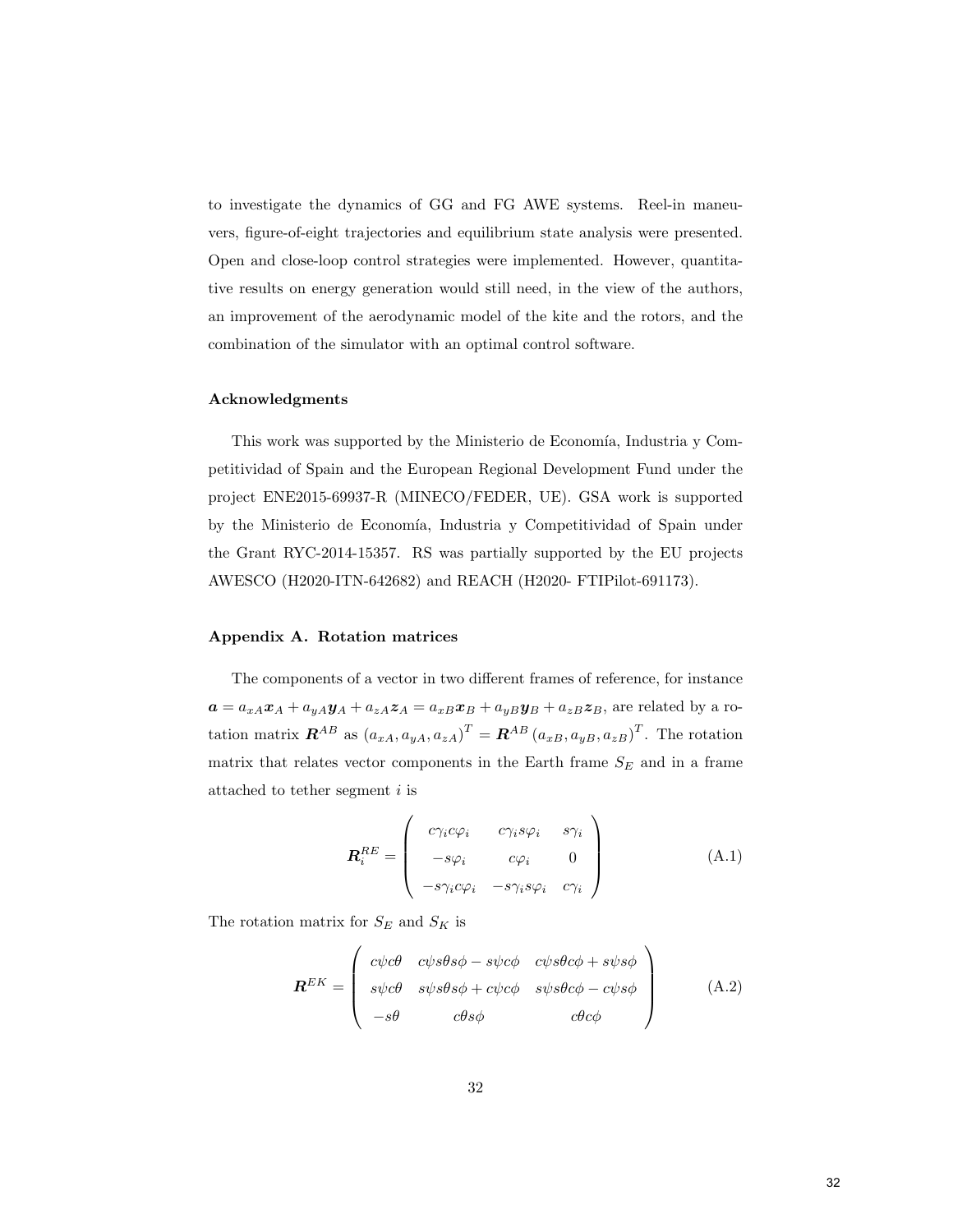to investigate the dynamics of GG and FG AWE systems. Reel-in maneuvers, figure-of-eight trajectories and equilibrium state analysis were presented. Open and close-loop control strategies were implemented. However, quantitative results on energy generation would still need, in the view of the authors, an improvement of the aerodynamic model of the kite and the rotors, and the combination of the simulator with an optimal control software.

#### Acknowledgments

This work was supported by the Ministerio de Economía, Industria y Competitividad of Spain and the European Regional Development Fund under the project ENE2015-69937-R (MINECO/FEDER, UE). GSA work is supported by the Ministerio de Economía, Industria y Competitividad of Spain under the Grant RYC-2014-15357. RS was partially supported by the EU projects AWESCO (H2020-ITN-642682) and REACH (H2020- FTIPilot-691173).

#### Appendix A. Rotation matrices

The components of a vector in two different frames of reference, for instance  $a = a_{xA}x_A + a_{yA}y_A + a_{zA}z_A = a_{xB}x_B + a_{yB}y_B + a_{zB}z_B$ , are related by a rotation matrix  $\boldsymbol{R}^{AB}$  as  $(a_{xA}, a_{yA}, a_{zA})^T = \boldsymbol{R}^{AB} (a_{xB}, a_{yB}, a_{zB})^T$ . The rotation matrix that relates vector components in the Earth frame  $S_E$  and in a frame attached to tether segment  $i$  is

<span id="page-32-1"></span><span id="page-32-0"></span>
$$
\boldsymbol{R}_i^{RE} = \begin{pmatrix} c\gamma_i c\varphi_i & c\gamma_i s\varphi_i & s\gamma_i \\ -s\varphi_i & c\varphi_i & 0 \\ -s\gamma_i c\varphi_i & -s\gamma_i s\varphi_i & c\gamma_i \end{pmatrix}
$$
(A.1)

The rotation matrix for  $S_E$  and  $S_K$  is

$$
\mathbf{R}^{EK} = \begin{pmatrix} c\psi c\theta & c\psi s\theta s\phi - s\psi c\phi & c\psi s\theta c\phi + s\psi s\phi \\ s\psi c\theta & s\psi s\theta s\phi + c\psi c\phi & s\psi s\theta c\phi - c\psi s\phi \\ -s\theta & c\theta s\phi & c\theta c\phi \end{pmatrix}
$$
(A.2)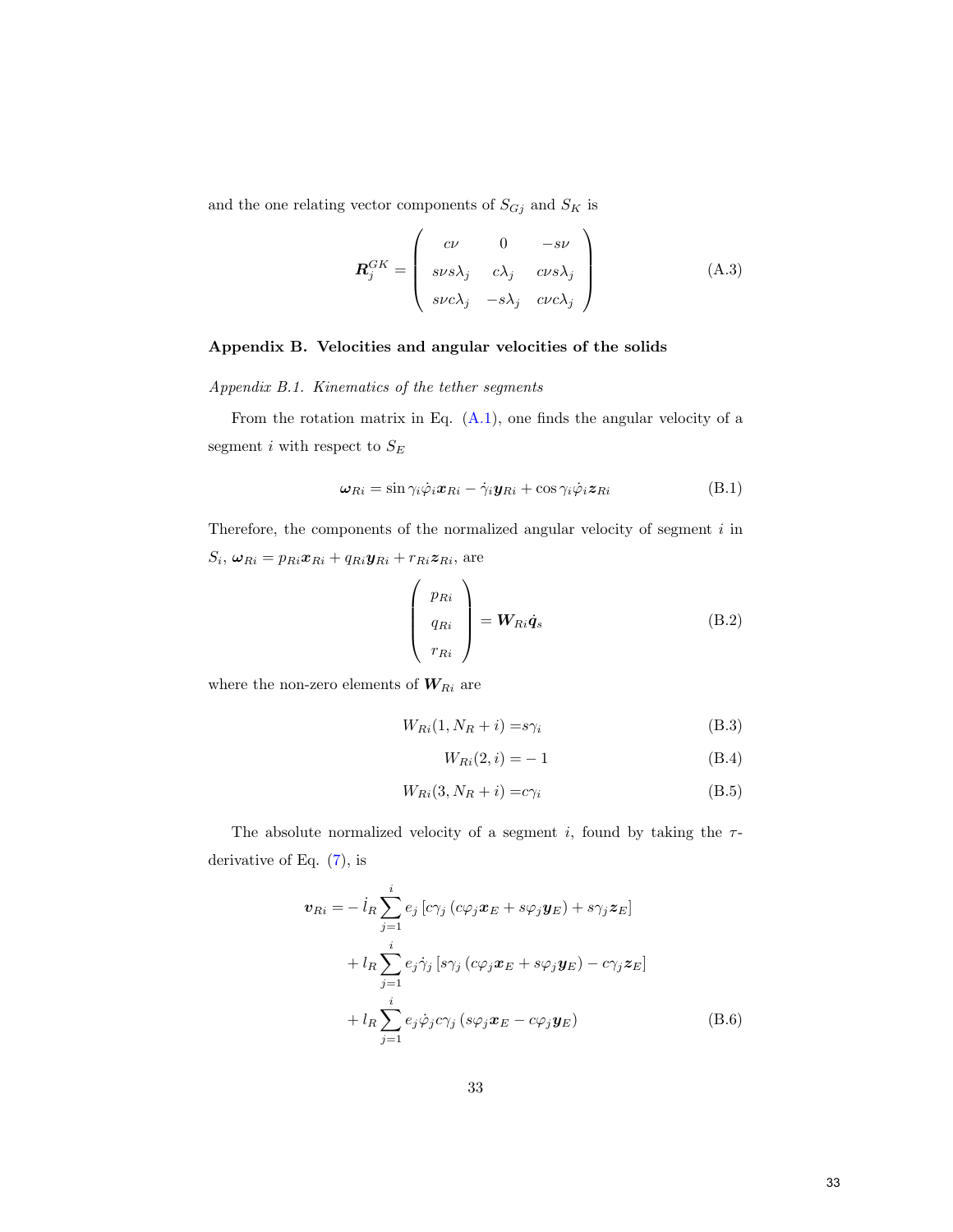and the one relating vector components of  ${\cal S}_{Gj}$  and  ${\cal S}_K$  is

$$
\boldsymbol{R}_{j}^{GK} = \begin{pmatrix} c\nu & 0 & -s\nu \\ s\nu s\lambda_{j} & c\lambda_{j} & cvs\lambda_{j} \\ s\nu c\lambda_{j} & -s\lambda_{j} & cvc\lambda_{j} \end{pmatrix}
$$
(A.3)

# <span id="page-33-0"></span>Appendix B. Velocities and angular velocities of the solids

Appendix B.1. Kinematics of the tether segments

From the rotation matrix in Eq.  $(A.1)$ , one finds the angular velocity of a segment  $i$  with respect to  ${\cal S}_E$ 

$$
\boldsymbol{\omega}_{Ri} = \sin \gamma_i \dot{\varphi}_i \boldsymbol{x}_{Ri} - \dot{\gamma}_i \boldsymbol{y}_{Ri} + \cos \gamma_i \dot{\varphi}_i \boldsymbol{z}_{Ri}
$$
(B.1)

Therefore, the components of the normalized angular velocity of segment  $i$  in  $S_i, \boldsymbol{\omega}_{R i} = p_{R i} \boldsymbol{x}_{R i} + q_{R i} \boldsymbol{y}_{R i} + r_{R i} \boldsymbol{z}_{R i},$  are

 $\mathcal{L}$ 

$$
\begin{pmatrix} p_{Ri} \\ q_{Ri} \\ r_{Ri} \end{pmatrix} = \mathbf{W}_{Ri} \dot{\mathbf{q}}_s
$$
 (B.2)

where the non-zero elements of  $\boldsymbol{W}_{Ri}$  are

$$
W_{Ri}(1, N_R + i) = s\gamma_i \tag{B.3}
$$

<span id="page-33-1"></span>
$$
W_{Ri}(2,i) = -1 \tag{B.4}
$$

$$
W_{Ri}(3, N_R + i) = c\gamma_i \tag{B.5}
$$

The absolute normalized velocity of a segment i, found by taking the  $\tau$ derivative of Eq.  $(7)$ , is

$$
\boldsymbol{v}_{Ri} = -\dot{l}_R \sum_{j=1}^i e_j \left[ c \gamma_j \left( c \varphi_j \boldsymbol{x}_E + s \varphi_j \boldsymbol{y}_E \right) + s \gamma_j \boldsymbol{z}_E \right]
$$
  
+ 
$$
l_R \sum_{j=1}^i e_j \dot{\gamma}_j \left[ s \gamma_j \left( c \varphi_j \boldsymbol{x}_E + s \varphi_j \boldsymbol{y}_E \right) - c \gamma_j \boldsymbol{z}_E \right]
$$
  
+ 
$$
l_R \sum_{j=1}^i e_j \dot{\varphi}_j c \gamma_j \left( s \varphi_j \boldsymbol{x}_E - c \varphi_j \boldsymbol{y}_E \right)
$$
(B.6)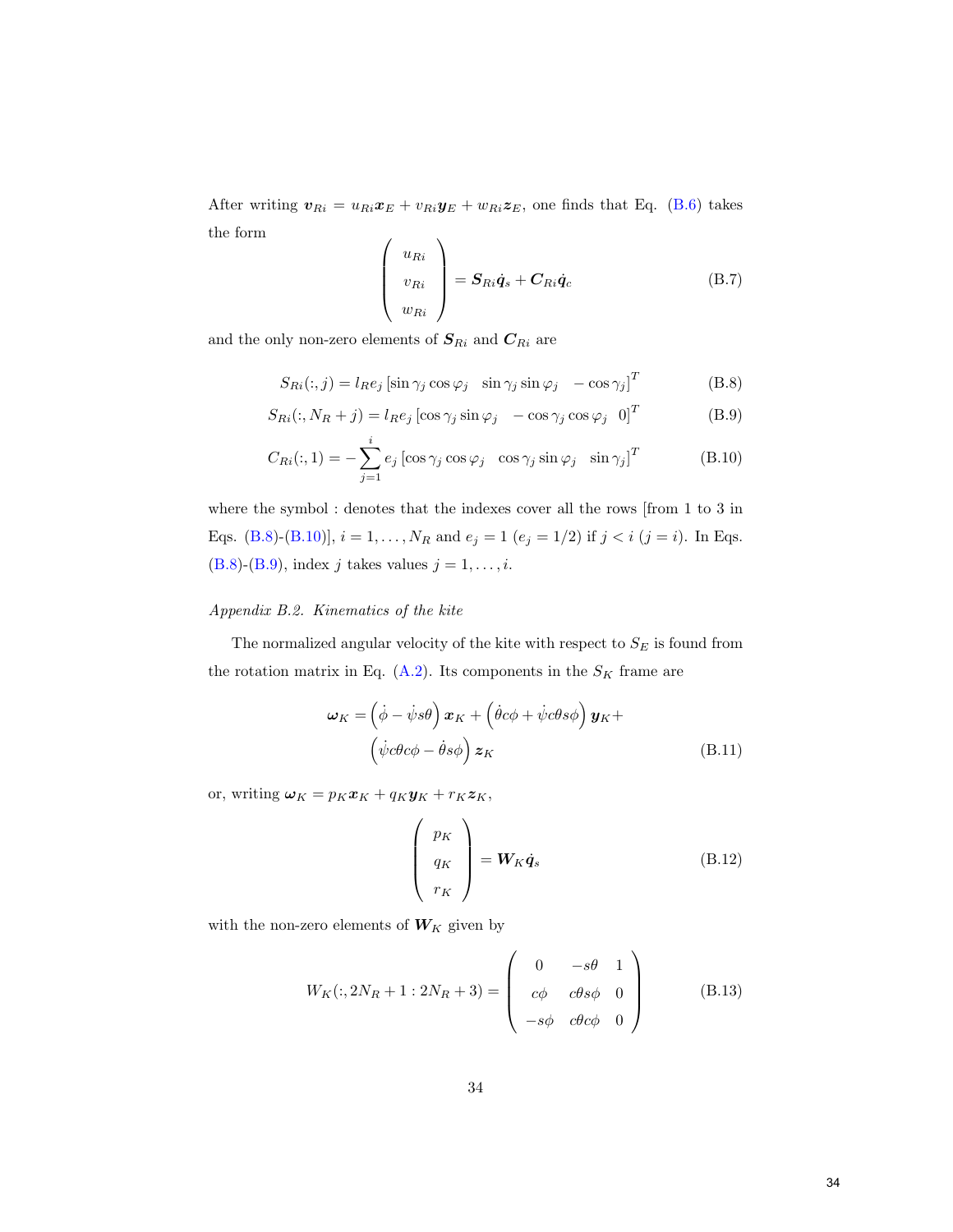After writing  $v_{Ri} = u_{Ri}x_E + v_{Ri}y_E + w_{Ri}z_E$ , one finds that Eq. [\(B.6\)](#page-33-1) takes the form  $\mathcal{L}$ 

<span id="page-34-3"></span><span id="page-34-2"></span><span id="page-34-1"></span>
$$
\begin{pmatrix} u_{Ri} \\ v_{Ri} \\ w_{Ri} \end{pmatrix} = \mathbf{S}_{Ri}\dot{\mathbf{q}}_s + \mathbf{C}_{Ri}\dot{\mathbf{q}}_c
$$
 (B.7)

and the only non-zero elements of  $\boldsymbol{S}_{Ri}$  and  $\boldsymbol{C}_{Ri}$  are

$$
S_{Ri}(:,j) = l_R e_j \left[ \sin \gamma_j \cos \varphi_j \quad \sin \gamma_j \sin \varphi_j \quad -\cos \gamma_j \right]^T
$$
 (B.8)

$$
S_{Ri}(:, N_R + j) = l_R e_j \left[ \cos \gamma_j \sin \varphi_j - \cos \gamma_j \cos \varphi_j \right]^T
$$
 (B.9)

$$
C_{Ri}(:,1) = -\sum_{j=1}^{i} e_j \left[ \cos \gamma_j \cos \varphi_j \right] \cos \gamma_j \sin \varphi_j \left[ \sin \gamma_j \right]^T \tag{B.10}
$$

where the symbol : denotes that the indexes cover all the rows [from 1 to 3 in Eqs. [\(B.8\)](#page-34-1)-[\(B.10\)](#page-34-2)],  $i = 1, ..., N_R$  and  $e_j = 1$  ( $e_j = 1/2$ ) if  $j < i$  ( $j = i$ ). In Eqs. [\(B.8\)](#page-34-1)-[\(B.9\)](#page-34-3), index j takes values  $j = 1, \ldots, i$ .

# <span id="page-34-0"></span>Appendix B.2. Kinematics of the kite

The normalized angular velocity of the kite with respect to  $S_E$  is found from the rotation matrix in Eq. [\(A.2\)](#page-32-1). Its components in the  $S_K$  frame are

$$
\omega_K = \left(\dot{\phi} - \dot{\psi}s\theta\right)\boldsymbol{x}_K + \left(\dot{\theta}c\phi + \dot{\psi}c\theta s\phi\right)\boldsymbol{y}_K +
$$

$$
\left(\dot{\psi}c\theta c\phi - \dot{\theta}s\phi\right)\boldsymbol{z}_K
$$
(B.11)

or, writing  $\boldsymbol{\omega}_K = p_K \boldsymbol{x}_K + q_K \boldsymbol{y}_K + r_K \boldsymbol{z}_K$ ,

$$
\begin{pmatrix} p_K \\ q_K \\ r_K \end{pmatrix} = \mathbf{W}_K \dot{\mathbf{q}}_s \tag{B.12}
$$

with the non-zero elements of  $\boldsymbol{W}_K$  given by

$$
W_K(:, 2N_R + 1: 2N_R + 3) = \begin{pmatrix} 0 & -s\theta & 1 \\ c\phi & c\theta s\phi & 0 \\ -s\phi & c\theta c\phi & 0 \end{pmatrix}
$$
 (B.13)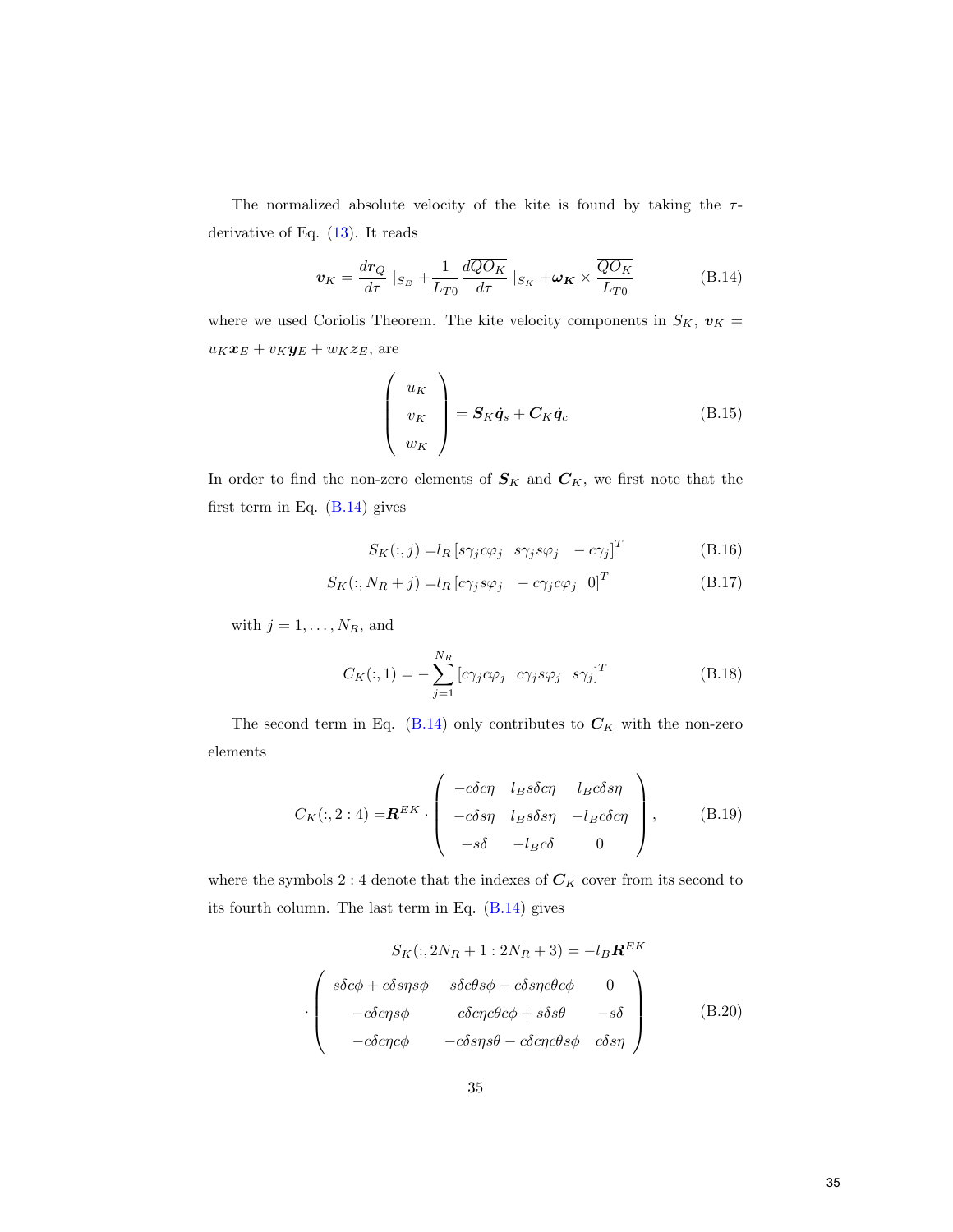The normalized absolute velocity of the kite is found by taking the  $\tau$ derivative of Eq. [\(13\)](#page-12-2). It reads

$$
\boldsymbol{v}_{K} = \frac{dr_{Q}}{d\tau} \mid_{S_{E}} + \frac{1}{L_{T0}} \frac{d\overline{QO_{K}}}{d\tau} \mid_{S_{K}} + \boldsymbol{\omega}_{K} \times \frac{\overline{QO_{K}}}{L_{T0}} \tag{B.14}
$$

where we used Coriolis Theorem. The kite velocity components in  $S_K, \; \pmb{v}_K =$  $u_K\boldsymbol{x}_E + v_K\boldsymbol{y}_E + w_K\boldsymbol{z}_E,$  are

<span id="page-35-0"></span>
$$
\begin{pmatrix} u_K \\ v_K \\ w_K \end{pmatrix} = \mathbf{S}_K \dot{\mathbf{q}}_s + \mathbf{C}_K \dot{\mathbf{q}}_c \tag{B.15}
$$

In order to find the non-zero elements of  $S_K$  and  $C_K$ , we first note that the first term in Eq. [\(B.14\)](#page-35-0) gives

$$
S_K(:,j) = l_R [s\gamma_j c\varphi_j \ s\gamma_j s\varphi_j \ -c\gamma_j]^T
$$
 (B.16)

$$
S_K(:, N_R + j) = l_R [c\gamma_j s\varphi_j - c\gamma_j c\varphi_j 0]^T
$$
 (B.17)

with  $j = 1, \ldots, N_R$ , and

$$
C_K(:,1) = -\sum_{j=1}^{N_R} \left[ c\gamma_j c\varphi_j \ c\gamma_j s\varphi_j \ s\gamma_j \right]^T
$$
 (B.18)

The second term in Eq. [\(B.14\)](#page-35-0) only contributes to  $C_K$  with the non-zero elements

$$
C_K(:,2:4) = \mathbf{R}^{EK} \cdot \begin{pmatrix} -c\delta c\eta & l_B s\delta c\eta & l_B c\delta s\eta \\ -c\delta s\eta & l_B s\delta s\eta & -l_B c\delta c\eta \\ -s\delta & -l_B c\delta & 0 \end{pmatrix}, \quad (B.19)
$$

where the symbols  $2:4$  denote that the indexes of  $\mathcal{C}_K$  cover from its second to its fourth column. The last term in Eq. [\(B.14\)](#page-35-0) gives

$$
S_K(:, 2N_R + 1 : 2N_R + 3) = -l_B \mathbf{R}^{EK}
$$

$$
\cdot \begin{pmatrix} s\delta c\phi + c\delta s\eta s\phi & s\delta c\theta s\phi - c\delta s\eta c\theta c\phi & 0 \\ -c\delta c\eta s\phi & c\delta c\eta c\theta c\phi + s\delta s\theta & -s\delta \\ -c\delta c\eta c\phi & -c\delta s\eta s\theta - c\delta c\eta c\theta s\phi & c\delta s\eta \end{pmatrix}
$$
(B.20)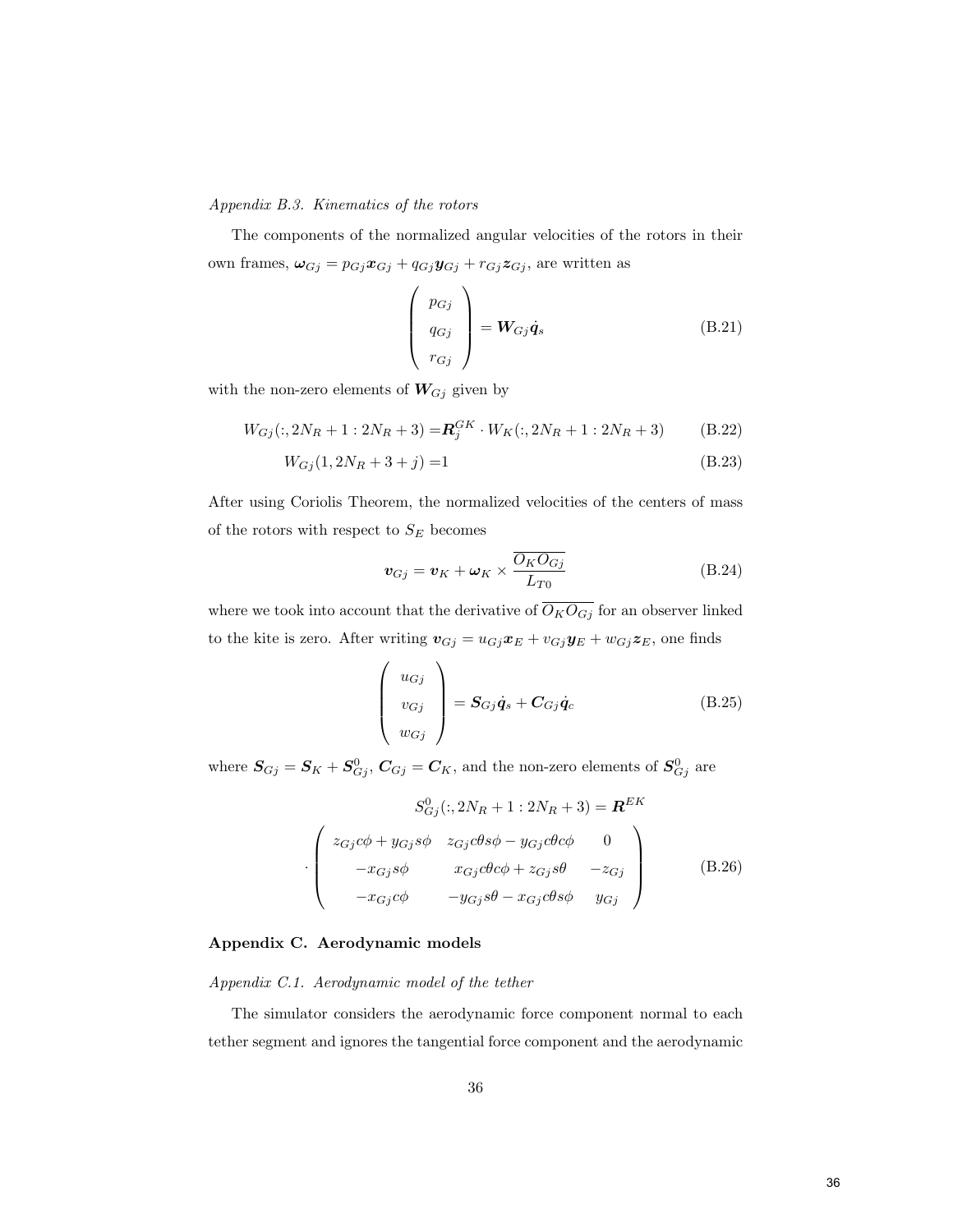<span id="page-36-0"></span>Appendix B.3. Kinematics of the rotors

The components of the normalized angular velocities of the rotors in their own frames,  $\omega_{Gj} = p_{Gj}x_{Gj} + q_{Gj}y_{Gj} + r_{Gj}z_{Gj}$ , are written as

$$
\begin{pmatrix} p_{Gj} \\ q_{Gj} \\ r_{Gj} \end{pmatrix} = \mathbf{W}_{Gj} \dot{\mathbf{q}}_s
$$
 (B.21)

with the non-zero elements of  $W_{Gj}$  given by

$$
W_{Gj}(:,2N_R+1:2N_R+3) = \mathbf{R}_j^{GK} \cdot W_K(:,2N_R+1:2N_R+3)
$$
 (B.22)

$$
W_{Gj}(1, 2N_R + 3 + j) = 1\tag{B.23}
$$

After using Coriolis Theorem, the normalized velocities of the centers of mass of the rotors with respect to  ${\cal S}_E$  becomes

$$
\boldsymbol{v}_{Gj} = \boldsymbol{v}_K + \boldsymbol{\omega}_K \times \frac{\overline{O_K O_{Gj}}}{L_{T0}}
$$
(B.24)

where we took into account that the derivative of  $\overline{O_KO_{Gj}}$  for an observer linked to the kite is zero. After writing  $\mathbf{v}_{Gj} = u_{Gj}\mathbf{x}_E + v_{Gj}\mathbf{y}_E + w_{Gj}\mathbf{z}_E$ , one finds

$$
\begin{pmatrix} u_{Gj} \\ v_{Gj} \\ w_{Gj} \end{pmatrix} = \mathbf{S}_{Gj}\dot{\mathbf{q}}_s + \mathbf{C}_{Gj}\dot{\mathbf{q}}_c
$$
 (B.25)

where  $S_{Gj} = S_K + S_{Gj}^0$ ,  $C_{Gj} = C_K$ , and the non-zero elements of  $S_{Gj}^0$  are

$$
S_{Gj}^{0}(:,2N_R+1:2N_R+3) = \mathbf{R}^{EK}
$$

$$
\cdot \begin{pmatrix} z_{Gj}c\phi + y_{Gj}s\phi & z_{Gj}c\theta s\phi - y_{Gj}c\theta c\phi & 0\\ -x_{Gj}s\phi & x_{Gj}c\theta c\phi + z_{Gj}s\theta & -z_{Gj} \\ -x_{Gj}c\phi & -y_{Gj}s\theta - x_{Gj}c\theta s\phi & y_{Gj} \end{pmatrix}
$$
(B.26)

#### <span id="page-36-1"></span>Appendix C. Aerodynamic models

Appendix C.1. Aerodynamic model of the tether

The simulator considers the aerodynamic force component normal to each tether segment and ignores the tangential force component and the aerodynamic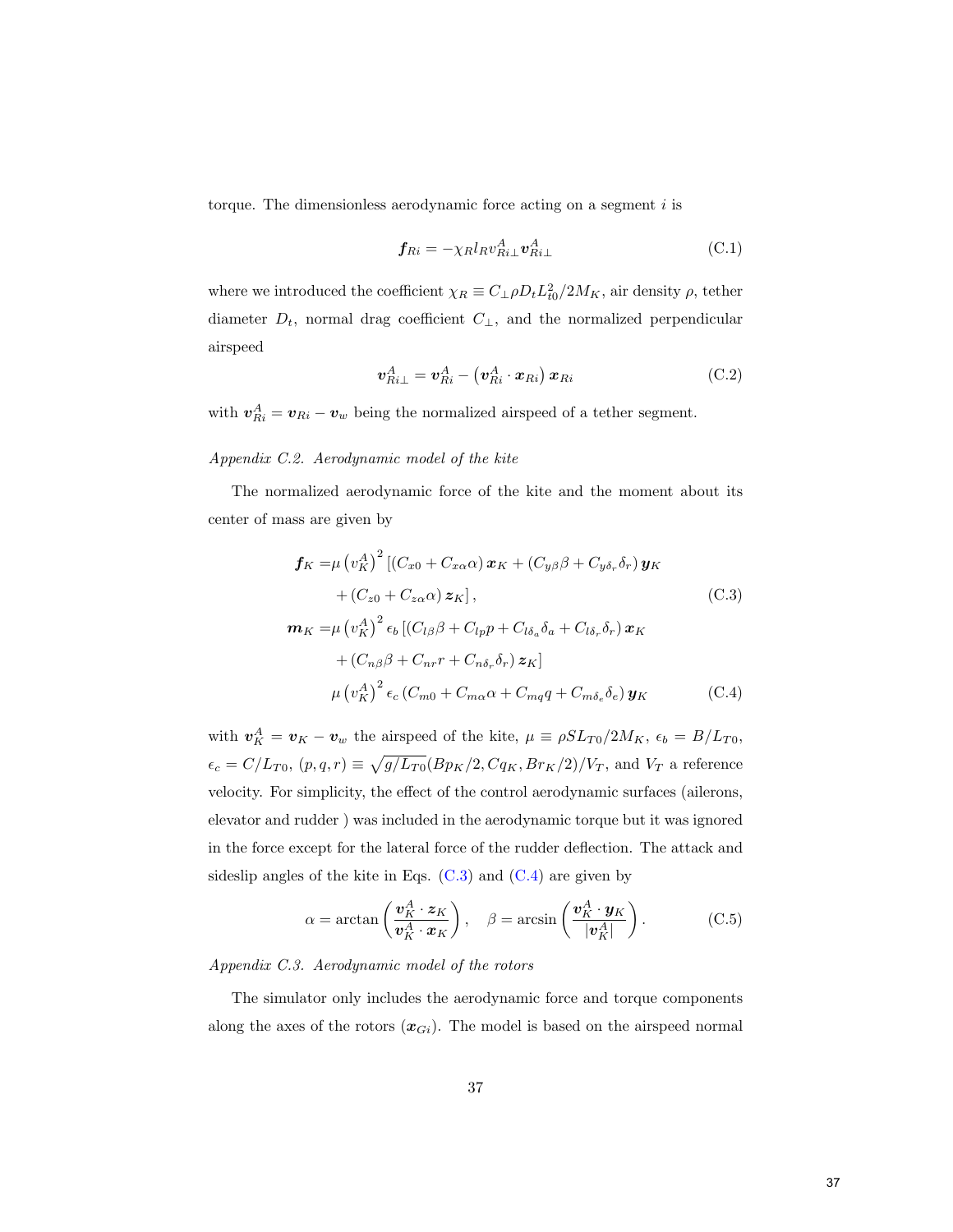torque. The dimensionless aerodynamic force acting on a segment  $i$  is

$$
\boldsymbol{f}_{Ri} = -\chi_R l_R v_{Ri\perp}^A \boldsymbol{v}_{Ri\perp}^A \tag{C.1}
$$

where we introduced the coefficient  $\chi_R \equiv C_\perp \rho D_t L_{t0}^2 / 2M_K$ , air density  $\rho$ , tether diameter  $D_t$ , normal drag coefficient  $C_{\perp}$ , and the normalized perpendicular airspeed

<span id="page-37-0"></span>
$$
\boldsymbol{v}_{Ri\perp}^{A} = \boldsymbol{v}_{Ri}^{A} - \left(\boldsymbol{v}_{Ri}^{A} \cdot \boldsymbol{x}_{Ri}\right) \boldsymbol{x}_{Ri} \tag{C.2}
$$

with  $\boldsymbol{v}_{Ri}^A = \boldsymbol{v}_{Ri} - \boldsymbol{v}_w$  being the normalized airspeed of a tether segment.

#### Appendix C.2. Aerodynamic model of the kite

The normalized aerodynamic force of the kite and the moment about its center of mass are given by

<span id="page-37-1"></span>
$$
\mathbf{f}_{K} = \mu (v_{K}^{A})^{2} \left[ (C_{x0} + C_{x\alpha}\alpha) \mathbf{x}_{K} + (C_{y\beta}\beta + C_{y\delta_{r}}\delta_{r}) \mathbf{y}_{K} \right. \n+ (C_{z0} + C_{z\alpha}\alpha) \mathbf{z}_{K} \right],
$$
\n(C.3)  
\n
$$
\mathbf{m}_{K} = \mu (v_{K}^{A})^{2} \epsilon_{b} \left[ (C_{l\beta}\beta + C_{lp}p + C_{l\delta_{a}}\delta_{a} + C_{l\delta_{r}}\delta_{r}) \mathbf{x}_{K} \right. \n+ (C_{n\beta}\beta + C_{nr}r + C_{n\delta_{r}}\delta_{r}) \mathbf{z}_{K} \right] \n\mu (v_{K}^{A})^{2} \epsilon_{c} (C_{m0} + C_{m\alpha}\alpha + C_{mq}q + C_{m\delta_{e}}\delta_{e}) \mathbf{y}_{K}
$$
\n(C.4)

with  $\mathbf{v}_K^A = \mathbf{v}_K - \mathbf{v}_w$  the airspeed of the kite,  $\mu \equiv \rho SL_{T0}/2M_K$ ,  $\epsilon_b = B/L_{T0}$ ,  $\epsilon_c = C/L_{T0}, (p,q,r) \equiv \sqrt{g/L_{T0}} (Bp_K/2, Cq_K, Br_K/2)/V_T$ , and  $V_T$  a reference velocity. For simplicity, the effect of the control aerodynamic surfaces (ailerons, elevator and rudder ) was included in the aerodynamic torque but it was ignored in the force except for the lateral force of the rudder deflection. The attack and sideslip angles of the kite in Eqs.  $(C.3)$  and  $(C.4)$  are given by

$$
\alpha = \arctan\left(\frac{\mathbf{v}_K^A \cdot \mathbf{z}_K}{\mathbf{v}_K^A \cdot \mathbf{x}_K}\right), \quad \beta = \arcsin\left(\frac{\mathbf{v}_K^A \cdot \mathbf{y}_K}{|\mathbf{v}_K^A|}\right). \tag{C.5}
$$

Appendix C.3. Aerodynamic model of the rotors

The simulator only includes the aerodynamic force and torque components along the axes of the rotors  $(x_{Gi})$ . The model is based on the airspeed normal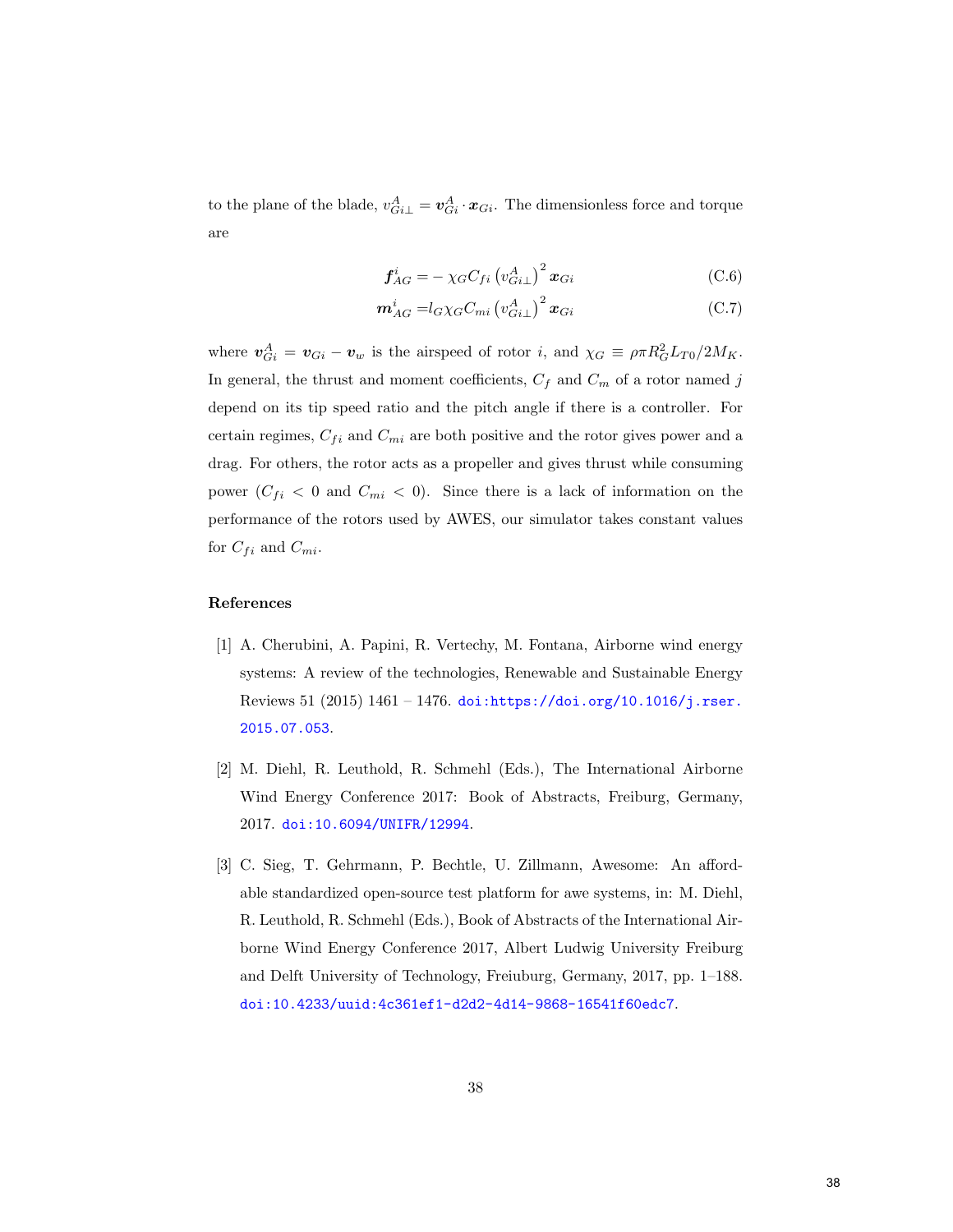to the plane of the blade,  $v_{Gi\perp}^A = v_{Gi}^A \cdot x_{Gi}$ . The dimensionless force and torque are

$$
\mathbf{f}_{AG}^{i} = -\chi_{G} C_{fi} \left( v_{Gi}^{A} \right)^{2} \mathbf{x}_{Gi} \tag{C.6}
$$

$$
\boldsymbol{m}_{AG}^{i} = l_{G}\chi_{G}C_{mi}\left(v_{Gi\perp}^{A}\right)^{2}\boldsymbol{x}_{Gi} \tag{C.7}
$$

where  $v_{Gi}^A = v_{Gi} - v_w$  is the airspeed of rotor i, and  $\chi_G \equiv \rho \pi R_G^2 L_{T0}/2M_K$ . In general, the thrust and moment coefficients,  $C_f$  and  $C_m$  of a rotor named j depend on its tip speed ratio and the pitch angle if there is a controller. For certain regimes,  $C_{fi}$  and  $C_{mi}$  are both positive and the rotor gives power and a drag. For others, the rotor acts as a propeller and gives thrust while consuming power  $(C_{fi} < 0$  and  $C_{mi} < 0$ ). Since there is a lack of information on the performance of the rotors used by AWES, our simulator takes constant values for  $C_{fi}$  and  $C_{mi}$ .

# References

- <span id="page-38-0"></span>[1] A. Cherubini, A. Papini, R. Vertechy, M. Fontana, Airborne wind energy systems: A review of the technologies, Renewable and Sustainable Energy Reviews 51 (2015) 1461 – 1476. [doi:https://doi.org/10.1016/j.rser.](http://dx.doi.org/https://doi.org/10.1016/j.rser.2015.07.053) [2015.07.053](http://dx.doi.org/https://doi.org/10.1016/j.rser.2015.07.053).
- <span id="page-38-1"></span>[2] M. Diehl, R. Leuthold, R. Schmehl (Eds.), The International Airborne Wind Energy Conference 2017: Book of Abstracts, Freiburg, Germany, 2017. [doi:10.6094/UNIFR/12994](http://dx.doi.org/10.6094/UNIFR/12994).
- <span id="page-38-2"></span>[3] C. Sieg, T. Gehrmann, P. Bechtle, U. Zillmann, Awesome: An affordable standardized open-source test platform for awe systems, in: M. Diehl, R. Leuthold, R. Schmehl (Eds.), Book of Abstracts of the International Airborne Wind Energy Conference 2017, Albert Ludwig University Freiburg and Delft University of Technology, Freiuburg, Germany, 2017, pp. 1–188. [doi:10.4233/uuid:4c361ef1-d2d2-4d14-9868-16541f60edc7](http://dx.doi.org/10.4233/uuid:4c361ef1-d2d2-4d14-9868-16541f60edc7).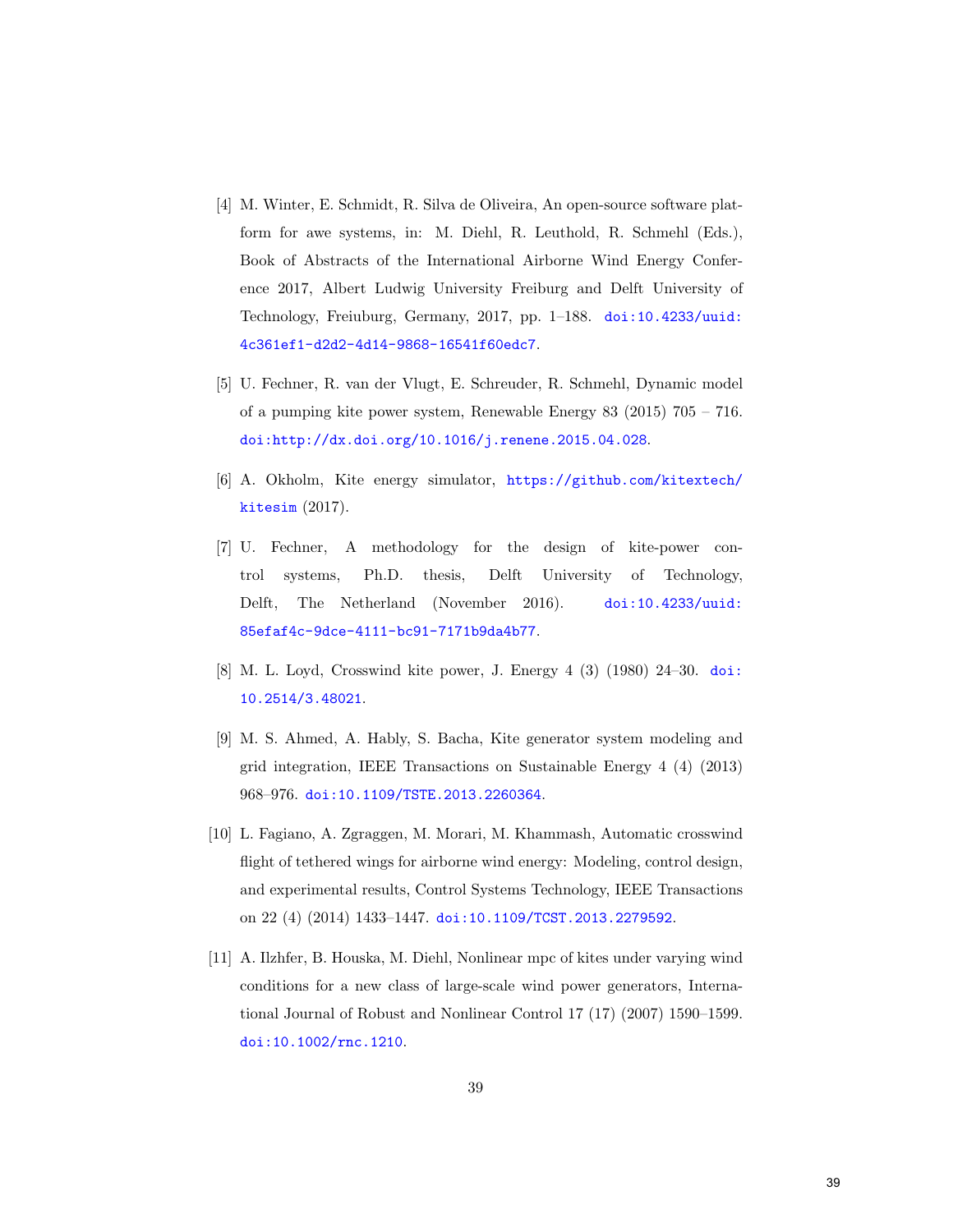- <span id="page-39-0"></span>[4] M. Winter, E. Schmidt, R. Silva de Oliveira, An open-source software platform for awe systems, in: M. Diehl, R. Leuthold, R. Schmehl (Eds.), Book of Abstracts of the International Airborne Wind Energy Conference 2017, Albert Ludwig University Freiburg and Delft University of Technology, Freiuburg, Germany, 2017, pp. 1–188. [doi:10.4233/uuid:](http://dx.doi.org/10.4233/uuid:4c361ef1-d2d2-4d14-9868-16541f60edc7) [4c361ef1-d2d2-4d14-9868-16541f60edc7](http://dx.doi.org/10.4233/uuid:4c361ef1-d2d2-4d14-9868-16541f60edc7).
- <span id="page-39-1"></span>[5] U. Fechner, R. van der Vlugt, E. Schreuder, R. Schmehl, Dynamic model of a pumping kite power system, Renewable Energy 83 (2015) 705 – 716. [doi:http://dx.doi.org/10.1016/j.renene.2015.04.028](http://dx.doi.org/http://dx.doi.org/10.1016/j.renene.2015.04.028).
- <span id="page-39-2"></span>[6] A. Okholm, Kite energy simulator, [https://github.com/kitextech/](https://github.com/kitextech/kitesim) [kitesim](https://github.com/kitextech/kitesim) (2017).
- <span id="page-39-3"></span>[7] U. Fechner, A methodology for the design of kite-power control systems, Ph.D. thesis, Delft University of Technology, Delft, The Netherland (November 2016). [doi:10.4233/uuid:](http://dx.doi.org/10.4233/uuid:85efaf4c-9dce-4111-bc91-7171b9da4b77) [85efaf4c-9dce-4111-bc91-7171b9da4b77](http://dx.doi.org/10.4233/uuid:85efaf4c-9dce-4111-bc91-7171b9da4b77).
- <span id="page-39-4"></span>[8] M. L. Loyd, Crosswind kite power, J. Energy 4 (3) (1980) 24–30. [doi:](http://dx.doi.org/10.2514/3.48021) [10.2514/3.48021](http://dx.doi.org/10.2514/3.48021).
- <span id="page-39-5"></span>[9] M. S. Ahmed, A. Hably, S. Bacha, Kite generator system modeling and grid integration, IEEE Transactions on Sustainable Energy 4 (4) (2013) 968–976. [doi:10.1109/TSTE.2013.2260364](http://dx.doi.org/10.1109/TSTE.2013.2260364).
- <span id="page-39-6"></span>[10] L. Fagiano, A. Zgraggen, M. Morari, M. Khammash, Automatic crosswind flight of tethered wings for airborne wind energy: Modeling, control design, and experimental results, Control Systems Technology, IEEE Transactions on 22 (4) (2014) 1433–1447. [doi:10.1109/TCST.2013.2279592](http://dx.doi.org/10.1109/TCST.2013.2279592).
- <span id="page-39-7"></span>[11] A. Ilzhfer, B. Houska, M. Diehl, Nonlinear mpc of kites under varying wind conditions for a new class of large-scale wind power generators, International Journal of Robust and Nonlinear Control 17 (17) (2007) 1590–1599. [doi:10.1002/rnc.1210](http://dx.doi.org/10.1002/rnc.1210).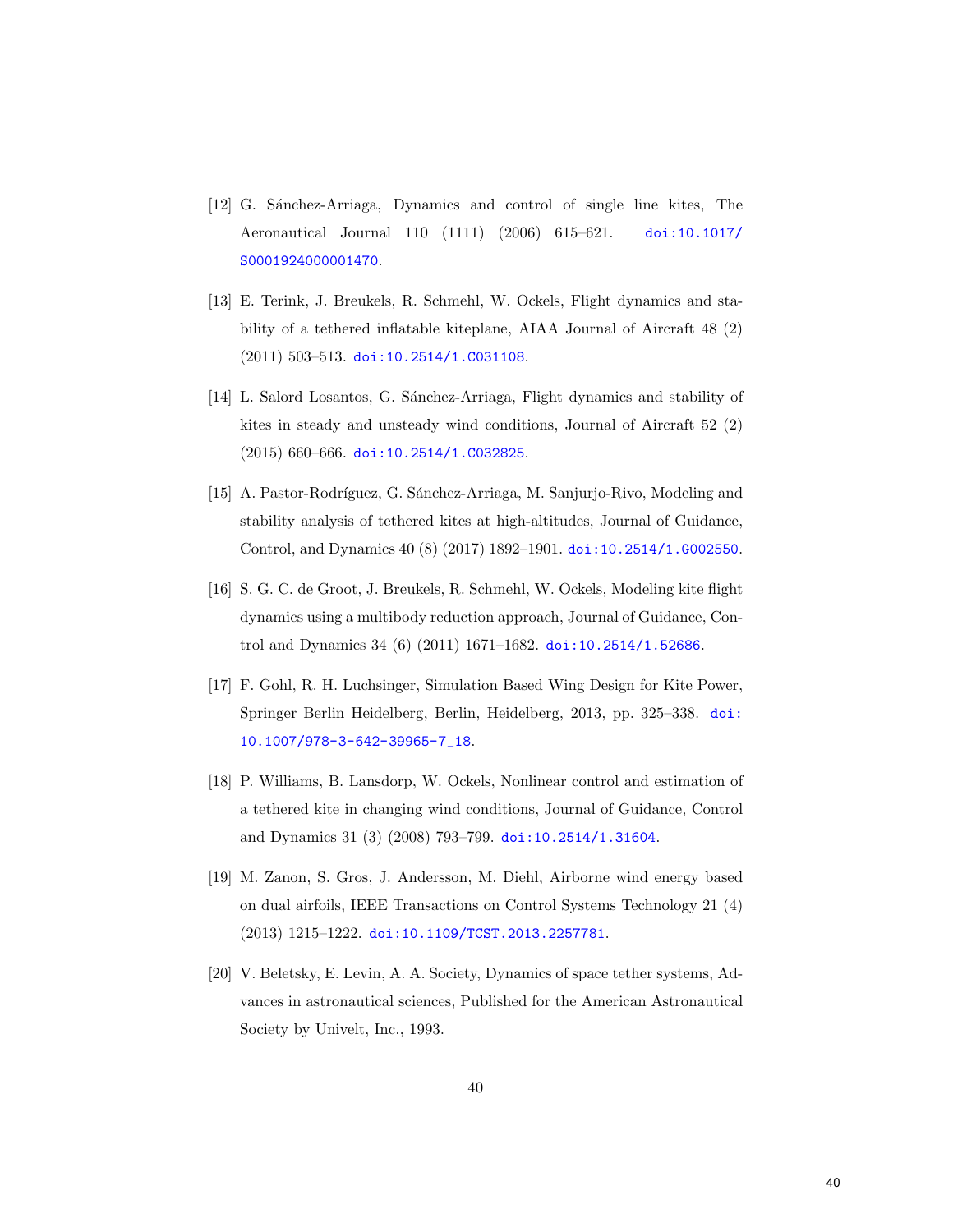- <span id="page-40-0"></span>[12] G. Sánchez-Arriaga, Dynamics and control of single line kites, The Aeronautical Journal 110 (1111) (2006) 615–621. [doi:10.1017/](http://dx.doi.org/10.1017/S0001924000001470) [S0001924000001470](http://dx.doi.org/10.1017/S0001924000001470).
- <span id="page-40-1"></span>[13] E. Terink, J. Breukels, R. Schmehl, W. Ockels, Flight dynamics and stability of a tethered inflatable kiteplane, AIAA Journal of Aircraft 48 (2) (2011) 503–513. [doi:10.2514/1.C031108](http://dx.doi.org/10.2514/1.C031108).
- <span id="page-40-2"></span>[14] L. Salord Losantos, G. Sánchez-Arriaga, Flight dynamics and stability of kites in steady and unsteady wind conditions, Journal of Aircraft 52 (2) (2015) 660–666. [doi:10.2514/1.C032825](http://dx.doi.org/10.2514/1.C032825).
- <span id="page-40-3"></span>[15] A. Pastor-Rodríguez, G. Sánchez-Arriaga, M. Sanjurjo-Rivo, Modeling and stability analysis of tethered kites at high-altitudes, Journal of Guidance, Control, and Dynamics 40 (8) (2017) 1892–1901. [doi:10.2514/1.G002550](http://dx.doi.org/10.2514/1.G002550).
- <span id="page-40-4"></span>[16] S. G. C. de Groot, J. Breukels, R. Schmehl, W. Ockels, Modeling kite flight dynamics using a multibody reduction approach, Journal of Guidance, Control and Dynamics 34 (6) (2011) 1671–1682. [doi:10.2514/1.52686](http://dx.doi.org/10.2514/1.52686).
- <span id="page-40-5"></span>[17] F. Gohl, R. H. Luchsinger, Simulation Based Wing Design for Kite Power, Springer Berlin Heidelberg, Berlin, Heidelberg, 2013, pp. 325–338. [doi:](http://dx.doi.org/10.1007/978-3-642-39965-7_18) [10.1007/978-3-642-39965-7\\_18](http://dx.doi.org/10.1007/978-3-642-39965-7_18).
- <span id="page-40-6"></span>[18] P. Williams, B. Lansdorp, W. Ockels, Nonlinear control and estimation of a tethered kite in changing wind conditions, Journal of Guidance, Control and Dynamics 31 (3) (2008) 793–799. [doi:10.2514/1.31604](http://dx.doi.org/10.2514/1.31604).
- <span id="page-40-7"></span>[19] M. Zanon, S. Gros, J. Andersson, M. Diehl, Airborne wind energy based on dual airfoils, IEEE Transactions on Control Systems Technology 21 (4) (2013) 1215–1222. [doi:10.1109/TCST.2013.2257781](http://dx.doi.org/10.1109/TCST.2013.2257781).
- <span id="page-40-8"></span>[20] V. Beletsky, E. Levin, A. A. Society, Dynamics of space tether systems, Advances in astronautical sciences, Published for the American Astronautical Society by Univelt, Inc., 1993.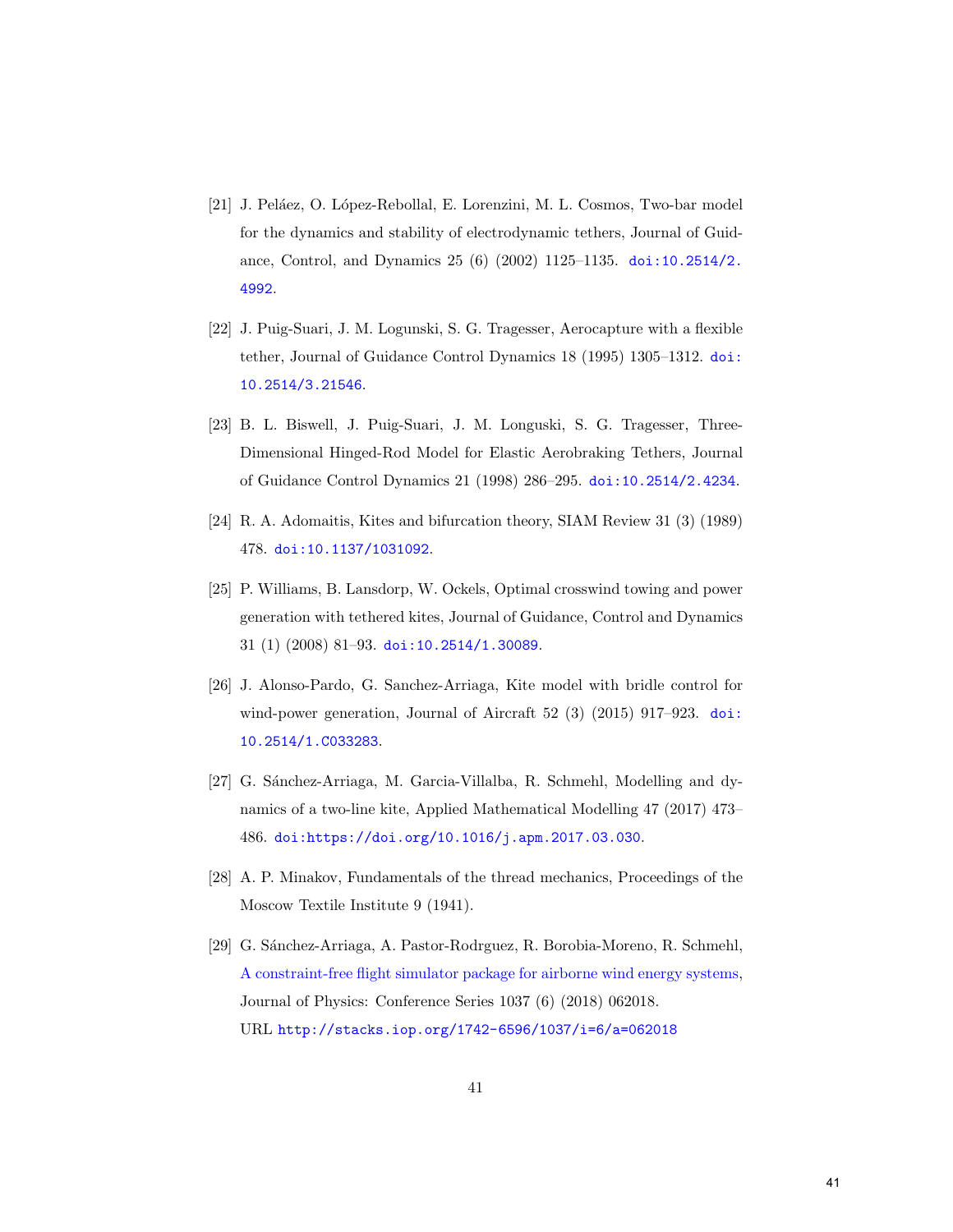- <span id="page-41-0"></span>[21] J. Peláez, O. López-Rebollal, E. Lorenzini, M. L. Cosmos, Two-bar model for the dynamics and stability of electrodynamic tethers, Journal of Guidance, Control, and Dynamics 25 (6) (2002) 1125–1135. [doi:10.2514/2.](http://dx.doi.org/10.2514/2.4992) [4992](http://dx.doi.org/10.2514/2.4992).
- <span id="page-41-1"></span>[22] J. Puig-Suari, J. M. Logunski, S. G. Tragesser, Aerocapture with a flexible tether, Journal of Guidance Control Dynamics 18 (1995) 1305–1312. [doi:](http://dx.doi.org/10.2514/3.21546) [10.2514/3.21546](http://dx.doi.org/10.2514/3.21546).
- <span id="page-41-2"></span>[23] B. L. Biswell, J. Puig-Suari, J. M. Longuski, S. G. Tragesser, Three-Dimensional Hinged-Rod Model for Elastic Aerobraking Tethers, Journal of Guidance Control Dynamics 21 (1998) 286–295. [doi:10.2514/2.4234](http://dx.doi.org/10.2514/2.4234).
- <span id="page-41-3"></span>[24] R. A. Adomaitis, Kites and bifurcation theory, SIAM Review 31 (3) (1989) 478. [doi:10.1137/1031092](http://dx.doi.org/10.1137/1031092).
- <span id="page-41-4"></span>[25] P. Williams, B. Lansdorp, W. Ockels, Optimal crosswind towing and power generation with tethered kites, Journal of Guidance, Control and Dynamics 31 (1) (2008) 81–93. [doi:10.2514/1.30089](http://dx.doi.org/10.2514/1.30089).
- <span id="page-41-5"></span>[26] J. Alonso-Pardo, G. Sanchez-Arriaga, Kite model with bridle control for wind-power generation, Journal of Aircraft  $52$  (3) (2015) 917–923. [doi:](http://dx.doi.org/10.2514/1.C033283) [10.2514/1.C033283](http://dx.doi.org/10.2514/1.C033283).
- <span id="page-41-6"></span>[27] G. Sánchez-Arriaga, M. Garcia-Villalba, R. Schmehl, Modelling and dynamics of a two-line kite, Applied Mathematical Modelling 47 (2017) 473– 486. [doi:https://doi.org/10.1016/j.apm.2017.03.030](http://dx.doi.org/https://doi.org/10.1016/j.apm.2017.03.030).
- <span id="page-41-7"></span>[28] A. P. Minakov, Fundamentals of the thread mechanics, Proceedings of the Moscow Textile Institute 9 (1941).
- <span id="page-41-8"></span>[29] G. S´anchez-Arriaga, A. Pastor-Rodrguez, R. Borobia-Moreno, R. Schmehl, [A constraint-free flight simulator package for airborne wind energy systems,](http://stacks.iop.org/1742-6596/1037/i=6/a=062018) Journal of Physics: Conference Series 1037 (6) (2018) 062018. URL <http://stacks.iop.org/1742-6596/1037/i=6/a=062018>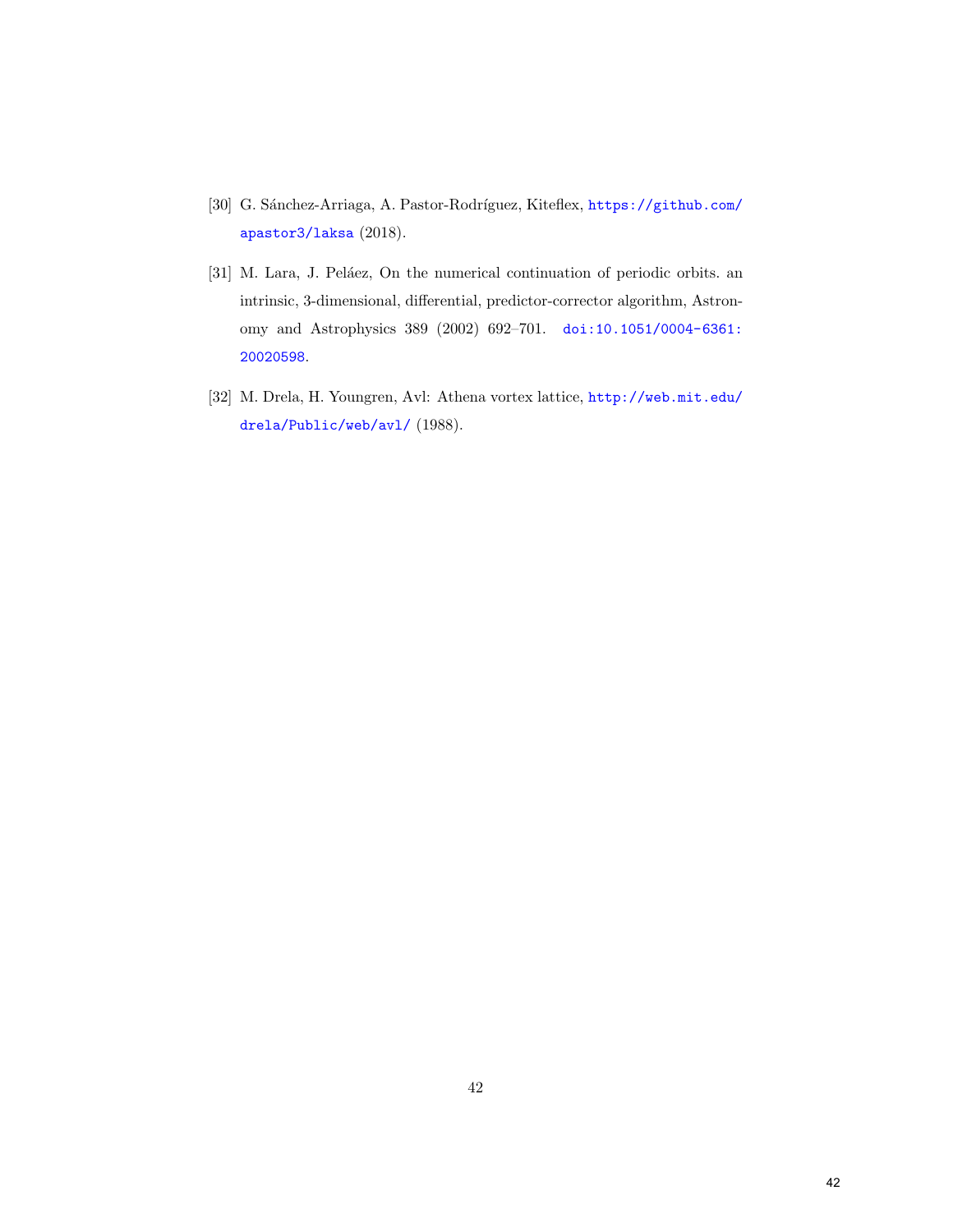- <span id="page-42-0"></span> $\left[30\right]$ G. Sánchez-Arriaga, A. Pastor-Rodríguez, Kiteflex,  ${\tt https://github.com/}$  ${\tt https://github.com/}$  ${\tt https://github.com/}$ [apastor3/laksa](https://github.com/apastor3/laksa) (2018).
- <span id="page-42-1"></span>[31] M. Lara, J. Peláez, On the numerical continuation of periodic orbits. an intrinsic, 3-dimensional, differential, predictor-corrector algorithm, Astronomy and Astrophysics 389 (2002) 692–701. [doi:10.1051/0004-6361:](http://dx.doi.org/10.1051/0004-6361:20020598) [20020598](http://dx.doi.org/10.1051/0004-6361:20020598).
- <span id="page-42-2"></span>[32] M. Drela, H. Youngren, Avl: Athena vortex lattice, [http://web.mit.edu/](http://web.mit.edu/drela/Public/web/avl/) [drela/Public/web/avl/](http://web.mit.edu/drela/Public/web/avl/) (1988).